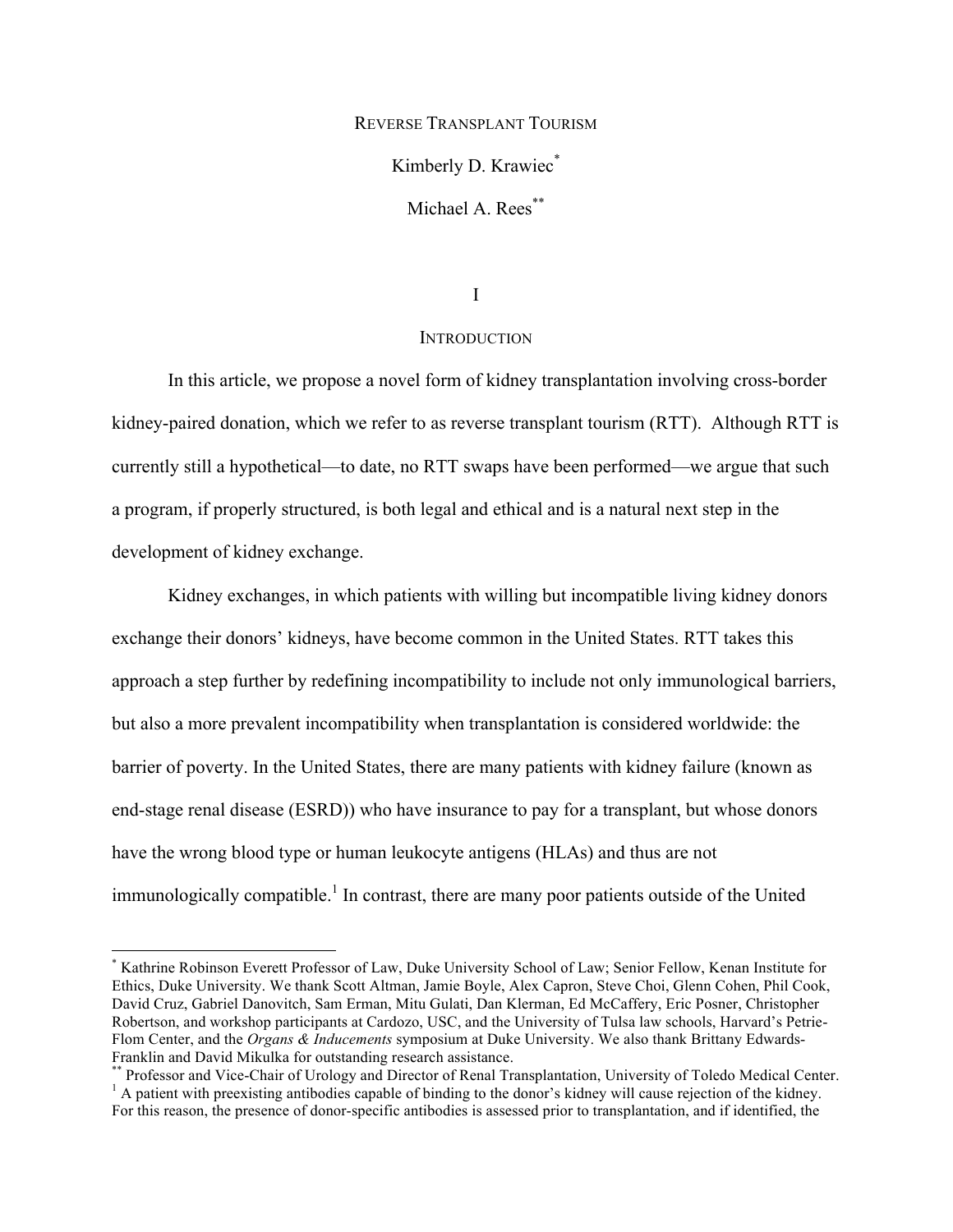REVERSE TRANSPLANT TOURISM

Kimberly D. Krawiec<sup>\*</sup>

Michael A. Rees<sup>\*\*</sup>

I

# **INTRODUCTION**

In this article, we propose a novel form of kidney transplantation involving cross-border kidney-paired donation, which we refer to as reverse transplant tourism (RTT). Although RTT is currently still a hypothetical—to date, no RTT swaps have been performed—we argue that such a program, if properly structured, is both legal and ethical and is a natural next step in the development of kidney exchange.

Kidney exchanges, in which patients with willing but incompatible living kidney donors exchange their donors' kidneys, have become common in the United States. RTT takes this approach a step further by redefining incompatibility to include not only immunological barriers, but also a more prevalent incompatibility when transplantation is considered worldwide: the barrier of poverty. In the United States, there are many patients with kidney failure (known as end-stage renal disease (ESRD)) who have insurance to pay for a transplant, but whose donors have the wrong blood type or human leukocyte antigens (HLAs) and thus are not immunologically compatible.<sup>1</sup> In contrast, there are many poor patients outside of the United

 \* Kathrine Robinson Everett Professor of Law, Duke University School of Law; Senior Fellow, Kenan Institute for Ethics, Duke University. We thank Scott Altman, Jamie Boyle, Alex Capron, Steve Choi, Glenn Cohen, Phil Cook, David Cruz, Gabriel Danovitch, Sam Erman, Mitu Gulati, Dan Klerman, Ed McCaffery, Eric Posner, Christopher Robertson, and workshop participants at Cardozo, USC, and the University of Tulsa law schools, Harvard's Petrie-Flom Center, and the *Organs & Inducements* symposium at Duke University. We also thank Brittany Edwards-

Franklin and David Mikulka for outstanding research assistance.<br>\*\* Professor and Vice-Chair of Urology and Director of Renal Transplantation, University of Toledo Medical Center.<br> $\frac{1}{1}$  A patient with preexisting antib

For this reason, the presence of donor-specific antibodies is assessed prior to transplantation, and if identified, the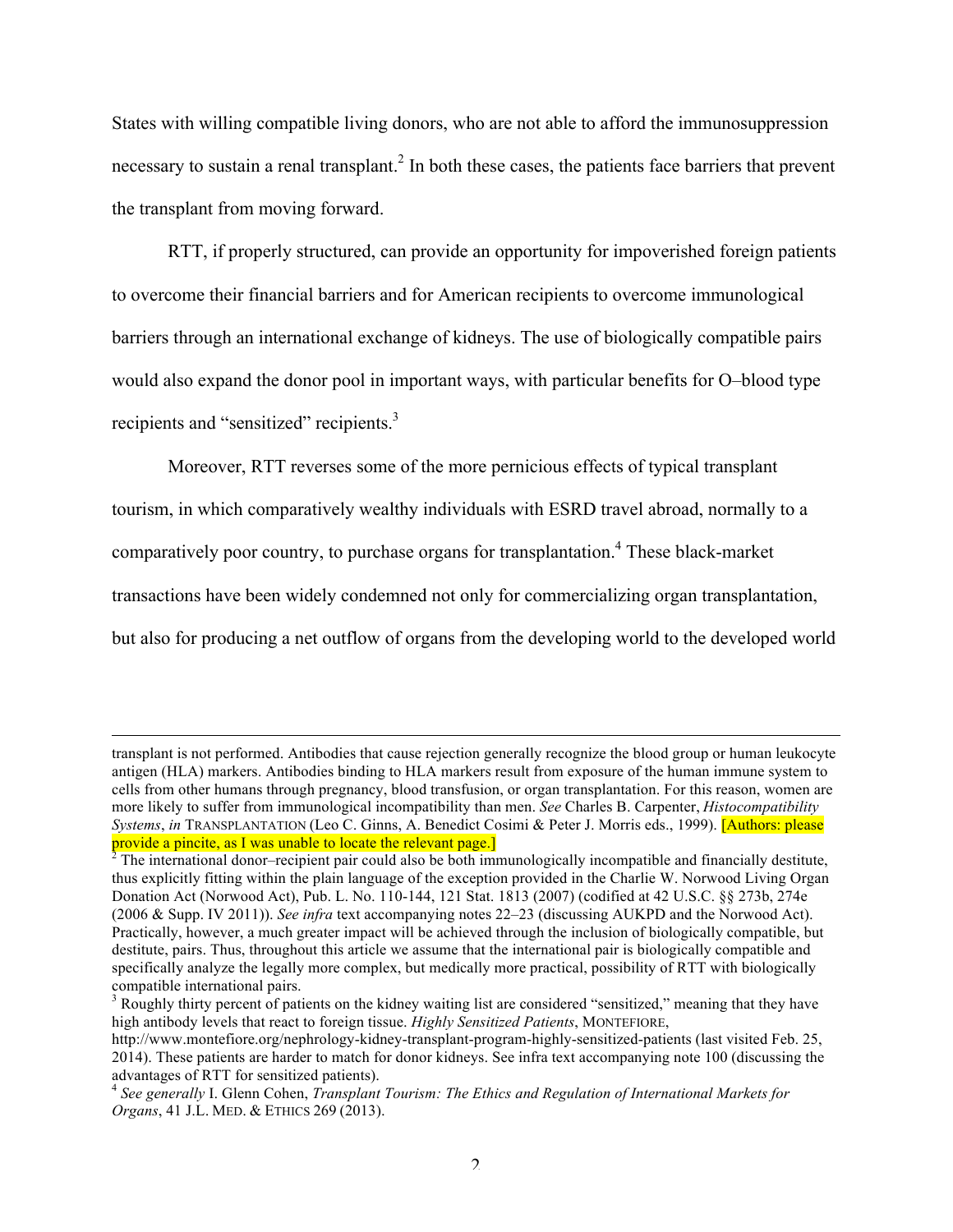States with willing compatible living donors, who are not able to afford the immunosuppression necessary to sustain a renal transplant.<sup>2</sup> In both these cases, the patients face barriers that prevent the transplant from moving forward.

RTT, if properly structured, can provide an opportunity for impoverished foreign patients to overcome their financial barriers and for American recipients to overcome immunological barriers through an international exchange of kidneys. The use of biologically compatible pairs would also expand the donor pool in important ways, with particular benefits for O–blood type recipients and "sensitized" recipients.<sup>3</sup>

Moreover, RTT reverses some of the more pernicious effects of typical transplant tourism, in which comparatively wealthy individuals with ESRD travel abroad, normally to a comparatively poor country, to purchase organs for transplantation.<sup>4</sup> These black-market transactions have been widely condemned not only for commercializing organ transplantation, but also for producing a net outflow of organs from the developing world to the developed world

<u> 1989 - Andrea Santa Alemania, amerikana amerikana amerikana amerikana amerikana amerikana amerikana amerikana</u>

transplant is not performed. Antibodies that cause rejection generally recognize the blood group or human leukocyte antigen (HLA) markers. Antibodies binding to HLA markers result from exposure of the human immune system to cells from other humans through pregnancy, blood transfusion, or organ transplantation. For this reason, women are more likely to suffer from immunological incompatibility than men. *See* Charles B. Carpenter, *Histocompatibility Systems*, *in* TRANSPLANTATION (Leo C. Ginns, A. Benedict Cosimi & Peter J. Morris eds., 1999). [Authors: please provide a pincite, as I was unable to locate the relevant page.]<br><sup>2</sup> The international donor–recipient pair could also be both immunologically incompatible and financially destitute,

thus explicitly fitting within the plain language of the exception provided in the Charlie W. Norwood Living Organ Donation Act (Norwood Act), Pub. L. No. 110-144, 121 Stat. 1813 (2007) (codified at 42 U.S.C. §§ 273b, 274e (2006 & Supp. IV 2011)). *See infra* text accompanying notes 22–23 (discussing AUKPD and the Norwood Act). Practically, however, a much greater impact will be achieved through the inclusion of biologically compatible, but destitute, pairs. Thus, throughout this article we assume that the international pair is biologically compatible and specifically analyze the legally more complex, but medically more practical, possibility of RTT with biologically compatible international pairs.<br> $3$  Roughly thirty percent of patients on the kidney waiting list are considered "sensitized," meaning that they have

high antibody levels that react to foreign tissue. *Highly Sensitized Patients*, MONTEFIORE,

http://www.montefiore.org/nephrology-kidney-transplant-program-highly-sensitized-patients (last visited Feb. 25, 2014). These patients are harder to match for donor kidneys. See infra text accompanying note 100 (discussing the advantages of RTT for sensitized patients).

<sup>4</sup> *See generally* I. Glenn Cohen, *Transplant Tourism: The Ethics and Regulation of International Markets for Organs*, 41 J.L. MED. & ETHICS 269 (2013).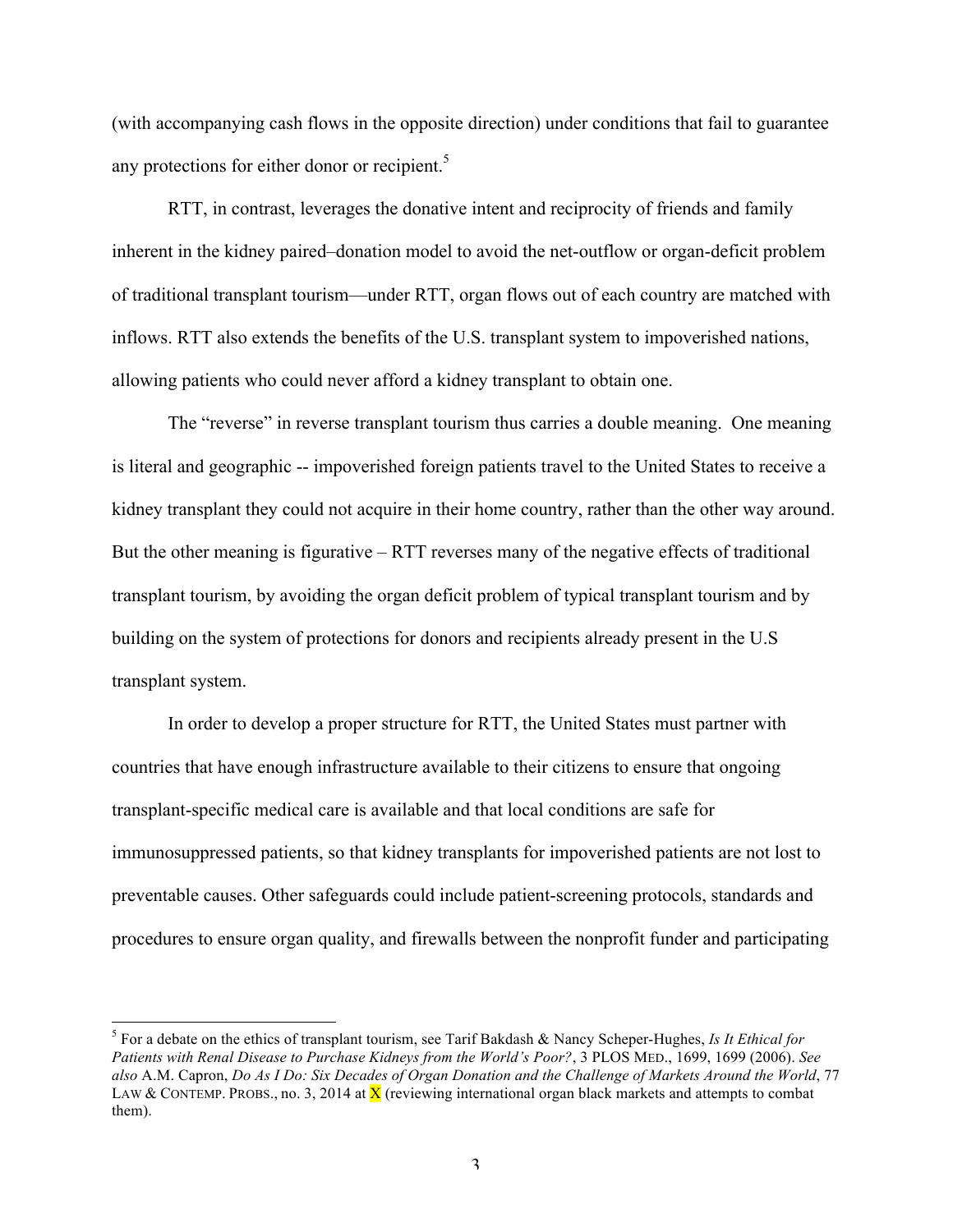(with accompanying cash flows in the opposite direction) under conditions that fail to guarantee any protections for either donor or recipient. $5$ 

RTT, in contrast, leverages the donative intent and reciprocity of friends and family inherent in the kidney paired–donation model to avoid the net-outflow or organ-deficit problem of traditional transplant tourism—under RTT, organ flows out of each country are matched with inflows. RTT also extends the benefits of the U.S. transplant system to impoverished nations, allowing patients who could never afford a kidney transplant to obtain one.

The "reverse" in reverse transplant tourism thus carries a double meaning. One meaning is literal and geographic -- impoverished foreign patients travel to the United States to receive a kidney transplant they could not acquire in their home country, rather than the other way around. But the other meaning is figurative – RTT reverses many of the negative effects of traditional transplant tourism, by avoiding the organ deficit problem of typical transplant tourism and by building on the system of protections for donors and recipients already present in the U.S transplant system.

In order to develop a proper structure for RTT, the United States must partner with countries that have enough infrastructure available to their citizens to ensure that ongoing transplant-specific medical care is available and that local conditions are safe for immunosuppressed patients, so that kidney transplants for impoverished patients are not lost to preventable causes. Other safeguards could include patient-screening protocols, standards and procedures to ensure organ quality, and firewalls between the nonprofit funder and participating

 <sup>5</sup> For a debate on the ethics of transplant tourism, see Tarif Bakdash & Nancy Scheper-Hughes, *Is It Ethical for Patients with Renal Disease to Purchase Kidneys from the World's Poor?*, 3 PLOS MED., 1699, 1699 (2006). *See also* A.M. Capron, *Do As I Do: Six Decades of Organ Donation and the Challenge of Markets Around the World*, 77 LAW & CONTEMP. PROBS., no. 3, 2014 at  $\bar{X}$  (reviewing international organ black markets and attempts to combat them).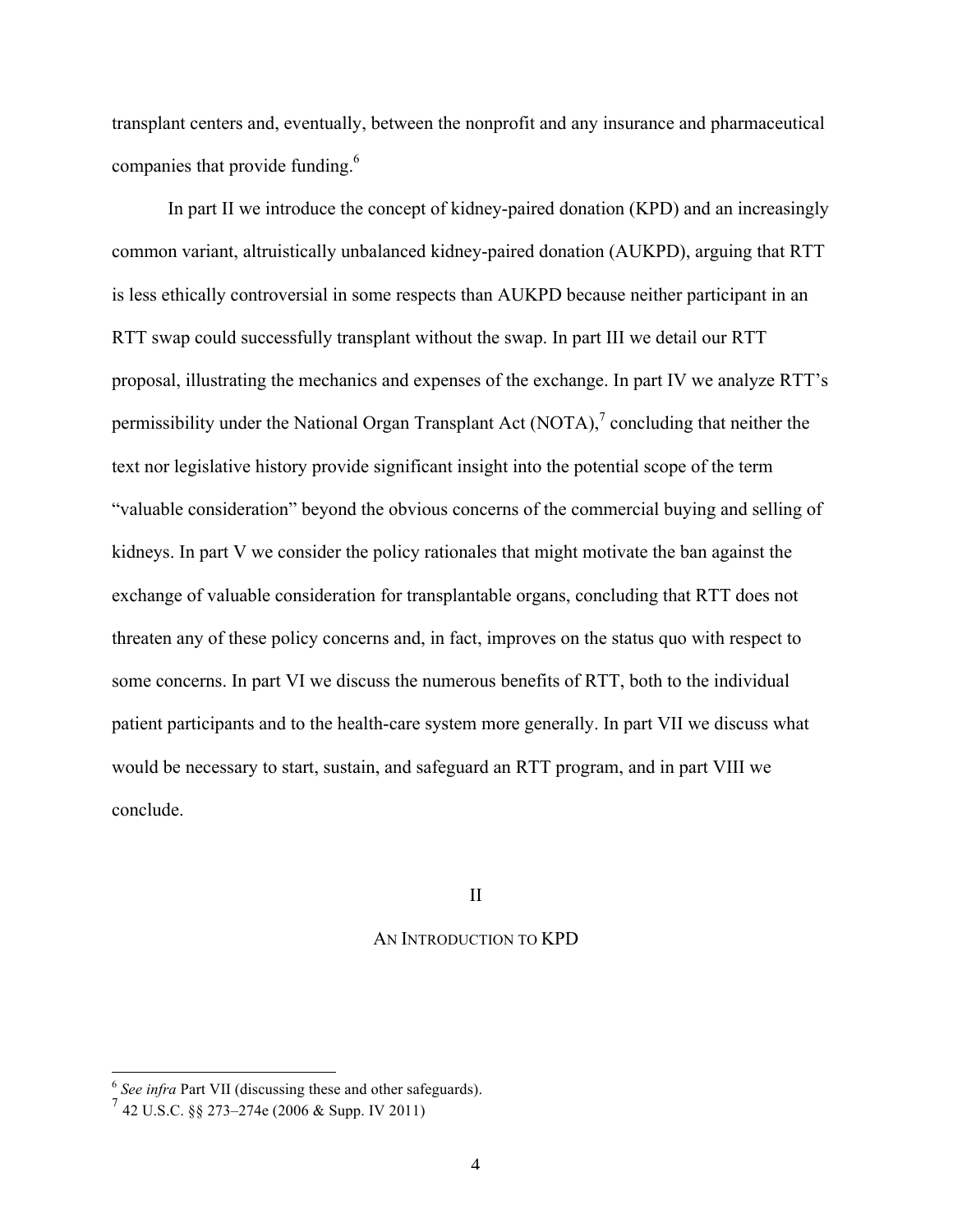transplant centers and, eventually, between the nonprofit and any insurance and pharmaceutical companies that provide funding.<sup>6</sup>

In part II we introduce the concept of kidney-paired donation (KPD) and an increasingly common variant, altruistically unbalanced kidney-paired donation (AUKPD), arguing that RTT is less ethically controversial in some respects than AUKPD because neither participant in an RTT swap could successfully transplant without the swap. In part III we detail our RTT proposal, illustrating the mechanics and expenses of the exchange. In part IV we analyze RTT's permissibility under the National Organ Transplant Act  $(NOTA)$ , concluding that neither the text nor legislative history provide significant insight into the potential scope of the term "valuable consideration" beyond the obvious concerns of the commercial buying and selling of kidneys. In part V we consider the policy rationales that might motivate the ban against the exchange of valuable consideration for transplantable organs, concluding that RTT does not threaten any of these policy concerns and, in fact, improves on the status quo with respect to some concerns. In part VI we discuss the numerous benefits of RTT, both to the individual patient participants and to the health-care system more generally. In part VII we discuss what would be necessary to start, sustain, and safeguard an RTT program, and in part VIII we conclude.

II

#### AN INTRODUCTION TO KPD

 <sup>6</sup> *See infra* Part VII (discussing these and other safeguards).

 $^{7}$  42 U.S.C. §§ 273–274e (2006 & Supp. IV 2011)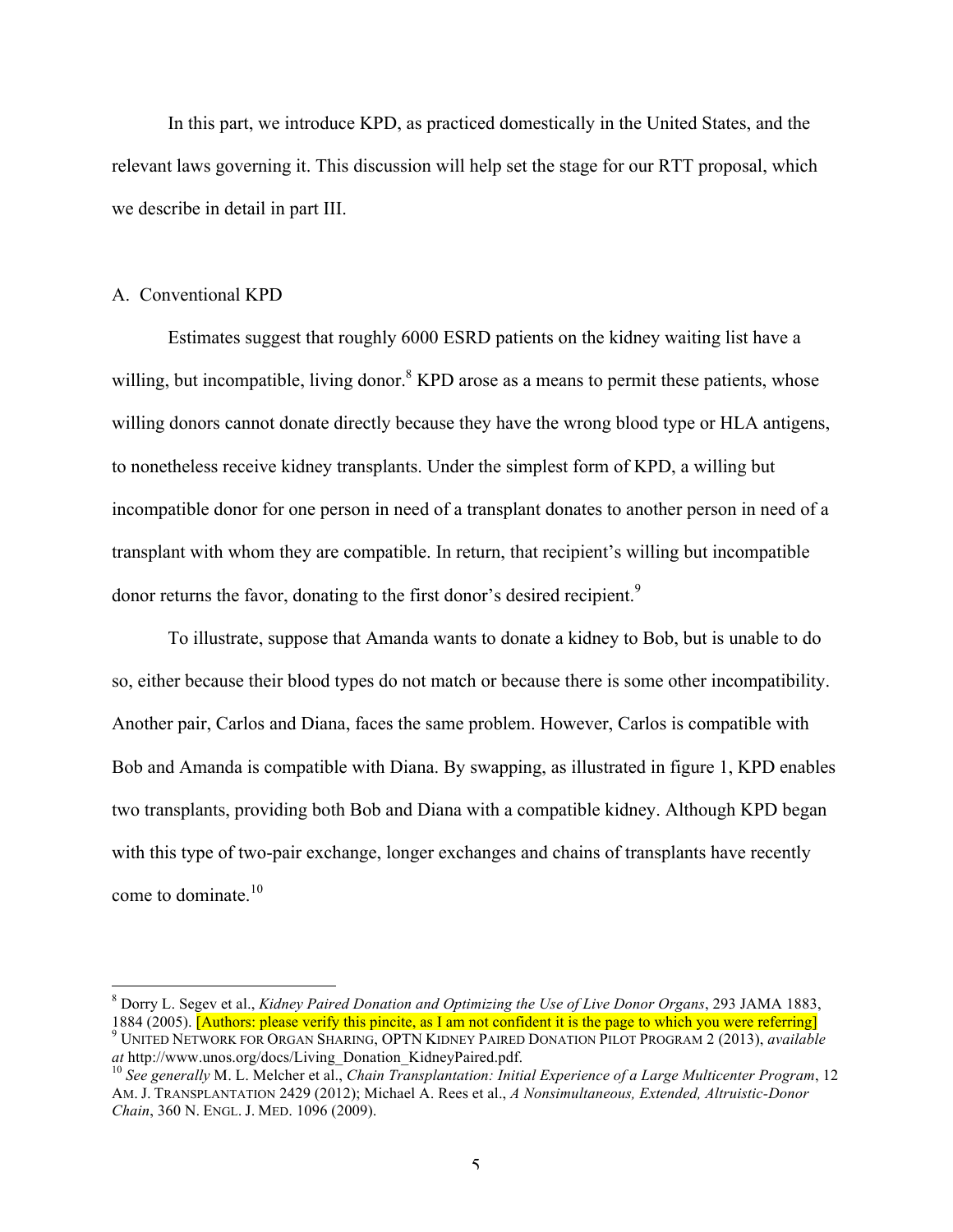In this part, we introduce KPD, as practiced domestically in the United States, and the relevant laws governing it. This discussion will help set the stage for our RTT proposal, which we describe in detail in part III.

#### A. Conventional KPD

Estimates suggest that roughly 6000 ESRD patients on the kidney waiting list have a willing, but incompatible, living donor.<sup>8</sup> KPD arose as a means to permit these patients, whose willing donors cannot donate directly because they have the wrong blood type or HLA antigens, to nonetheless receive kidney transplants. Under the simplest form of KPD, a willing but incompatible donor for one person in need of a transplant donates to another person in need of a transplant with whom they are compatible. In return, that recipient's willing but incompatible donor returns the favor, donating to the first donor's desired recipient.<sup>9</sup>

To illustrate, suppose that Amanda wants to donate a kidney to Bob, but is unable to do so, either because their blood types do not match or because there is some other incompatibility. Another pair, Carlos and Diana, faces the same problem. However, Carlos is compatible with Bob and Amanda is compatible with Diana. By swapping, as illustrated in figure 1, KPD enables two transplants, providing both Bob and Diana with a compatible kidney. Although KPD began with this type of two-pair exchange, longer exchanges and chains of transplants have recently come to dominate. $10$ 

 <sup>8</sup> Dorry L. Segev et al., *Kidney Paired Donation and Optimizing the Use of Live Donor Organs*, 293 JAMA 1883,

<sup>1884 (2005). [</sup>Authors: please verify this pincite, as I am not confident it is the page to which you were referring]<br><sup>9</sup> UNITED NETWORK FOR ORGAN SHARING, OPTN KIDNEY PAIRED DONATION PILOT PROGRAM 2 (2013), *available at*

<sup>&</sup>lt;sup>10</sup> See generally M. L. Melcher et al., *Chain Transplantation: Initial Experience of a Large Multicenter Program*, 12 AM. J. TRANSPLANTATION 2429 (2012); Michael A. Rees et al., *A Nonsimultaneous, Extended, Altruistic-Donor Chain*, 360 N. ENGL. J. MED. 1096 (2009).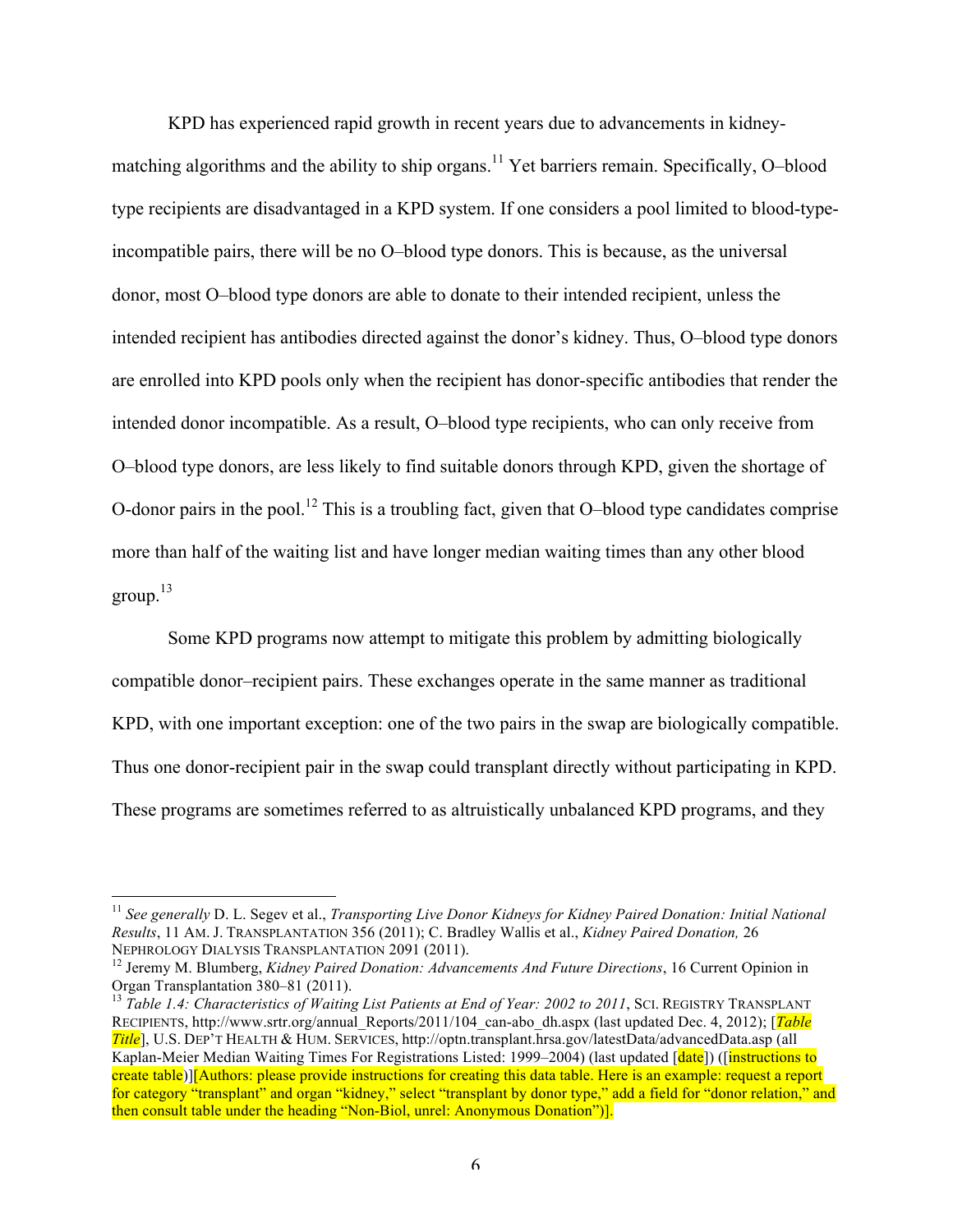KPD has experienced rapid growth in recent years due to advancements in kidneymatching algorithms and the ability to ship organs.<sup>11</sup> Yet barriers remain. Specifically, O–blood type recipients are disadvantaged in a KPD system. If one considers a pool limited to blood-typeincompatible pairs, there will be no O–blood type donors. This is because, as the universal donor, most O–blood type donors are able to donate to their intended recipient, unless the intended recipient has antibodies directed against the donor's kidney. Thus, O–blood type donors are enrolled into KPD pools only when the recipient has donor-specific antibodies that render the intended donor incompatible. As a result, O–blood type recipients, who can only receive from O–blood type donors, are less likely to find suitable donors through KPD, given the shortage of O-donor pairs in the pool.<sup>12</sup> This is a troubling fact, given that O-blood type candidates comprise more than half of the waiting list and have longer median waiting times than any other blood group. $13$ 

Some KPD programs now attempt to mitigate this problem by admitting biologically compatible donor–recipient pairs. These exchanges operate in the same manner as traditional KPD, with one important exception: one of the two pairs in the swap are biologically compatible. Thus one donor-recipient pair in the swap could transplant directly without participating in KPD. These programs are sometimes referred to as altruistically unbalanced KPD programs, and they

 <sup>11</sup> *See generally* D. L. Segev et al., *Transporting Live Donor Kidneys for Kidney Paired Donation: Initial National Results*, 11 AM. J. TRANSPLANTATION 356 (2011); C. Bradley Wallis et al., *Kidney Paired Donation,* 26

NEPHROLOGY DIALYSIS TRANSPLANTATION 2091 (2011).<br><sup>12</sup> Jeremy M. Blumberg, *Kidney Paired Donation: Advancements And Future Directions*, 16 Current Opinion in Organ Transplantation 380–81 (2011).

<sup>&</sup>lt;sup>13</sup> Table 1.4: Characteristics of Waiting List Patients at End of Year: 2002 to 2011, SCI. REGISTRY TRANSPLANT RECIPIENTS, http://www.srtr.org/annual\_Reports/2011/104\_can-abo\_dh.aspx (last updated Dec. 4, 2012); [*Table Title*], U.S. DEP'T HEALTH & HUM. SERVICES, http://optn.transplant.hrsa.gov/latestData/advancedData.asp (all Kaplan-Meier Median Waiting Times For Registrations Listed: 1999–2004) (last updated [date]) ([instructions to create table)][Authors: please provide instructions for creating this data table. Here is an example: request a report for category "transplant" and organ "kidney," select "transplant by donor type," add a field for "donor relation," and then consult table under the heading "Non-Biol, unrel: Anonymous Donation")].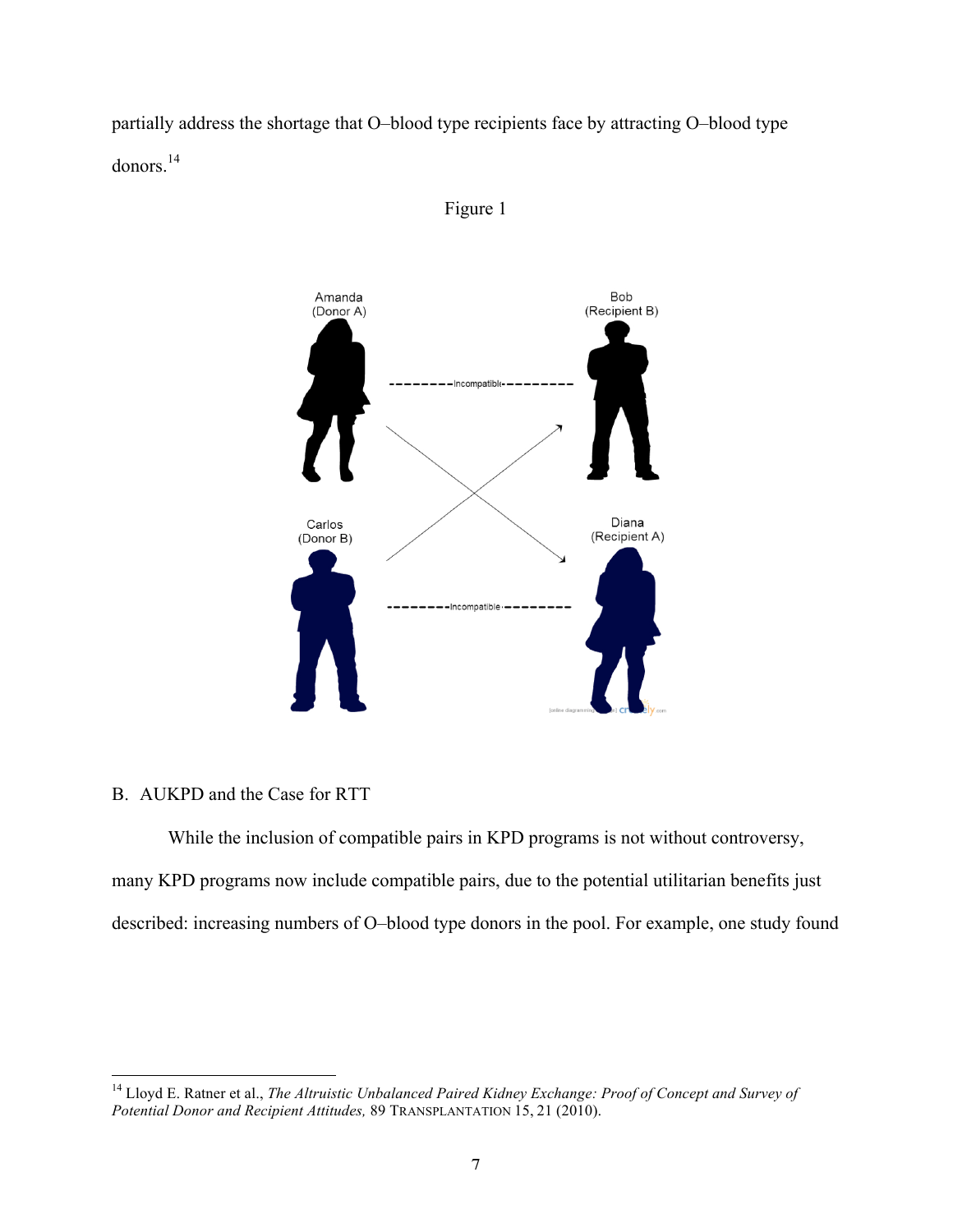partially address the shortage that O–blood type recipients face by attracting O–blood type donors.<sup>14</sup>





# B. AUKPD and the Case for RTT

While the inclusion of compatible pairs in KPD programs is not without controversy, many KPD programs now include compatible pairs, due to the potential utilitarian benefits just described: increasing numbers of O–blood type donors in the pool. For example, one study found

 <sup>14</sup> Lloyd E. Ratner et al., *The Altruistic Unbalanced Paired Kidney Exchange: Proof of Concept and Survey of Potential Donor and Recipient Attitudes,* 89 TRANSPLANTATION 15, 21 (2010).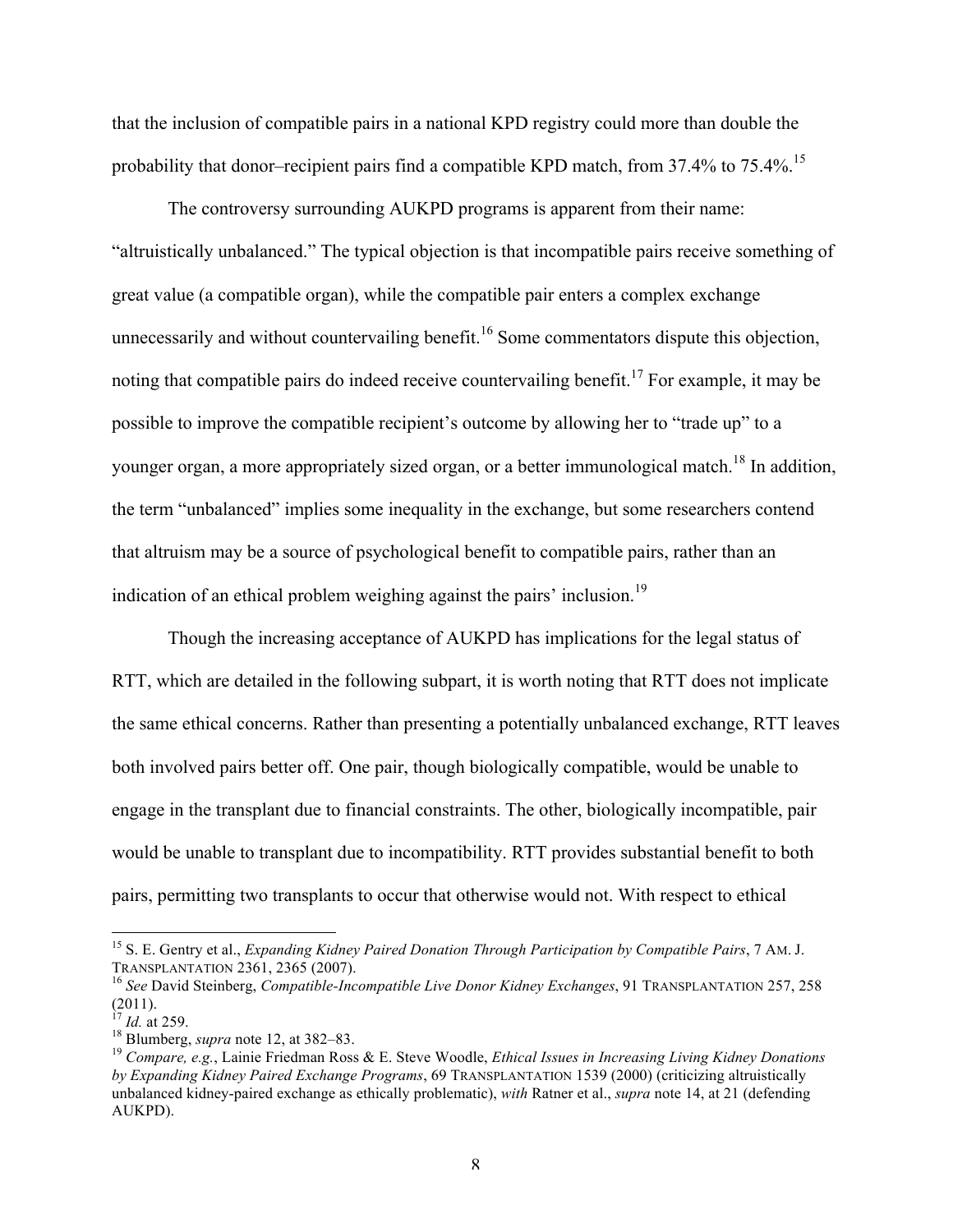that the inclusion of compatible pairs in a national KPD registry could more than double the probability that donor–recipient pairs find a compatible KPD match, from  $37.4\%$  to  $75.4\%$ .<sup>15</sup>

The controversy surrounding AUKPD programs is apparent from their name: "altruistically unbalanced." The typical objection is that incompatible pairs receive something of great value (a compatible organ), while the compatible pair enters a complex exchange unnecessarily and without countervailing benefit.<sup>16</sup> Some commentators dispute this objection, noting that compatible pairs do indeed receive countervailing benefit.<sup>17</sup> For example, it may be possible to improve the compatible recipient's outcome by allowing her to "trade up" to a younger organ, a more appropriately sized organ, or a better immunological match.<sup>18</sup> In addition, the term "unbalanced" implies some inequality in the exchange, but some researchers contend that altruism may be a source of psychological benefit to compatible pairs, rather than an indication of an ethical problem weighing against the pairs' inclusion.<sup>19</sup>

Though the increasing acceptance of AUKPD has implications for the legal status of RTT, which are detailed in the following subpart, it is worth noting that RTT does not implicate the same ethical concerns. Rather than presenting a potentially unbalanced exchange, RTT leaves both involved pairs better off. One pair, though biologically compatible, would be unable to engage in the transplant due to financial constraints. The other, biologically incompatible, pair would be unable to transplant due to incompatibility. RTT provides substantial benefit to both pairs, permitting two transplants to occur that otherwise would not. With respect to ethical

<sup>&</sup>lt;sup>15</sup> S. E. Gentry et al., *Expanding Kidney Paired Donation Through Participation by Compatible Pairs*, 7 AM. J. TRANSPLANTATION 2361, 2365 (2007).

<sup>&</sup>lt;sup>16</sup> See David Steinberg, *Compatible-Incompatible Live Donor Kidney Exchanges*, 91 TRANSPLANTATION 257, 258  $(2011).$ <sup>17</sup> *Id.* at 259.

<sup>&</sup>lt;sup>18</sup> Blumberg, *supra* note 12, at 382–83.<br><sup>19</sup> *Compare, e.g.*, Lainie Friedman Ross & E. Steve Woodle, *Ethical Issues in Increasing Living Kidney Donations by Expanding Kidney Paired Exchange Programs*, 69 TRANSPLANTATION 1539 (2000) (criticizing altruistically unbalanced kidney-paired exchange as ethically problematic), *with* Ratner et al., *supra* note 14, at 21 (defending AUKPD).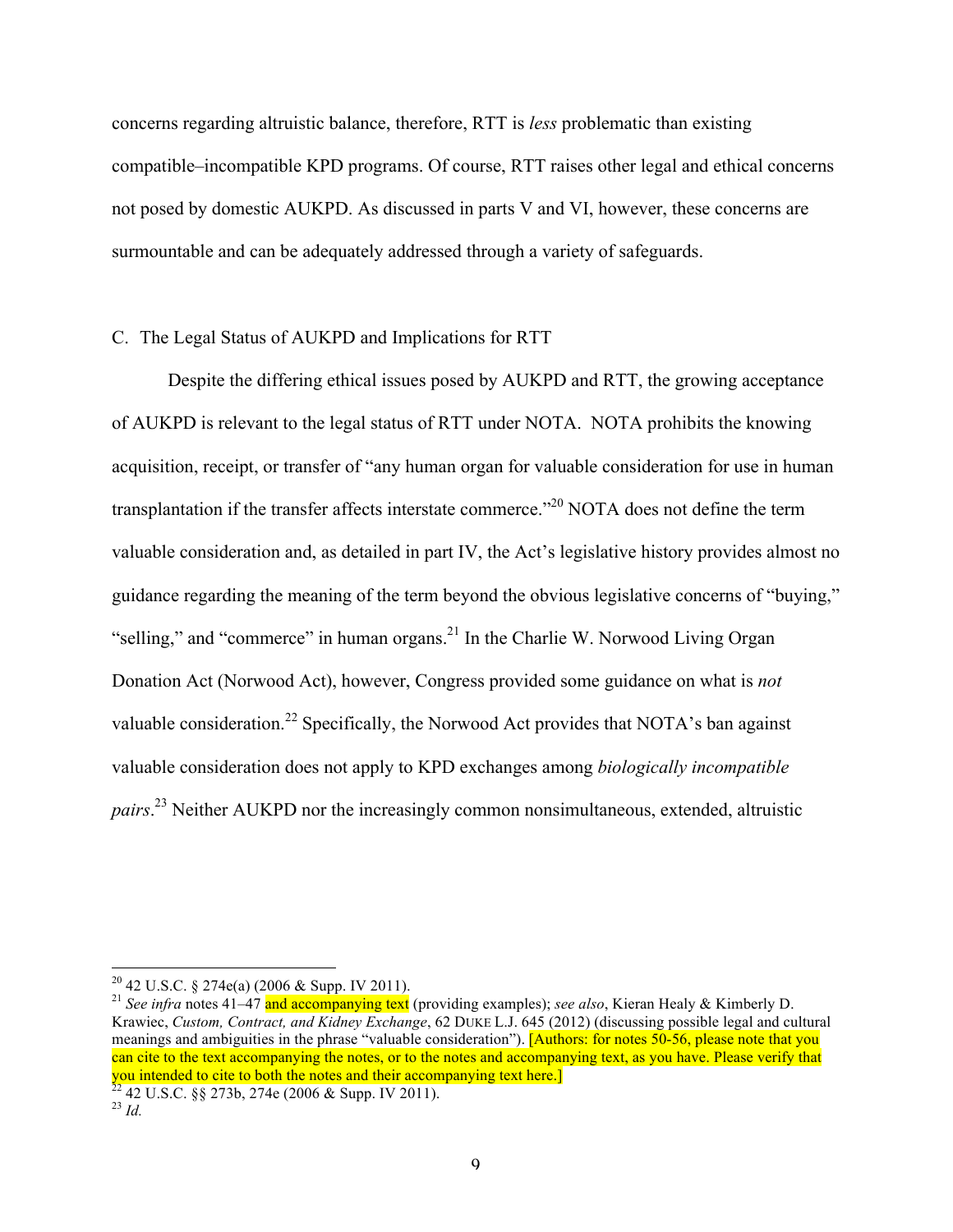concerns regarding altruistic balance, therefore, RTT is *less* problematic than existing compatible–incompatible KPD programs. Of course, RTT raises other legal and ethical concerns not posed by domestic AUKPD. As discussed in parts V and VI, however, these concerns are surmountable and can be adequately addressed through a variety of safeguards.

# C. The Legal Status of AUKPD and Implications for RTT

Despite the differing ethical issues posed by AUKPD and RTT, the growing acceptance of AUKPD is relevant to the legal status of RTT under NOTA. NOTA prohibits the knowing acquisition, receipt, or transfer of "any human organ for valuable consideration for use in human transplantation if the transfer affects interstate commerce."<sup>20</sup> NOTA does not define the term valuable consideration and, as detailed in part IV, the Act's legislative history provides almost no guidance regarding the meaning of the term beyond the obvious legislative concerns of "buying," "selling," and "commerce" in human organs.<sup>21</sup> In the Charlie W. Norwood Living Organ Donation Act (Norwood Act), however, Congress provided some guidance on what is *not* valuable consideration.<sup>22</sup> Specifically, the Norwood Act provides that NOTA's ban against valuable consideration does not apply to KPD exchanges among *biologically incompatible pairs*. <sup>23</sup> Neither AUKPD nor the increasingly common nonsimultaneous, extended, altruistic

<sup>&</sup>lt;sup>20</sup> 42 U.S.C. § 274e(a) (2006 & Supp. IV 2011).<br><sup>21</sup> *See infra* notes 41–47 and accompanying text (providing examples); *see also*, Kieran Healy & Kimberly D. Krawiec, *Custom, Contract, and Kidney Exchange*, 62 DUKE L.J. 645 (2012) (discussing possible legal and cultural meanings and ambiguities in the phrase "valuable consideration"). [Authors: for notes 50-56, please note that you can cite to the text accompanying the notes, or to the notes and accompanying text, as you have. Please verify that you intended to cite to both the notes and their accompanying text here.]<br><sup>22</sup> 42 U.S.C. §§ 273b, 274e (2006 & Supp. IV 2011).<br><sup>23</sup> *Id.*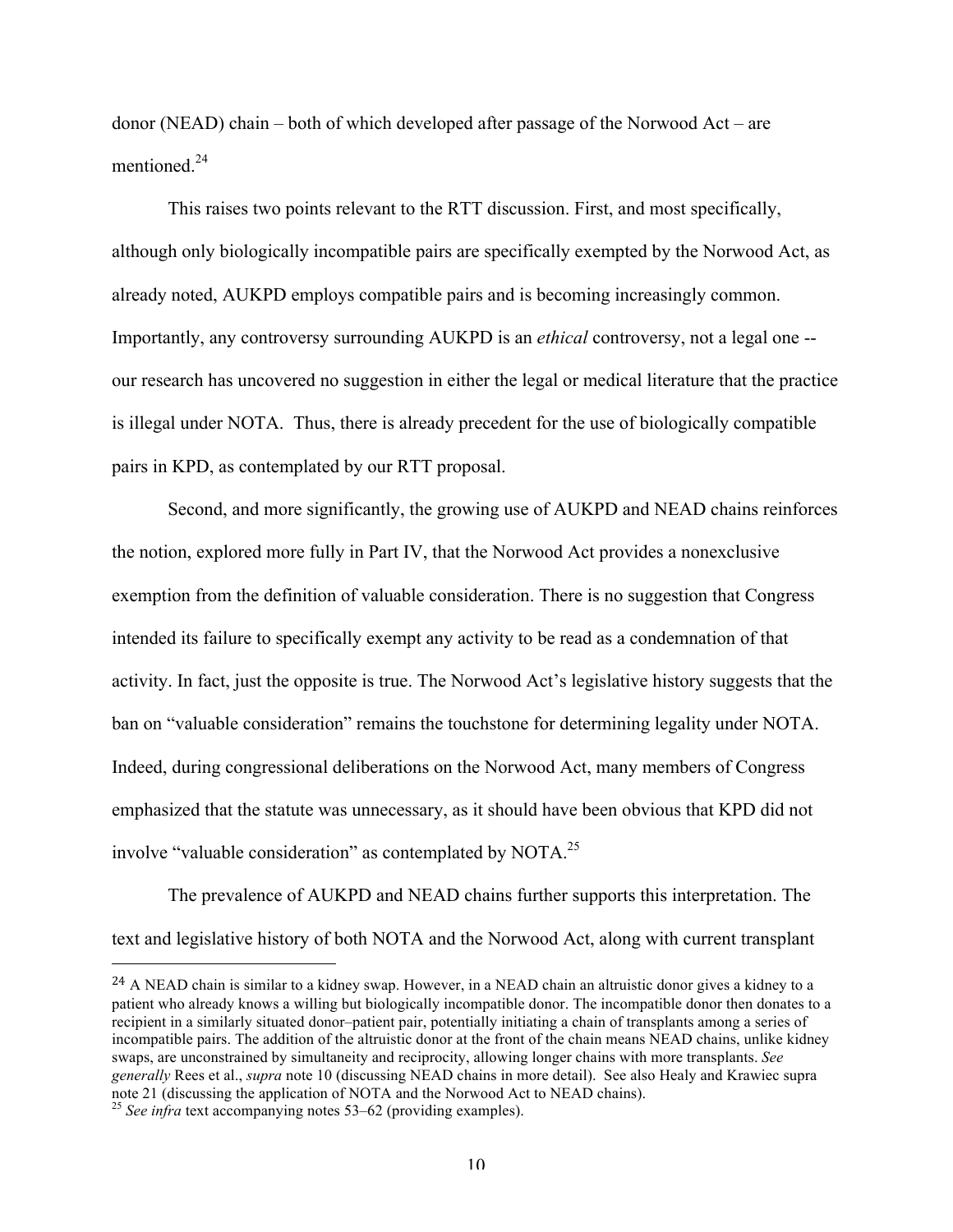donor (NEAD) chain – both of which developed after passage of the Norwood Act – are mentioned<sup>24</sup>

This raises two points relevant to the RTT discussion. First, and most specifically, although only biologically incompatible pairs are specifically exempted by the Norwood Act, as already noted, AUKPD employs compatible pairs and is becoming increasingly common. Importantly, any controversy surrounding AUKPD is an *ethical* controversy, not a legal one - our research has uncovered no suggestion in either the legal or medical literature that the practice is illegal under NOTA. Thus, there is already precedent for the use of biologically compatible pairs in KPD, as contemplated by our RTT proposal.

Second, and more significantly, the growing use of AUKPD and NEAD chains reinforces the notion, explored more fully in Part IV, that the Norwood Act provides a nonexclusive exemption from the definition of valuable consideration. There is no suggestion that Congress intended its failure to specifically exempt any activity to be read as a condemnation of that activity. In fact, just the opposite is true. The Norwood Act's legislative history suggests that the ban on "valuable consideration" remains the touchstone for determining legality under NOTA. Indeed, during congressional deliberations on the Norwood Act, many members of Congress emphasized that the statute was unnecessary, as it should have been obvious that KPD did not involve "valuable consideration" as contemplated by NOTA.25

The prevalence of AUKPD and NEAD chains further supports this interpretation. The text and legislative history of both NOTA and the Norwood Act, along with current transplant

 

<sup>&</sup>lt;sup>24</sup> A NEAD chain is similar to a kidney swap. However, in a NEAD chain an altruistic donor gives a kidney to a patient who already knows a willing but biologically incompatible donor. The incompatible donor then donates to a recipient in a similarly situated donor–patient pair, potentially initiating a chain of transplants among a series of incompatible pairs. The addition of the altruistic donor at the front of the chain means NEAD chains, unlike kidney swaps, are unconstrained by simultaneity and reciprocity, allowing longer chains with more transplants. *See generally* Rees et al., *supra* note 10 (discussing NEAD chains in more detail). See also Healy and Krawiec supra note 21 (discussing the application of NOTA and the Norwood Act to NEAD chains). <sup>25</sup> *See infra* text accompanying notes 53–62 (providing examples).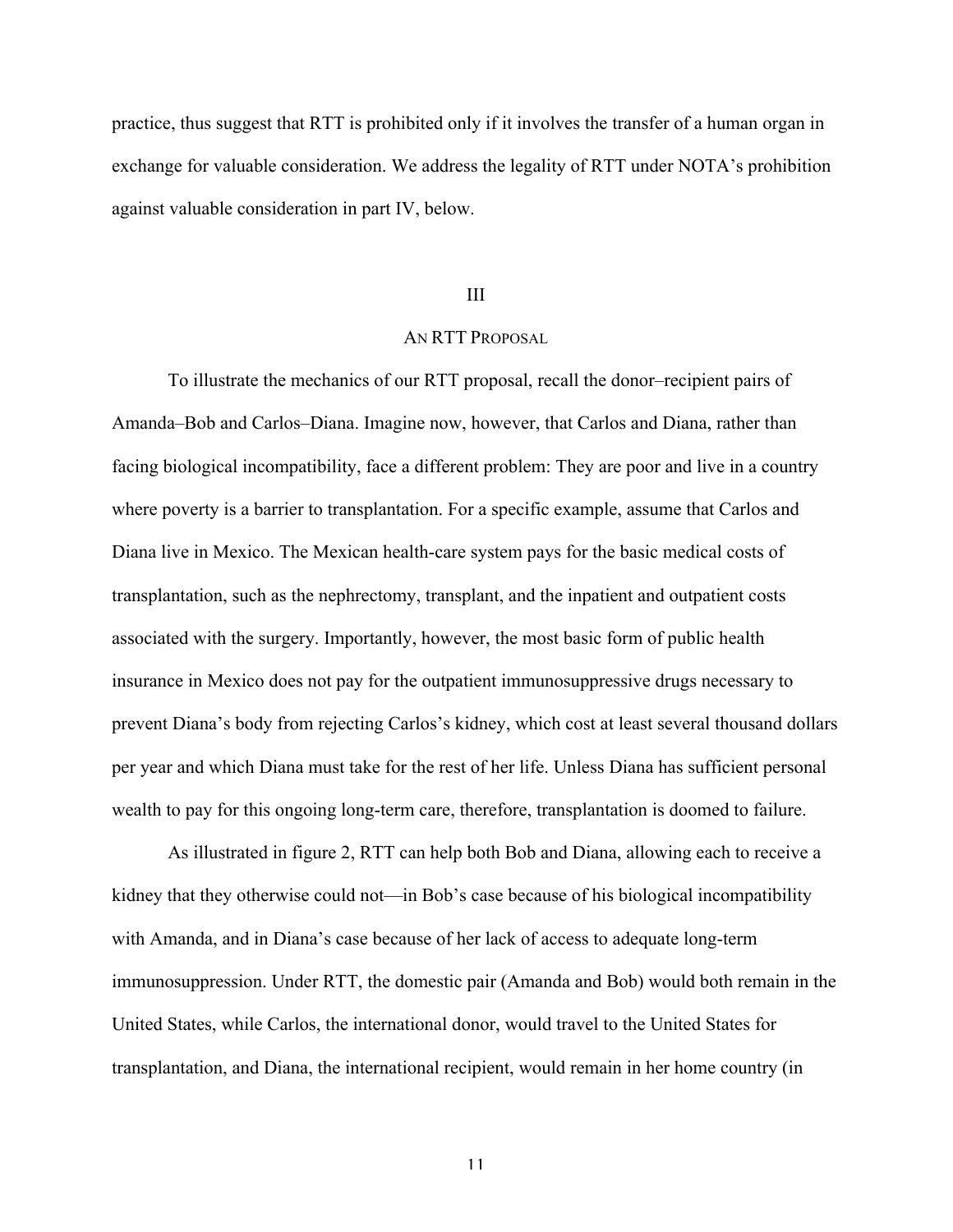practice, thus suggest that RTT is prohibited only if it involves the transfer of a human organ in exchange for valuable consideration. We address the legality of RTT under NOTA's prohibition against valuable consideration in part IV, below.

### III

# AN RTT PROPOSAL

To illustrate the mechanics of our RTT proposal, recall the donor–recipient pairs of Amanda–Bob and Carlos–Diana. Imagine now, however, that Carlos and Diana, rather than facing biological incompatibility, face a different problem: They are poor and live in a country where poverty is a barrier to transplantation. For a specific example, assume that Carlos and Diana live in Mexico. The Mexican health-care system pays for the basic medical costs of transplantation, such as the nephrectomy, transplant, and the inpatient and outpatient costs associated with the surgery. Importantly, however, the most basic form of public health insurance in Mexico does not pay for the outpatient immunosuppressive drugs necessary to prevent Diana's body from rejecting Carlos's kidney, which cost at least several thousand dollars per year and which Diana must take for the rest of her life. Unless Diana has sufficient personal wealth to pay for this ongoing long-term care, therefore, transplantation is doomed to failure.

As illustrated in figure 2, RTT can help both Bob and Diana, allowing each to receive a kidney that they otherwise could not—in Bob's case because of his biological incompatibility with Amanda, and in Diana's case because of her lack of access to adequate long-term immunosuppression. Under RTT, the domestic pair (Amanda and Bob) would both remain in the United States, while Carlos, the international donor, would travel to the United States for transplantation, and Diana, the international recipient, would remain in her home country (in

11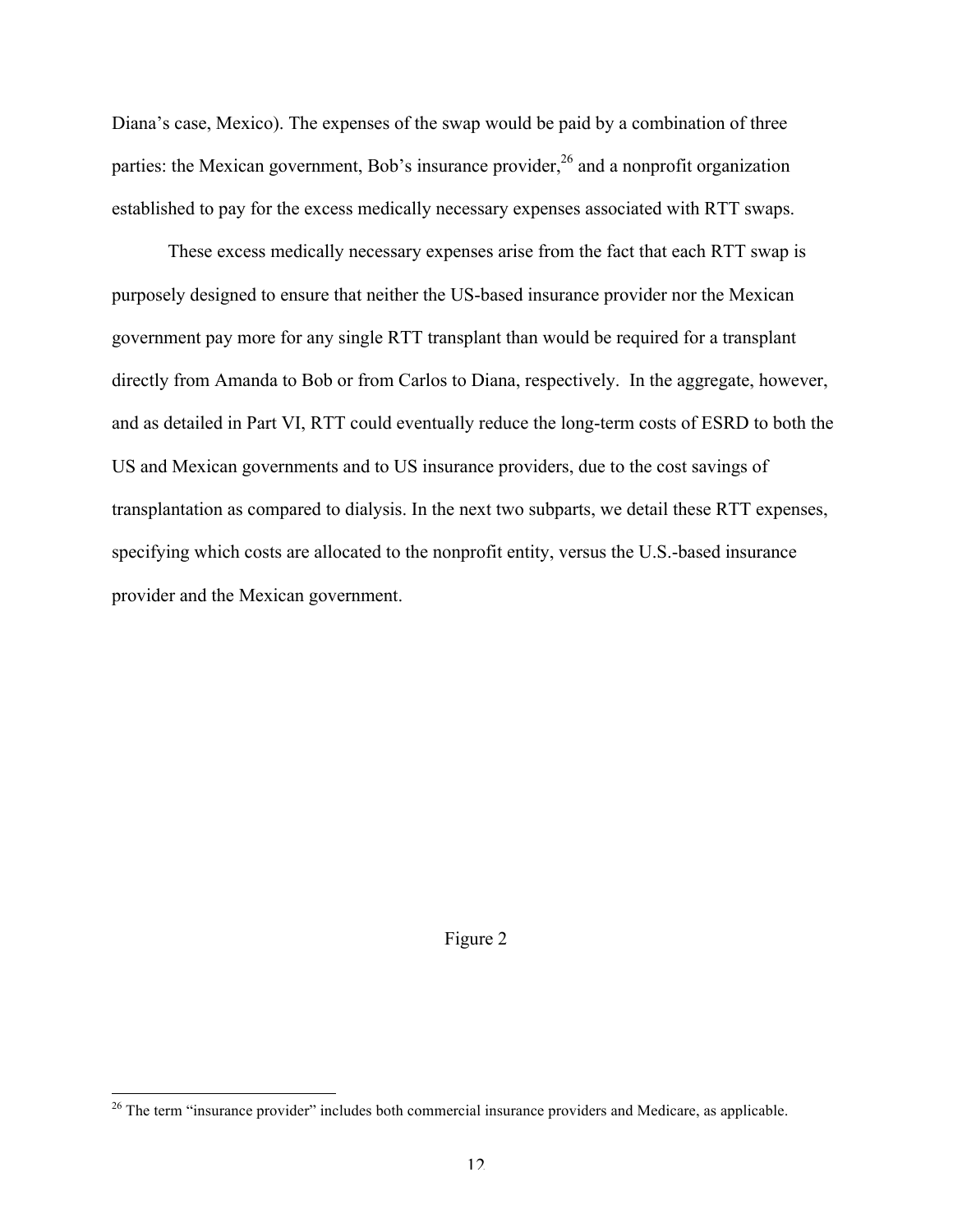Diana's case, Mexico). The expenses of the swap would be paid by a combination of three parties: the Mexican government, Bob's insurance provider,  $2^6$  and a nonprofit organization established to pay for the excess medically necessary expenses associated with RTT swaps.

These excess medically necessary expenses arise from the fact that each RTT swap is purposely designed to ensure that neither the US-based insurance provider nor the Mexican government pay more for any single RTT transplant than would be required for a transplant directly from Amanda to Bob or from Carlos to Diana, respectively. In the aggregate, however, and as detailed in Part VI, RTT could eventually reduce the long-term costs of ESRD to both the US and Mexican governments and to US insurance providers, due to the cost savings of transplantation as compared to dialysis. In the next two subparts, we detail these RTT expenses, specifying which costs are allocated to the nonprofit entity, versus the U.S.-based insurance provider and the Mexican government.

#### Figure 2

<sup>&</sup>lt;sup>26</sup> The term "insurance provider" includes both commercial insurance providers and Medicare, as applicable.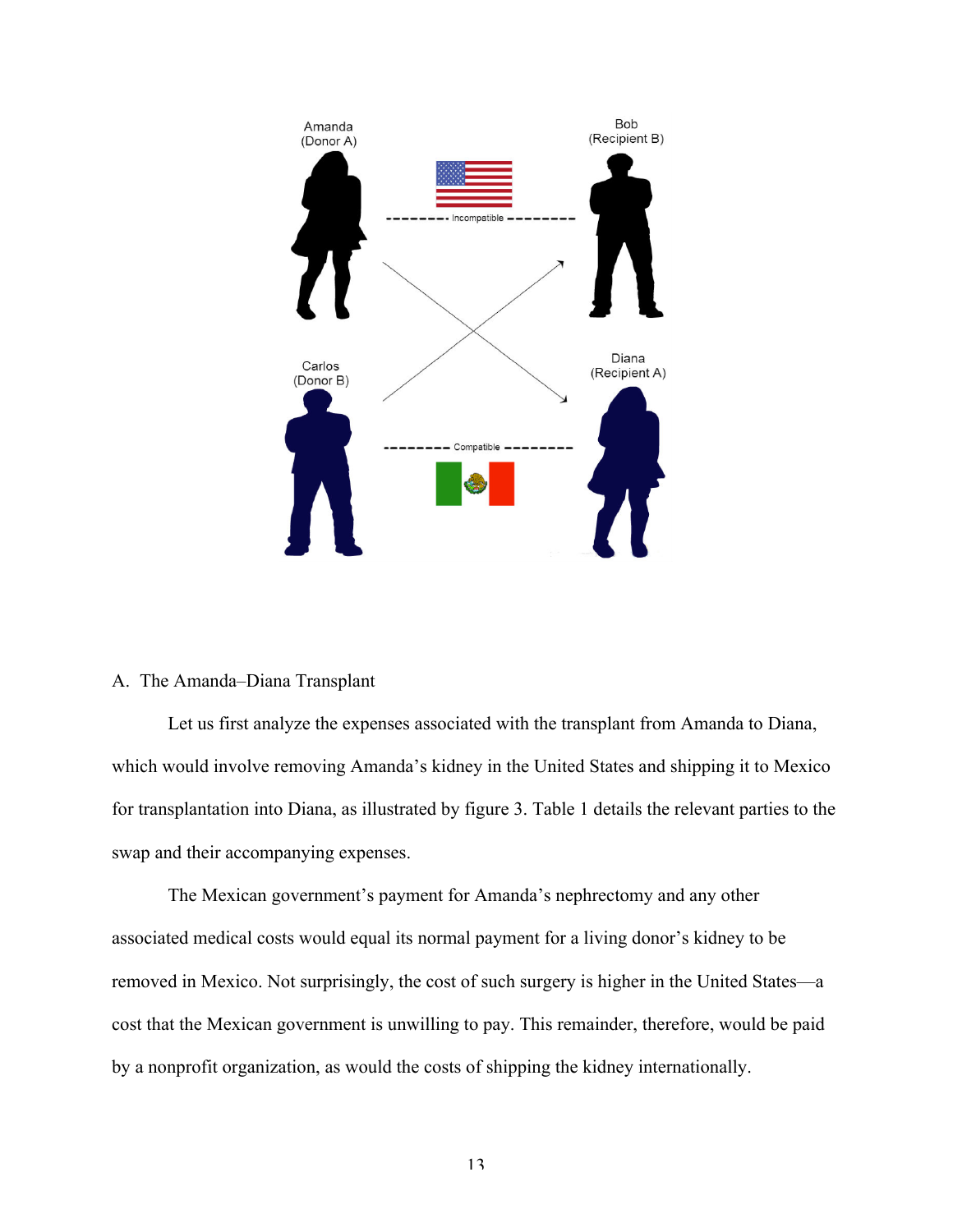

# A. The Amanda–Diana Transplant

Let us first analyze the expenses associated with the transplant from Amanda to Diana, which would involve removing Amanda's kidney in the United States and shipping it to Mexico for transplantation into Diana, as illustrated by figure 3. Table 1 details the relevant parties to the swap and their accompanying expenses.

The Mexican government's payment for Amanda's nephrectomy and any other associated medical costs would equal its normal payment for a living donor's kidney to be removed in Mexico. Not surprisingly, the cost of such surgery is higher in the United States—a cost that the Mexican government is unwilling to pay. This remainder, therefore, would be paid by a nonprofit organization, as would the costs of shipping the kidney internationally.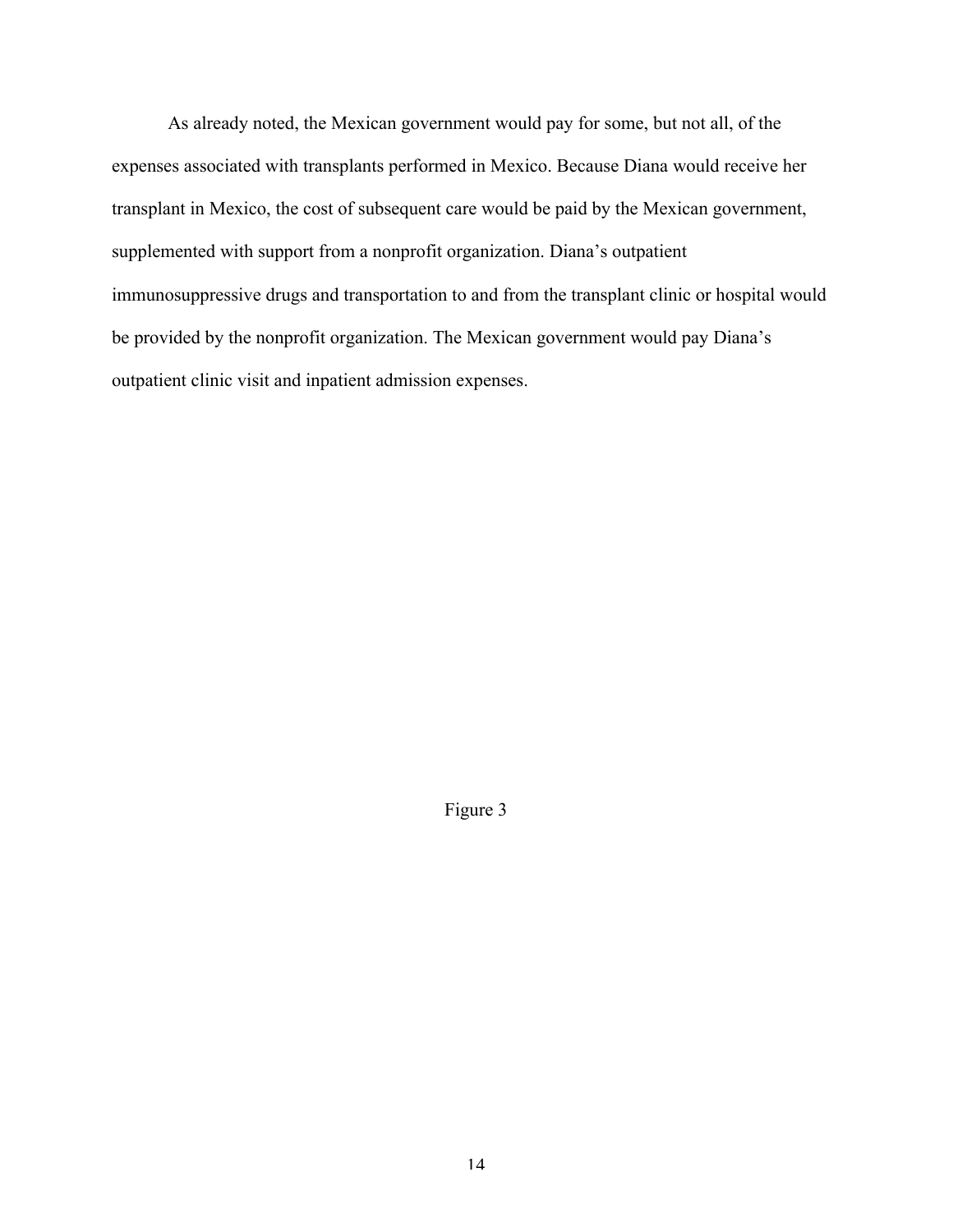As already noted, the Mexican government would pay for some, but not all, of the expenses associated with transplants performed in Mexico. Because Diana would receive her transplant in Mexico, the cost of subsequent care would be paid by the Mexican government, supplemented with support from a nonprofit organization. Diana's outpatient immunosuppressive drugs and transportation to and from the transplant clinic or hospital would be provided by the nonprofit organization. The Mexican government would pay Diana's outpatient clinic visit and inpatient admission expenses.

Figure 3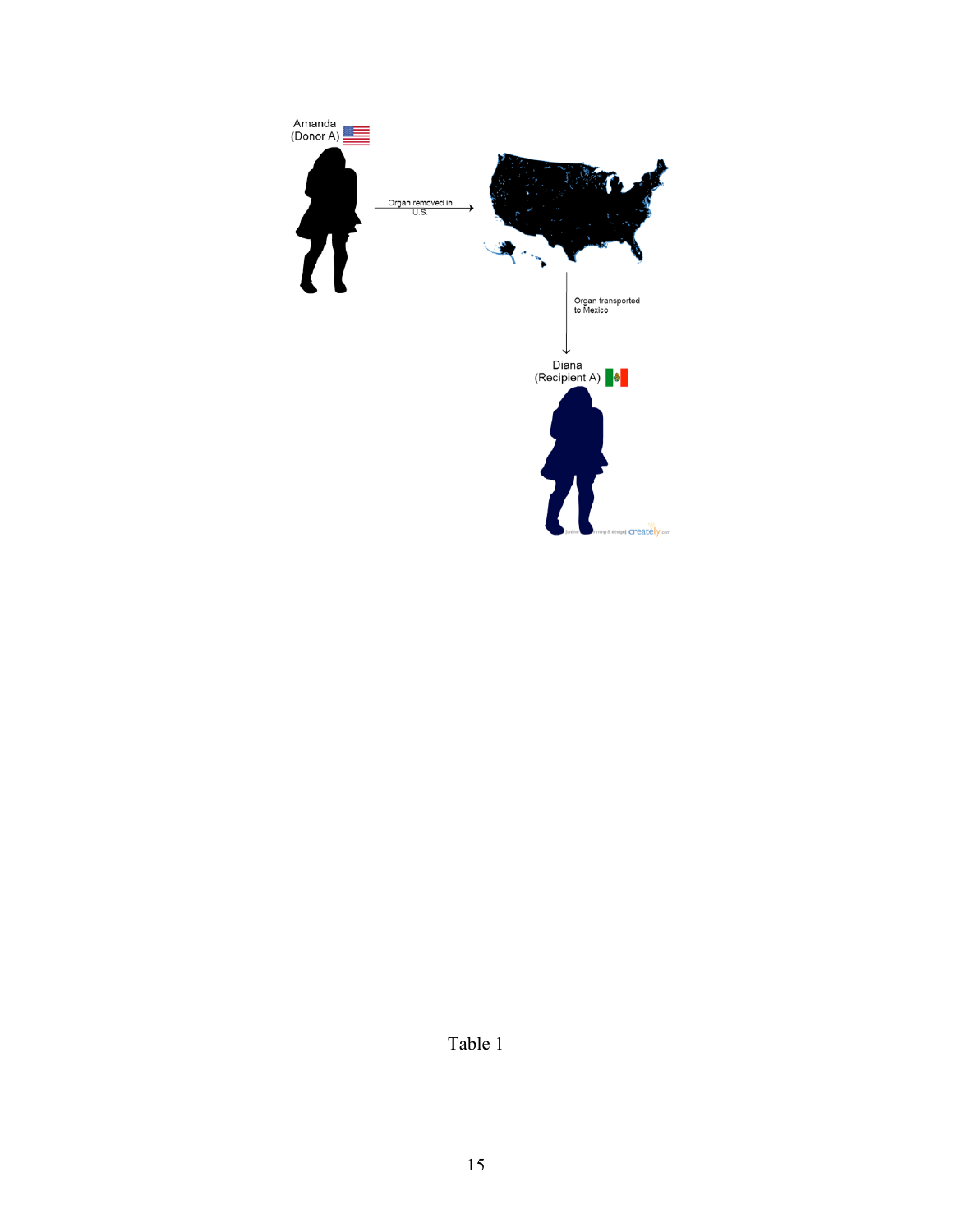

Table 1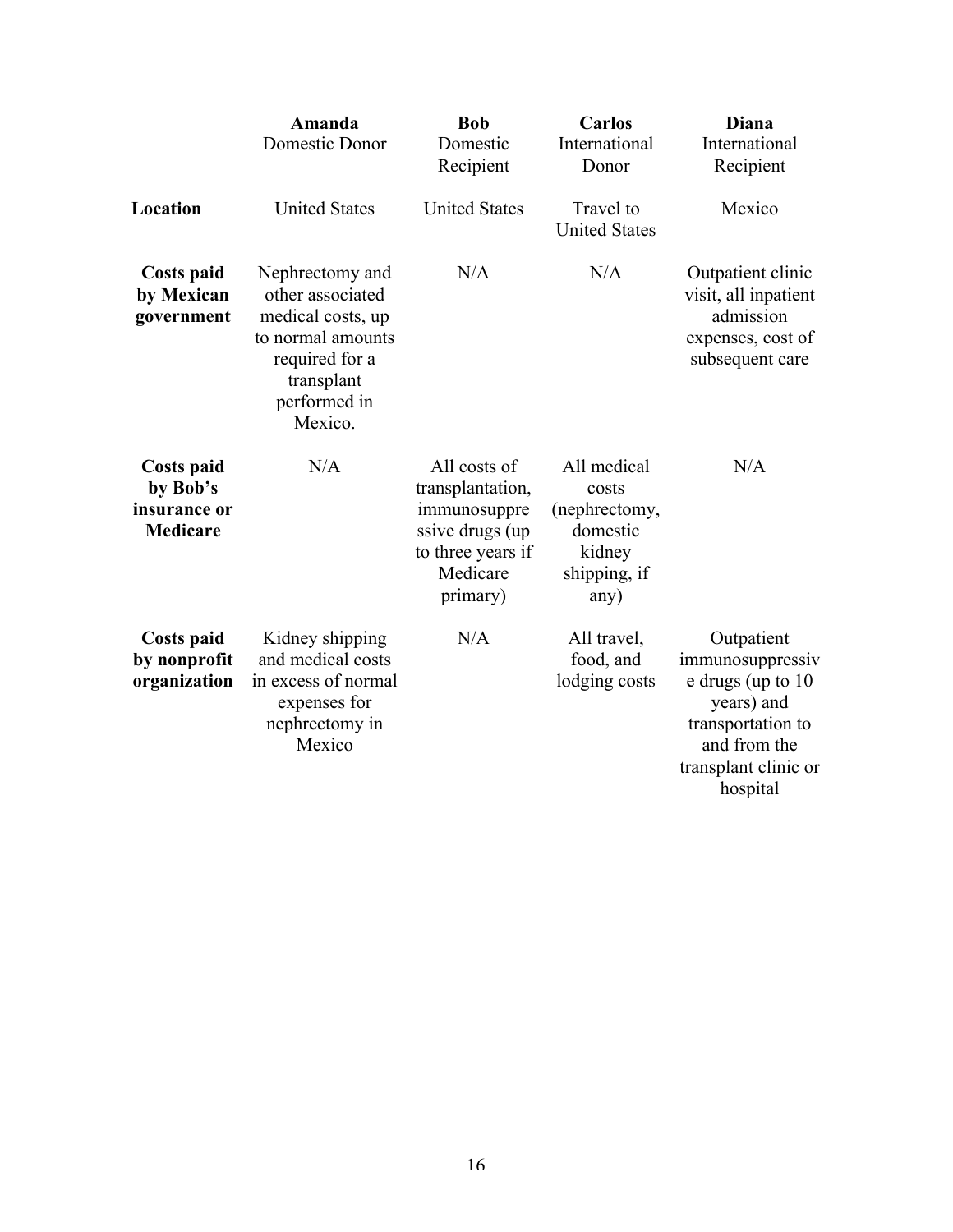|                                                           | Amanda<br>Domestic Donor                                                                                                                 | <b>Bob</b><br>Domestic<br>Recipient                                                                               | <b>Carlos</b><br>International<br>Donor                                             | Diana<br>International<br>Recipient                                                                                                        |
|-----------------------------------------------------------|------------------------------------------------------------------------------------------------------------------------------------------|-------------------------------------------------------------------------------------------------------------------|-------------------------------------------------------------------------------------|--------------------------------------------------------------------------------------------------------------------------------------------|
| Location                                                  | <b>United States</b>                                                                                                                     | <b>United States</b>                                                                                              | Travel to<br><b>United States</b>                                                   | Mexico                                                                                                                                     |
| <b>Costs paid</b><br>by Mexican<br>government             | Nephrectomy and<br>other associated<br>medical costs, up<br>to normal amounts<br>required for a<br>transplant<br>performed in<br>Mexico. | N/A                                                                                                               | N/A                                                                                 | Outpatient clinic<br>visit, all inpatient<br>admission<br>expenses, cost of<br>subsequent care                                             |
| Costs paid<br>by Bob's<br>insurance or<br><b>Medicare</b> | N/A                                                                                                                                      | All costs of<br>transplantation,<br>immunosuppre<br>ssive drugs (up)<br>to three years if<br>Medicare<br>primary) | All medical<br>costs<br>(nephrectomy,<br>domestic<br>kidney<br>shipping, if<br>any) | N/A                                                                                                                                        |
| Costs paid<br>by nonprofit<br>organization                | Kidney shipping<br>and medical costs<br>in excess of normal<br>expenses for<br>nephrectomy in<br>Mexico                                  | N/A                                                                                                               | All travel,<br>food, and<br>lodging costs                                           | Outpatient<br>immunosuppressiv<br>e drugs (up to 10<br>years) and<br>transportation to<br>and from the<br>transplant clinic or<br>hospital |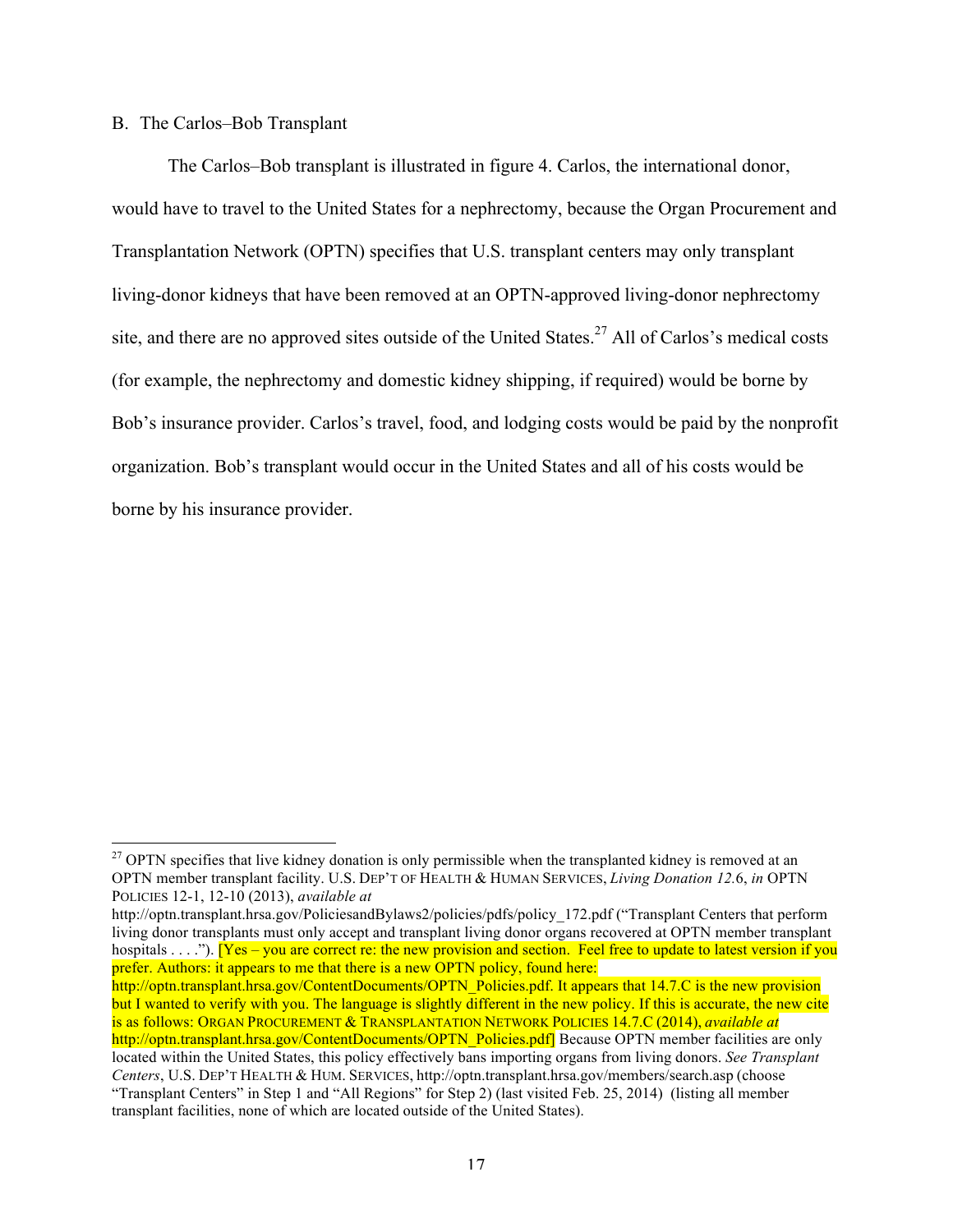## B. The Carlos–Bob Transplant

The Carlos–Bob transplant is illustrated in figure 4. Carlos, the international donor, would have to travel to the United States for a nephrectomy, because the Organ Procurement and Transplantation Network (OPTN) specifies that U.S. transplant centers may only transplant living-donor kidneys that have been removed at an OPTN-approved living-donor nephrectomy site, and there are no approved sites outside of the United States.<sup>27</sup> All of Carlos's medical costs (for example, the nephrectomy and domestic kidney shipping, if required) would be borne by Bob's insurance provider. Carlos's travel, food, and lodging costs would be paid by the nonprofit organization. Bob's transplant would occur in the United States and all of his costs would be borne by his insurance provider.

<sup>&</sup>lt;sup>27</sup> OPTN specifies that live kidney donation is only permissible when the transplanted kidney is removed at an OPTN member transplant facility. U.S. DEP'T OF HEALTH & HUMAN SERVICES, *Living Donation 12.*6, *in* OPTN POLICIES 12-1, 12-10 (2013), *available at*

http://optn.transplant.hrsa.gov/PoliciesandBylaws2/policies/pdfs/policy\_172.pdf ("Transplant Centers that perform living donor transplants must only accept and transplant living donor organs recovered at OPTN member transplant hospitals . . . ."). [Yes – you are correct re: the new provision and section. Feel free to update to latest version if you prefer. Authors: it appears to me that there is a new OPTN policy, found here:

http://optn.transplant.hrsa.gov/ContentDocuments/OPTN\_Policies.pdf. It appears that 14.7.C is the new provision but I wanted to verify with you. The language is slightly different in the new policy. If this is accurate, the new cite is as follows: ORGAN PROCUREMENT & TRANSPLANTATION NETWORK POLICIES 14.7.C (2014), *available at* http://optn.transplant.hrsa.gov/ContentDocuments/OPTN\_Policies.pdf] Because OPTN member facilities are only

located within the United States, this policy effectively bans importing organs from living donors. *See Transplant Centers*, U.S. DEP'T HEALTH & HUM. SERVICES, http://optn.transplant.hrsa.gov/members/search.asp (choose "Transplant Centers" in Step 1 and "All Regions" for Step 2) (last visited Feb. 25, 2014) (listing all member transplant facilities, none of which are located outside of the United States).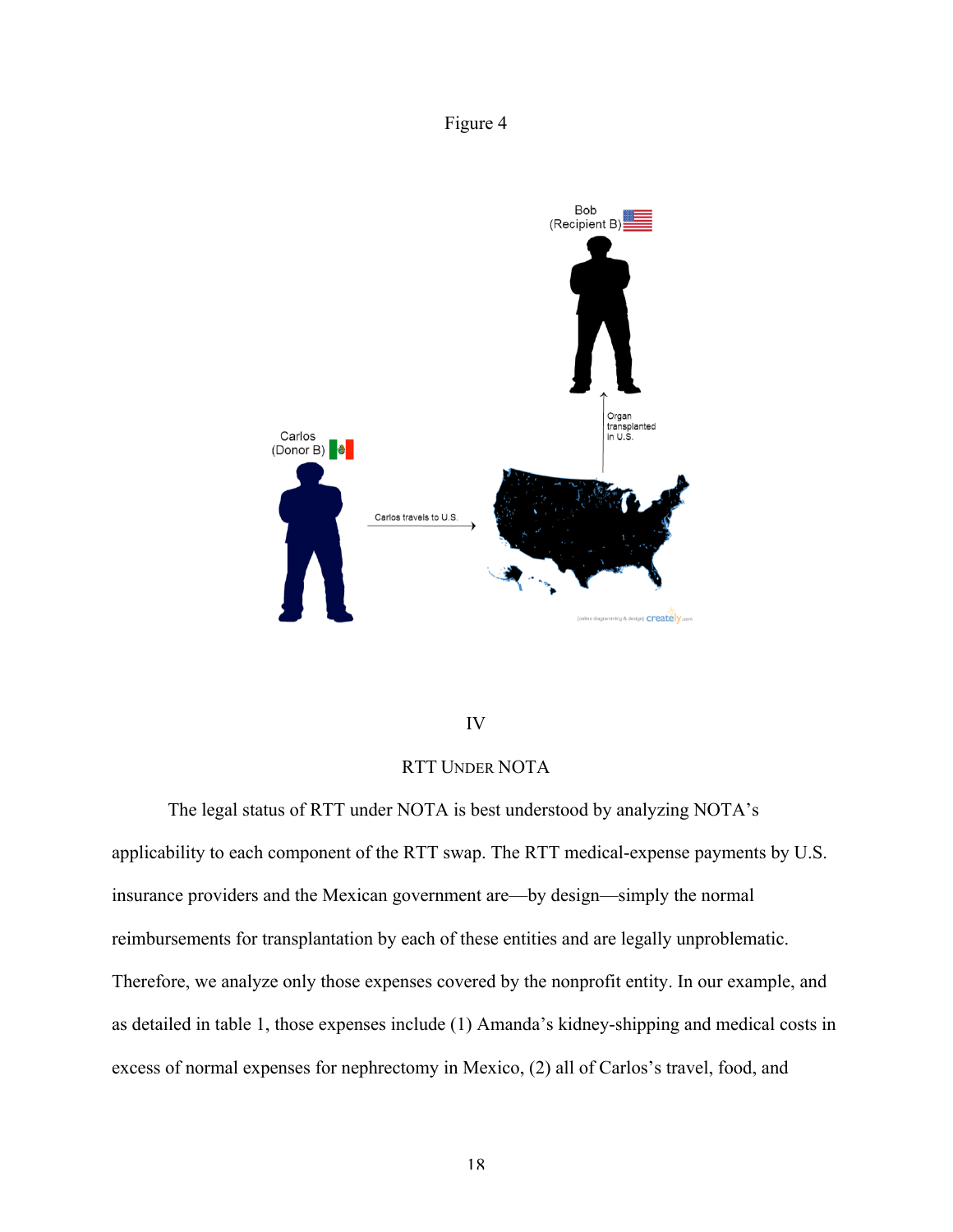# Figure 4



## IV

# RTT UNDER NOTA

The legal status of RTT under NOTA is best understood by analyzing NOTA's applicability to each component of the RTT swap. The RTT medical-expense payments by U.S. insurance providers and the Mexican government are—by design—simply the normal reimbursements for transplantation by each of these entities and are legally unproblematic. Therefore, we analyze only those expenses covered by the nonprofit entity. In our example, and as detailed in table 1, those expenses include (1) Amanda's kidney-shipping and medical costs in excess of normal expenses for nephrectomy in Mexico, (2) all of Carlos's travel, food, and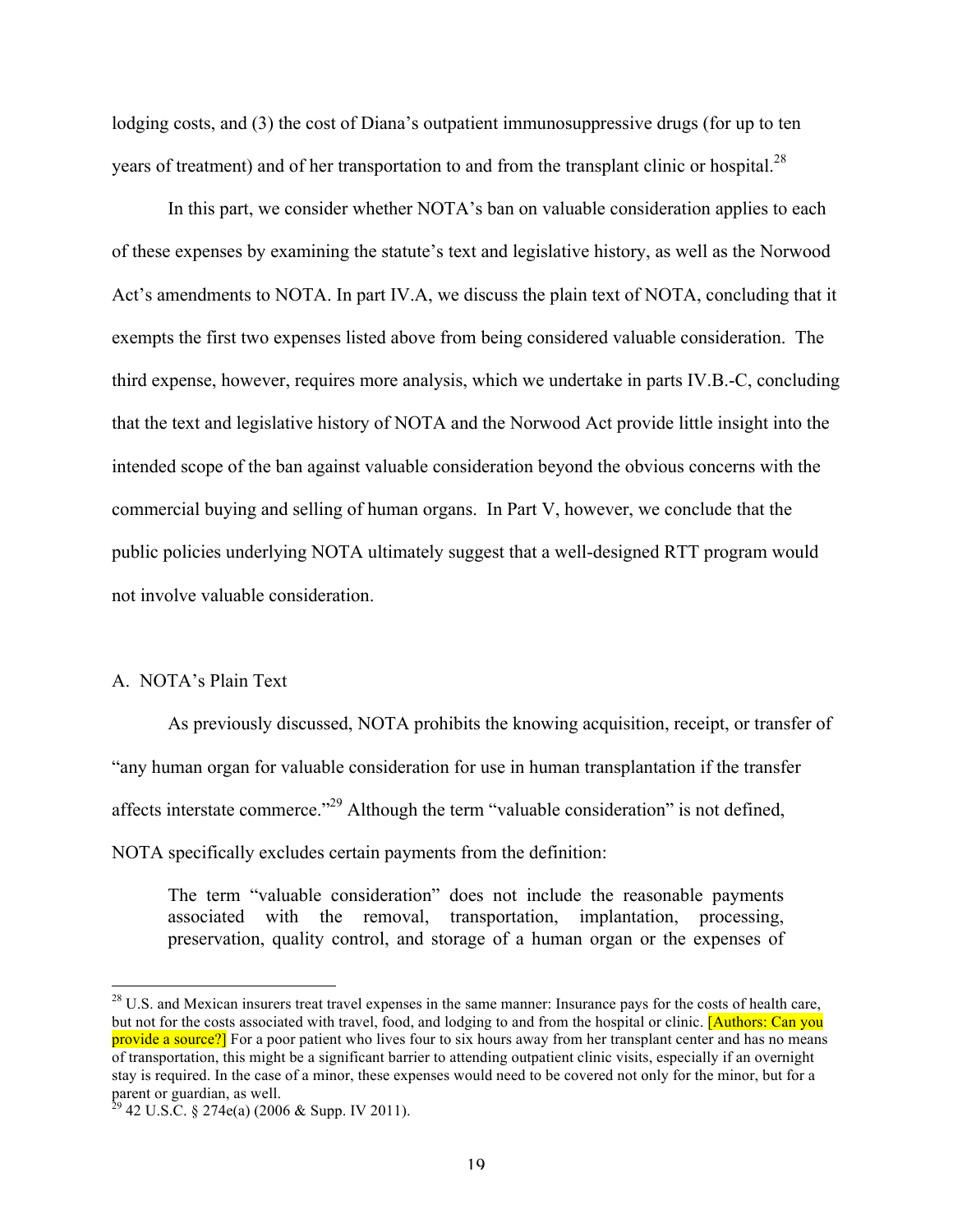lodging costs, and (3) the cost of Diana's outpatient immunosuppressive drugs (for up to ten years of treatment) and of her transportation to and from the transplant clinic or hospital.<sup>28</sup>

In this part, we consider whether NOTA's ban on valuable consideration applies to each of these expenses by examining the statute's text and legislative history, as well as the Norwood Act's amendments to NOTA. In part IV.A, we discuss the plain text of NOTA, concluding that it exempts the first two expenses listed above from being considered valuable consideration. The third expense, however, requires more analysis, which we undertake in parts IV.B.-C, concluding that the text and legislative history of NOTA and the Norwood Act provide little insight into the intended scope of the ban against valuable consideration beyond the obvious concerns with the commercial buying and selling of human organs. In Part V, however, we conclude that the public policies underlying NOTA ultimately suggest that a well-designed RTT program would not involve valuable consideration.

## A. NOTA's Plain Text

As previously discussed, NOTA prohibits the knowing acquisition, receipt, or transfer of "any human organ for valuable consideration for use in human transplantation if the transfer affects interstate commerce."29 Although the term "valuable consideration" is not defined, NOTA specifically excludes certain payments from the definition:

The term "valuable consideration" does not include the reasonable payments associated with the removal, transportation, implantation, processing, preservation, quality control, and storage of a human organ or the expenses of

 $^{28}$  U.S. and Mexican insurers treat travel expenses in the same manner: Insurance pays for the costs of health care, but not for the costs associated with travel, food, and lodging to and from the hospital or clinic. **[Authors: Can you** provide a source?] For a poor patient who lives four to six hours away from her transplant center and has no means of transportation, this might be a significant barrier to attending outpatient clinic visits, especially if an overnight stay is required. In the case of a minor, these expenses would need to be covered not only for the minor, but for a parent or guardian, as well.

 $29$  42 U.S.C. § 274e(a) (2006 & Supp. IV 2011).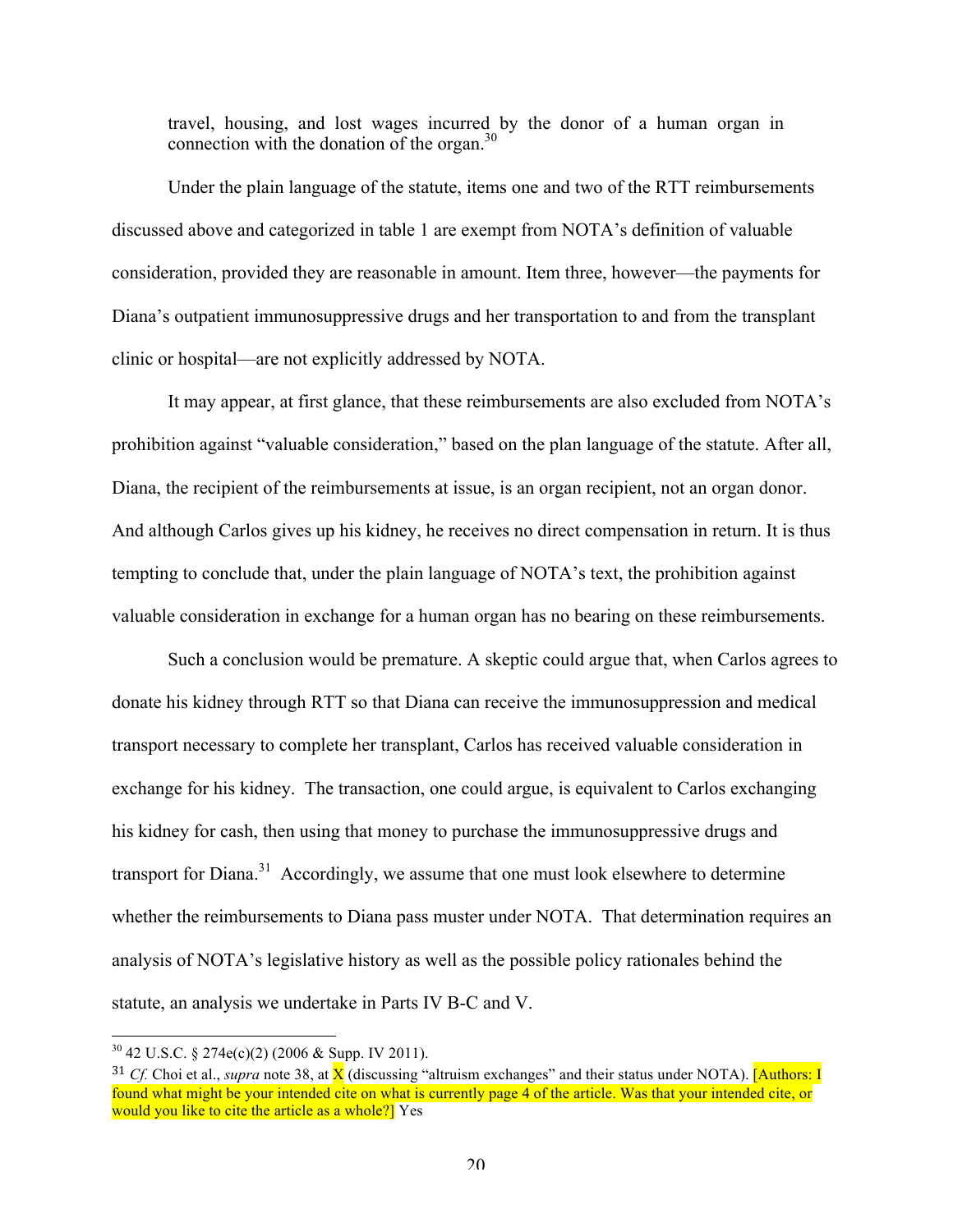travel, housing, and lost wages incurred by the donor of a human organ in connection with the donation of the organ. $30$ 

Under the plain language of the statute, items one and two of the RTT reimbursements discussed above and categorized in table 1 are exempt from NOTA's definition of valuable consideration, provided they are reasonable in amount. Item three, however—the payments for Diana's outpatient immunosuppressive drugs and her transportation to and from the transplant clinic or hospital—are not explicitly addressed by NOTA.

It may appear, at first glance, that these reimbursements are also excluded from NOTA's prohibition against "valuable consideration," based on the plan language of the statute. After all, Diana, the recipient of the reimbursements at issue, is an organ recipient, not an organ donor. And although Carlos gives up his kidney, he receives no direct compensation in return. It is thus tempting to conclude that, under the plain language of NOTA's text, the prohibition against valuable consideration in exchange for a human organ has no bearing on these reimbursements.

Such a conclusion would be premature. A skeptic could argue that, when Carlos agrees to donate his kidney through RTT so that Diana can receive the immunosuppression and medical transport necessary to complete her transplant, Carlos has received valuable consideration in exchange for his kidney. The transaction, one could argue, is equivalent to Carlos exchanging his kidney for cash, then using that money to purchase the immunosuppressive drugs and transport for Diana.<sup>31</sup> Accordingly, we assume that one must look elsewhere to determine whether the reimbursements to Diana pass muster under NOTA. That determination requires an analysis of NOTA's legislative history as well as the possible policy rationales behind the statute, an analysis we undertake in Parts IV B-C and V.

 $30$  42 U.S.C. § 274e(c)(2) (2006 & Supp. IV 2011).

 $31$  *Cf.* Choi et al., *supra* note 38, at  $\overline{X}$  (discussing "altruism exchanges" and their status under NOTA). [Authors: I found what might be your intended cite on what is currently page 4 of the article. Was that your intended cite, or would you like to cite the article as a whole?] Yes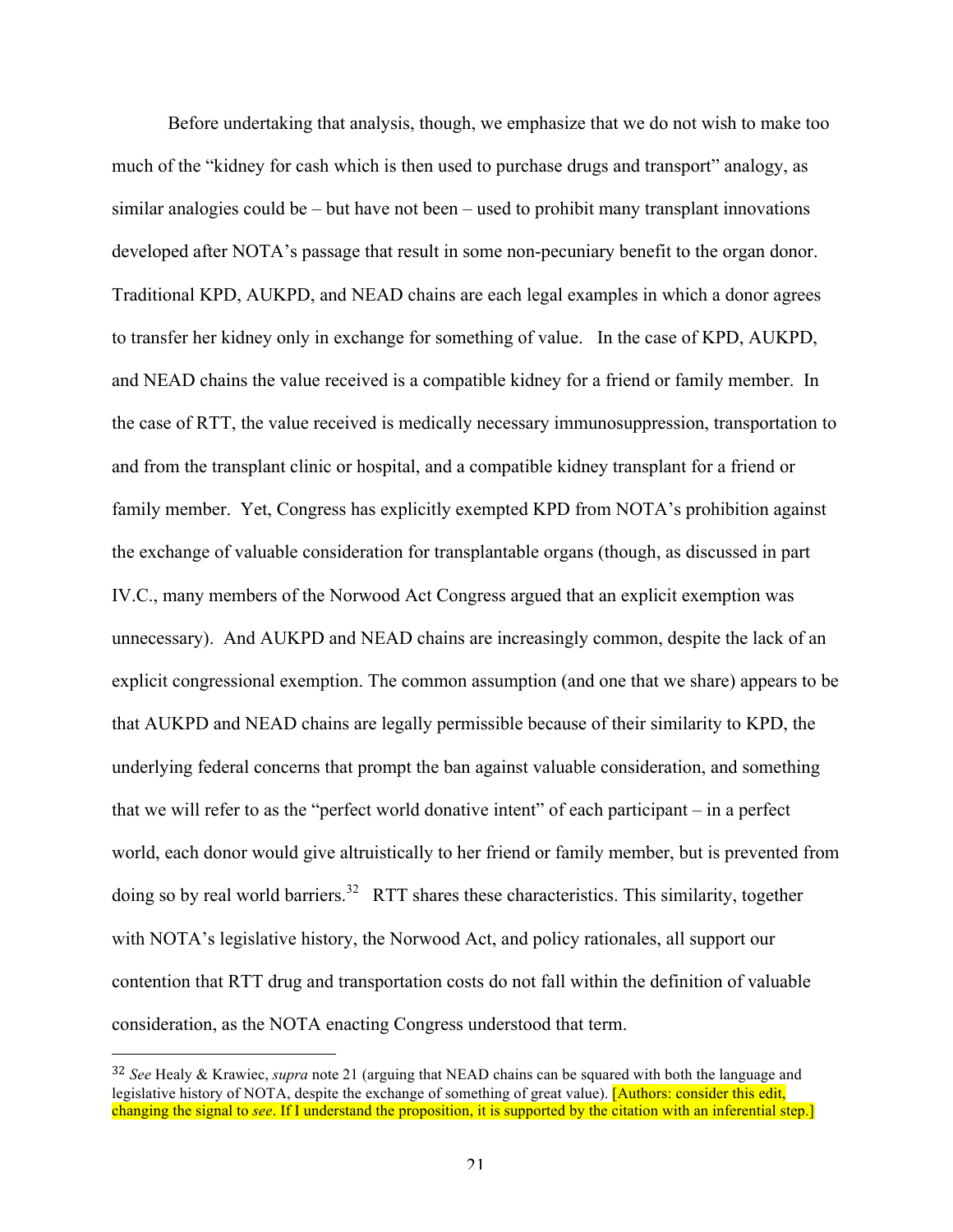Before undertaking that analysis, though, we emphasize that we do not wish to make too much of the "kidney for cash which is then used to purchase drugs and transport" analogy, as similar analogies could be – but have not been – used to prohibit many transplant innovations developed after NOTA's passage that result in some non-pecuniary benefit to the organ donor. Traditional KPD, AUKPD, and NEAD chains are each legal examples in which a donor agrees to transfer her kidney only in exchange for something of value. In the case of KPD, AUKPD, and NEAD chains the value received is a compatible kidney for a friend or family member. In the case of RTT, the value received is medically necessary immunosuppression, transportation to and from the transplant clinic or hospital, and a compatible kidney transplant for a friend or family member. Yet, Congress has explicitly exempted KPD from NOTA's prohibition against the exchange of valuable consideration for transplantable organs (though, as discussed in part IV.C., many members of the Norwood Act Congress argued that an explicit exemption was unnecessary). And AUKPD and NEAD chains are increasingly common, despite the lack of an explicit congressional exemption. The common assumption (and one that we share) appears to be that AUKPD and NEAD chains are legally permissible because of their similarity to KPD, the underlying federal concerns that prompt the ban against valuable consideration, and something that we will refer to as the "perfect world donative intent" of each participant – in a perfect world, each donor would give altruistically to her friend or family member, but is prevented from doing so by real world barriers.<sup>32</sup> RTT shares these characteristics. This similarity, together with NOTA's legislative history, the Norwood Act, and policy rationales, all support our contention that RTT drug and transportation costs do not fall within the definition of valuable consideration, as the NOTA enacting Congress understood that term.

 

<sup>32</sup> *See* Healy & Krawiec, *supra* note 21 (arguing that NEAD chains can be squared with both the language and legislative history of NOTA, despite the exchange of something of great value). [Authors: consider this edit, changing the signal to *see*. If I understand the proposition, it is supported by the citation with an inferential step.]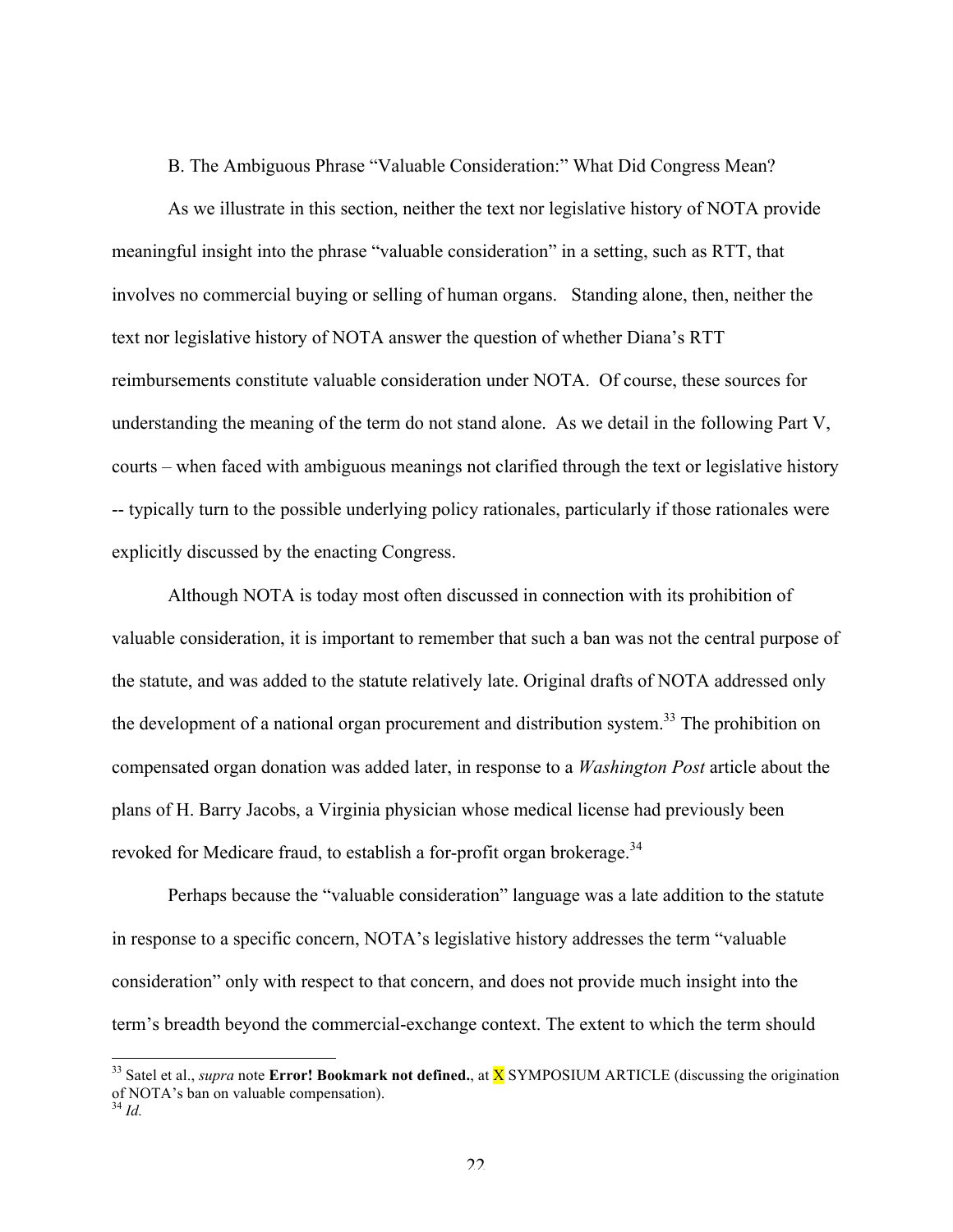B. The Ambiguous Phrase "Valuable Consideration:" What Did Congress Mean?

As we illustrate in this section, neither the text nor legislative history of NOTA provide meaningful insight into the phrase "valuable consideration" in a setting, such as RTT, that involves no commercial buying or selling of human organs. Standing alone, then, neither the text nor legislative history of NOTA answer the question of whether Diana's RTT reimbursements constitute valuable consideration under NOTA. Of course, these sources for understanding the meaning of the term do not stand alone. As we detail in the following Part V, courts – when faced with ambiguous meanings not clarified through the text or legislative history -- typically turn to the possible underlying policy rationales, particularly if those rationales were explicitly discussed by the enacting Congress.

Although NOTA is today most often discussed in connection with its prohibition of valuable consideration, it is important to remember that such a ban was not the central purpose of the statute, and was added to the statute relatively late. Original drafts of NOTA addressed only the development of a national organ procurement and distribution system.<sup>33</sup> The prohibition on compensated organ donation was added later, in response to a *Washington Post* article about the plans of H. Barry Jacobs, a Virginia physician whose medical license had previously been revoked for Medicare fraud, to establish a for-profit organ brokerage.<sup>34</sup>

Perhaps because the "valuable consideration" language was a late addition to the statute in response to a specific concern, NOTA's legislative history addresses the term "valuable consideration" only with respect to that concern, and does not provide much insight into the term's breadth beyond the commercial-exchange context. The extent to which the term should

<sup>&</sup>lt;sup>33</sup> Satel et al., *supra* note **Error! Bookmark not defined.**, at **X** SYMPOSIUM ARTICLE (discussing the origination of NOTA's ban on valuable compensation). <sup>34</sup> *Id.*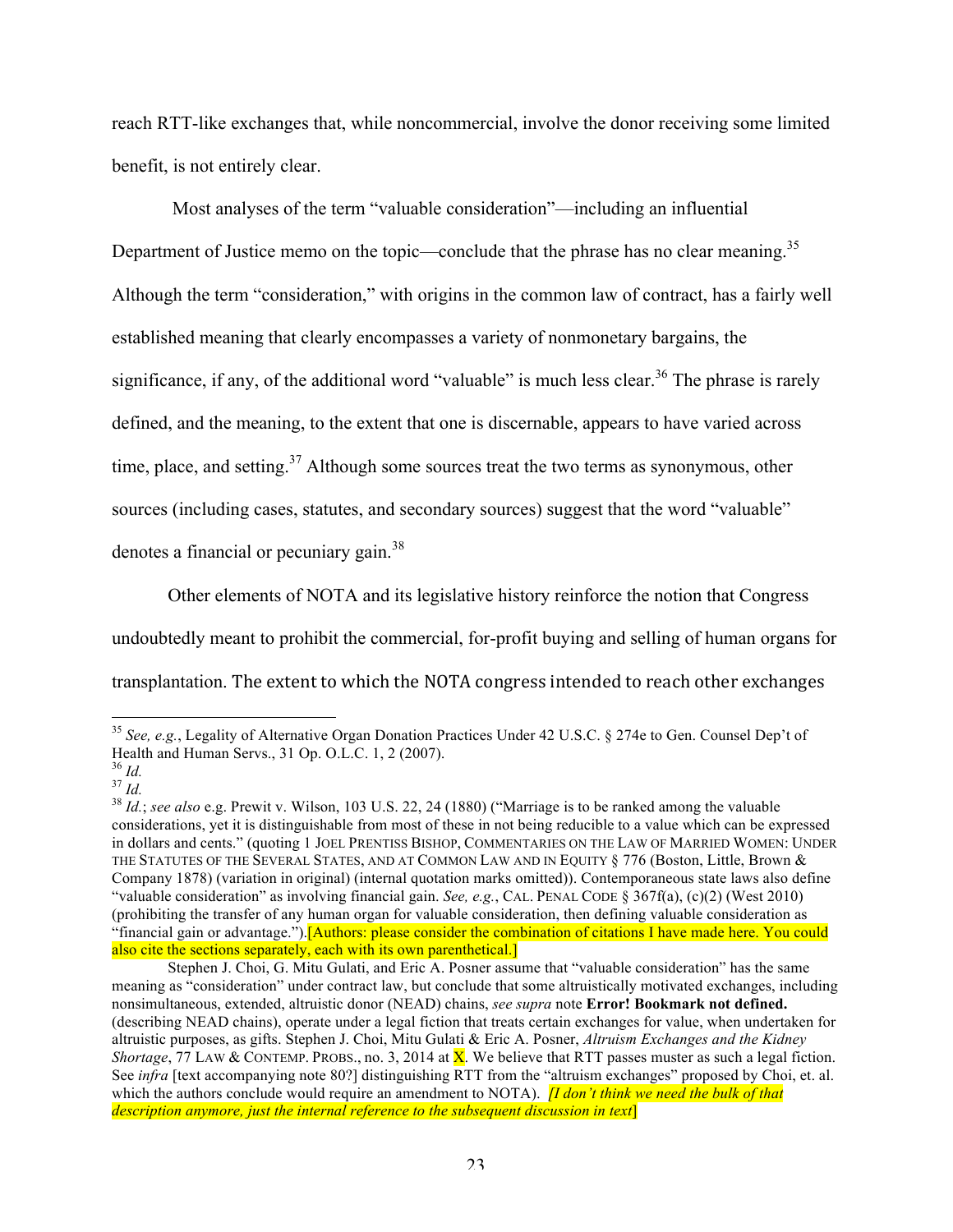reach RTT-like exchanges that, while noncommercial, involve the donor receiving some limited benefit, is not entirely clear.

Most analyses of the term "valuable consideration"—including an influential Department of Justice memo on the topic—conclude that the phrase has no clear meaning.<sup>35</sup> Although the term "consideration," with origins in the common law of contract, has a fairly well established meaning that clearly encompasses a variety of nonmonetary bargains, the significance, if any, of the additional word "valuable" is much less clear.<sup>36</sup> The phrase is rarely defined, and the meaning, to the extent that one is discernable, appears to have varied across time, place, and setting.<sup>37</sup> Although some sources treat the two terms as synonymous, other sources (including cases, statutes, and secondary sources) suggest that the word "valuable" denotes a financial or pecuniary gain.<sup>38</sup>

Other elements of NOTA and its legislative history reinforce the notion that Congress

undoubtedly meant to prohibit the commercial, for-profit buying and selling of human organs for

transplantation. The extent to which the NOTA congress intended to reach other exchanges

 <sup>35</sup> *See, e.g.*, Legality of Alternative Organ Donation Practices Under 42 U.S.C. § 274e to Gen. Counsel Dep't of Health and Human Servs., 31 Op. O.L.C. 1, 2 (2007).<br><sup>36</sup> Id

<sup>&</sup>lt;sup>37</sup> *Id.*<br><sup>38</sup> *Id.*; *see also* e.g. Prewit v. Wilson, 103 U.S. 22, 24 (1880) ("Marriage is to be ranked among the valuable considerations, yet it is distinguishable from most of these in not being reducible to a value which can be expressed in dollars and cents." (quoting 1 JOEL PRENTISS BISHOP, COMMENTARIES ON THE LAW OF MARRIED WOMEN: UNDER THE STATUTES OF THE SEVERAL STATES, AND AT COMMON LAW AND IN EQUITY § 776 (Boston, Little, Brown & Company 1878) (variation in original) (internal quotation marks omitted)). Contemporaneous state laws also define "valuable consideration" as involving financial gain. *See, e.g.*, CAL. PENAL CODE § 367f(a), (c)(2) (West 2010) (prohibiting the transfer of any human organ for valuable consideration, then defining valuable consideration as "financial gain or advantage.").[Authors: please consider the combination of citations I have made here. You could also cite the sections separately, each with its own parenthetical.]

Stephen J. Choi, G. Mitu Gulati, and Eric A. Posner assume that "valuable consideration" has the same meaning as "consideration" under contract law, but conclude that some altruistically motivated exchanges, including nonsimultaneous, extended, altruistic donor (NEAD) chains, *see supra* note **Error! Bookmark not defined.** (describing NEAD chains), operate under a legal fiction that treats certain exchanges for value, when undertaken for altruistic purposes, as gifts. Stephen J. Choi, Mitu Gulati & Eric A. Posner, *Altruism Exchanges and the Kidney Shortage*, 77 LAW & CONTEMP. PROBS., no. 3, 2014 at **X**. We believe that RTT passes muster as such a legal fiction. See *infra* [text accompanying note 80?] distinguishing RTT from the "altruism exchanges" proposed by Choi, et. al. which the authors conclude would require an amendment to NOTA). *[I don't think we need the bulk of that description anymore, just the internal reference to the subsequent discussion in text*]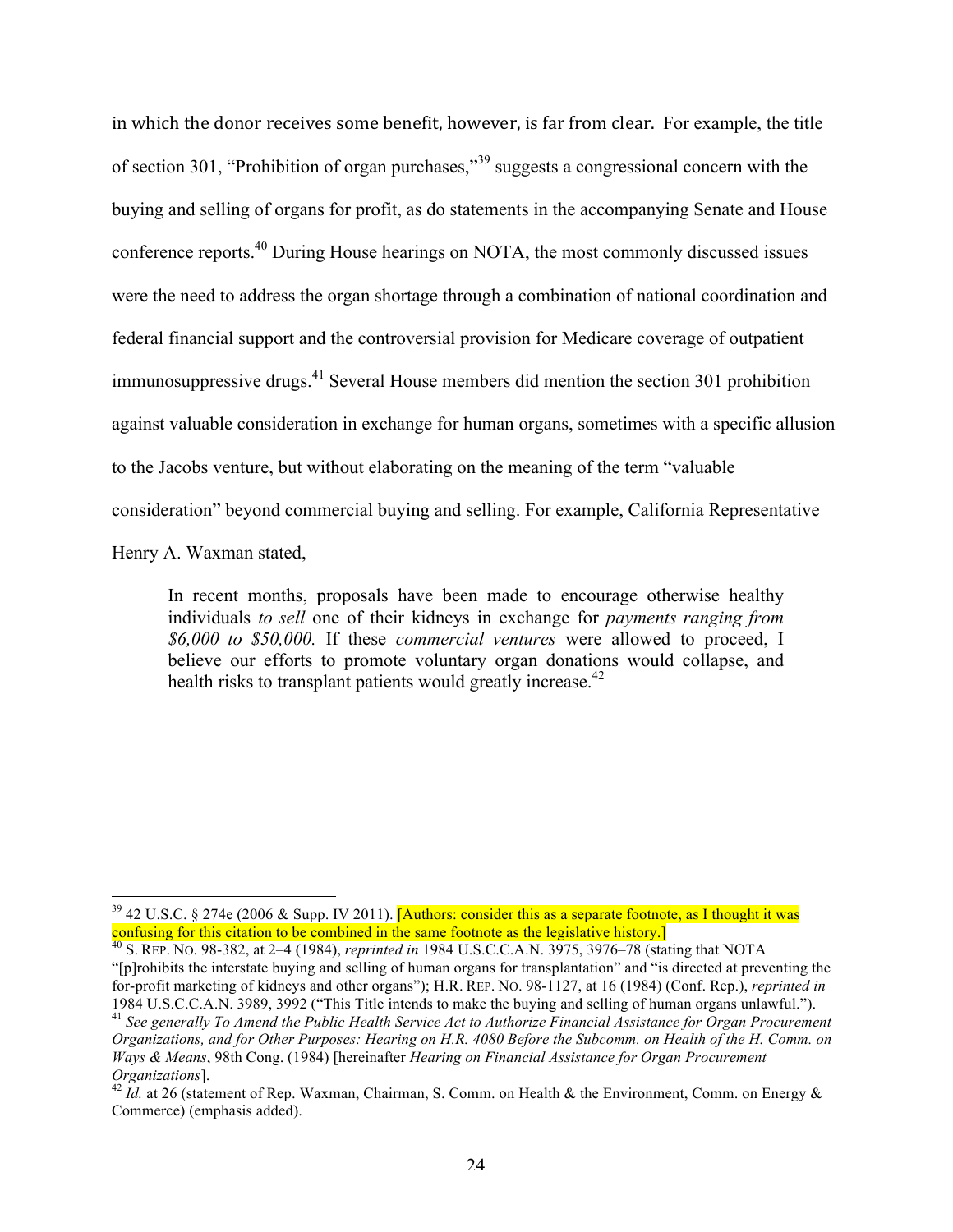in which the donor receives some benefit, however, is far from clear. For example, the title of section 301, "Prohibition of organ purchases,"39 suggests a congressional concern with the buying and selling of organs for profit, as do statements in the accompanying Senate and House conference reports.40 During House hearings on NOTA, the most commonly discussed issues were the need to address the organ shortage through a combination of national coordination and federal financial support and the controversial provision for Medicare coverage of outpatient immunosuppressive drugs.<sup>41</sup> Several House members did mention the section 301 prohibition against valuable consideration in exchange for human organs, sometimes with a specific allusion to the Jacobs venture, but without elaborating on the meaning of the term "valuable consideration" beyond commercial buying and selling. For example, California Representative

Henry A. Waxman stated,

In recent months, proposals have been made to encourage otherwise healthy individuals *to sell* one of their kidneys in exchange for *payments ranging from \$6,000 to \$50,000.* If these *commercial ventures* were allowed to proceed, I believe our efforts to promote voluntary organ donations would collapse, and health risks to transplant patients would greatly increase.<sup>42</sup>

 $39$  42 U.S.C. § 274e (2006 & Supp. IV 2011). [Authors: consider this as a separate footnote, as I thought it was confusing for this citation to be combined in the same footnote as the legislative history.]

<sup>40</sup> S. REP. NO. 98-382, at 2–4 (1984), *reprinted in* 1984 U.S.C.C.A.N. 3975, 3976–78 (stating that NOTA "[p]rohibits the interstate buying and selling of human organs for transplantation" and "is directed at preventing the for-profit marketing of kidneys and other organs"); H.R. REP. NO. 98-1127, at 16 (1984) (Conf. Rep.), *reprinted in*

<sup>1984</sup> U.S.C.C.A.N. 3989, 3992 ("This Title intends to make the buying and selling of human organs unlawful.").<br><sup>41</sup> See generally To Amend the Public Health Service Act to Authorize Financial Assistance for Organ Procuremen *Organizations, and for Other Purposes: Hearing on H.R. 4080 Before the Subcomm. on Health of the H. Comm. on Ways & Means*, 98th Cong. (1984) [hereinafter *Hearing on Financial Assistance for Organ Procurement Organizations*]. 42 *Id.* at 26 (statement of Rep. Waxman, Chairman, S. Comm. on Health & the Environment, Comm. on Energy &

Commerce) (emphasis added).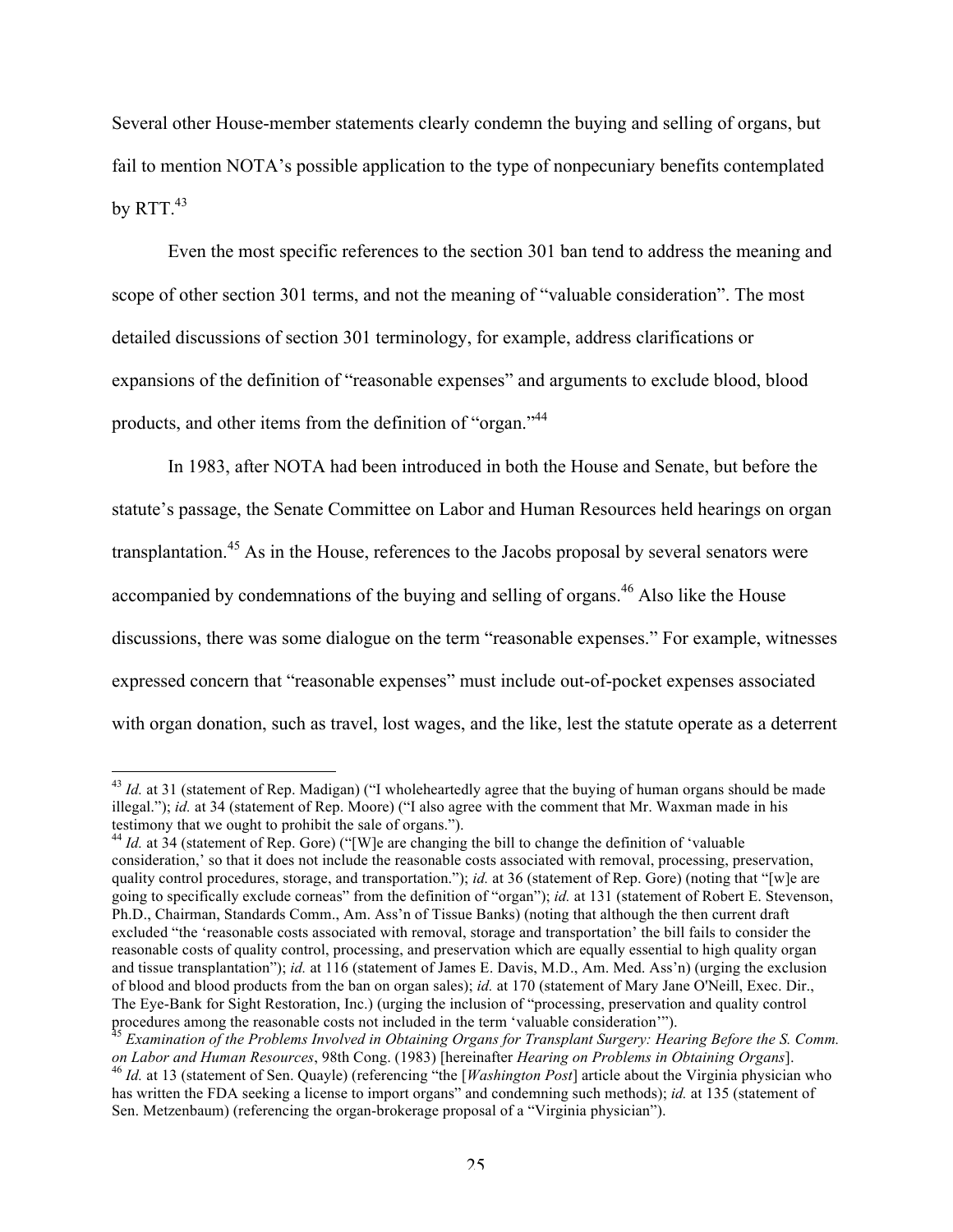Several other House-member statements clearly condemn the buying and selling of organs, but fail to mention NOTA's possible application to the type of nonpecuniary benefits contemplated by RTT. $43$ 

Even the most specific references to the section 301 ban tend to address the meaning and scope of other section 301 terms, and not the meaning of "valuable consideration". The most detailed discussions of section 301 terminology, for example, address clarifications or expansions of the definition of "reasonable expenses" and arguments to exclude blood, blood products, and other items from the definition of "organ."44

In 1983, after NOTA had been introduced in both the House and Senate, but before the statute's passage, the Senate Committee on Labor and Human Resources held hearings on organ transplantation.<sup>45</sup> As in the House, references to the Jacobs proposal by several senators were accompanied by condemnations of the buying and selling of organs.<sup>46</sup> Also like the House discussions, there was some dialogue on the term "reasonable expenses." For example, witnesses expressed concern that "reasonable expenses" must include out-of-pocket expenses associated with organ donation, such as travel, lost wages, and the like, lest the statute operate as a deterrent

<sup>&</sup>lt;sup>43</sup> *Id.* at 31 (statement of Rep. Madigan) ("I wholeheartedly agree that the buying of human organs should be made illegal."); *id.* at 34 (statement of Rep. Moore) ("I also agree with the comment that Mr. Waxman made in his testimony that we ought to prohibit the sale of organs.").

 $t_{4}$  *Id.* at 34 (statement of Rep. Gore) ("[W]e are changing the bill to change the definition of 'valuable' consideration,' so that it does not include the reasonable costs associated with removal, processing, preservation, quality control procedures, storage, and transportation."); *id.* at 36 (statement of Rep. Gore) (noting that "[w]e are going to specifically exclude corneas" from the definition of "organ"); *id.* at 131 (statement of Robert E. Stevenson, Ph.D., Chairman, Standards Comm., Am. Ass'n of Tissue Banks) (noting that although the then current draft excluded "the 'reasonable costs associated with removal, storage and transportation' the bill fails to consider the reasonable costs of quality control, processing, and preservation which are equally essential to high quality organ and tissue transplantation"); *id.* at 116 (statement of James E. Davis, M.D., Am. Med. Ass'n) (urging the exclusion of blood and blood products from the ban on organ sales); *id.* at 170 (statement of Mary Jane O'Neill, Exec. Dir., The Eye-Bank for Sight Restoration, Inc.) (urging the inclusion of "processing, preservation and quality control procedures among the reasonable costs not included in the term 'valuable consideration'").

<sup>&</sup>lt;sup>45</sup> Examination of the Problems Involved in Obtaining Organs for Transplant Surgery: Hearing Before the S. Comm. on Labor and Human Resources, 98th Cong. (1983) [hereinafter Hearing on Problems in Obtaining Organs].<br><sup>46</sup> Id. at 13 (statement of Sen. Quayle) (referencing "the [*Washington Post*] article about the Virginia physician wh

has written the FDA seeking a license to import organs" and condemning such methods); *id.* at 135 (statement of Sen. Metzenbaum) (referencing the organ-brokerage proposal of a "Virginia physician").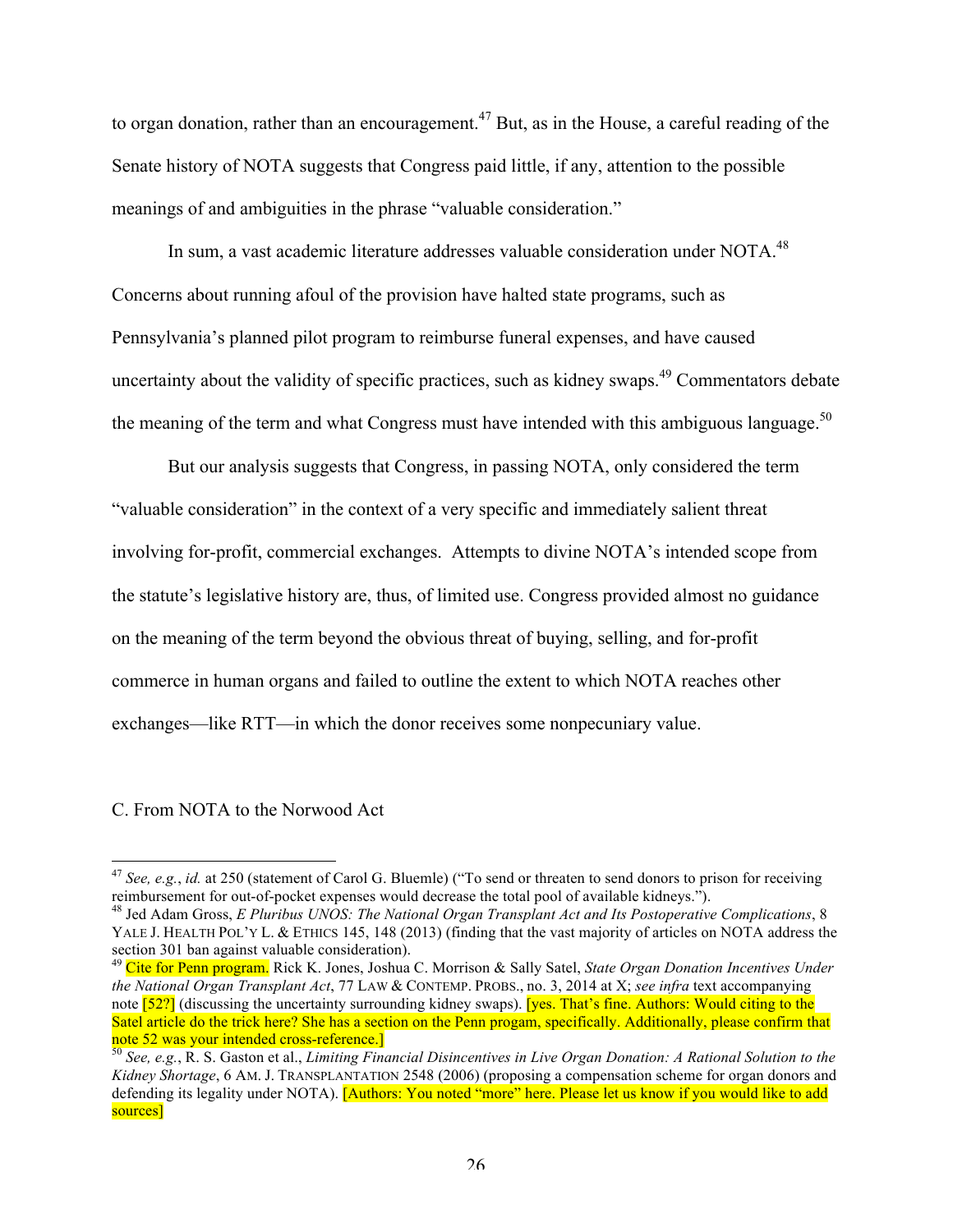to organ donation, rather than an encouragement.<sup>47</sup> But, as in the House, a careful reading of the Senate history of NOTA suggests that Congress paid little, if any, attention to the possible meanings of and ambiguities in the phrase "valuable consideration."

In sum, a vast academic literature addresses valuable consideration under NOTA.<sup>48</sup> Concerns about running afoul of the provision have halted state programs, such as Pennsylvania's planned pilot program to reimburse funeral expenses, and have caused uncertainty about the validity of specific practices, such as kidney swaps.49 Commentators debate the meaning of the term and what Congress must have intended with this ambiguous language.<sup>50</sup>

But our analysis suggests that Congress, in passing NOTA, only considered the term "valuable consideration" in the context of a very specific and immediately salient threat involving for-profit, commercial exchanges. Attempts to divine NOTA's intended scope from the statute's legislative history are, thus, of limited use. Congress provided almost no guidance on the meaning of the term beyond the obvious threat of buying, selling, and for-profit commerce in human organs and failed to outline the extent to which NOTA reaches other exchanges—like RTT—in which the donor receives some nonpecuniary value.

## C. From NOTA to the Norwood Act

<sup>&</sup>lt;sup>47</sup> *See, e.g., id.* at 250 (statement of Carol G. Bluemle) ("To send or threaten to send donors to prison for receiving reimbursement for out-of-pocket expenses would decrease the total pool of available kidneys.").

<sup>&</sup>lt;sup>48</sup> Jed Adam Gross, *E Pluribus UNOS: The National Organ Transplant Act and Its Postoperative Complications*, 8 YALE J. HEALTH POL'Y L. & ETHICS 145, 148 (2013) (finding that the vast majority of articles on NOTA address the section 301 ban against valuable consideration).

<sup>49</sup> Cite for Penn program. Rick K. Jones, Joshua C. Morrison & Sally Satel, *State Organ Donation Incentives Under the National Organ Transplant Act*, 77 LAW & CONTEMP. PROBS., no. 3, 2014 at X; *see infra* text accompanying note [52?] (discussing the uncertainty surrounding kidney swaps). [yes. That's fine. Authors: Would citing to the Satel article do the trick here? She has a section on the Penn progam, specifically. Additionally, please confirm that note 52 was your intended cross-reference.]<br><sup>50</sup> *See, e.g.*, R. S. Gaston et al., *Limiting Financial Disincentives in Live Organ Donation: A Rational Solution to the* 

*Kidney Shortage*, 6 AM. J. TRANSPLANTATION 2548 (2006) (proposing a compensation scheme for organ donors and defending its legality under NOTA). **[Authors: You noted "more" here. Please let us know if you would like to add** sources]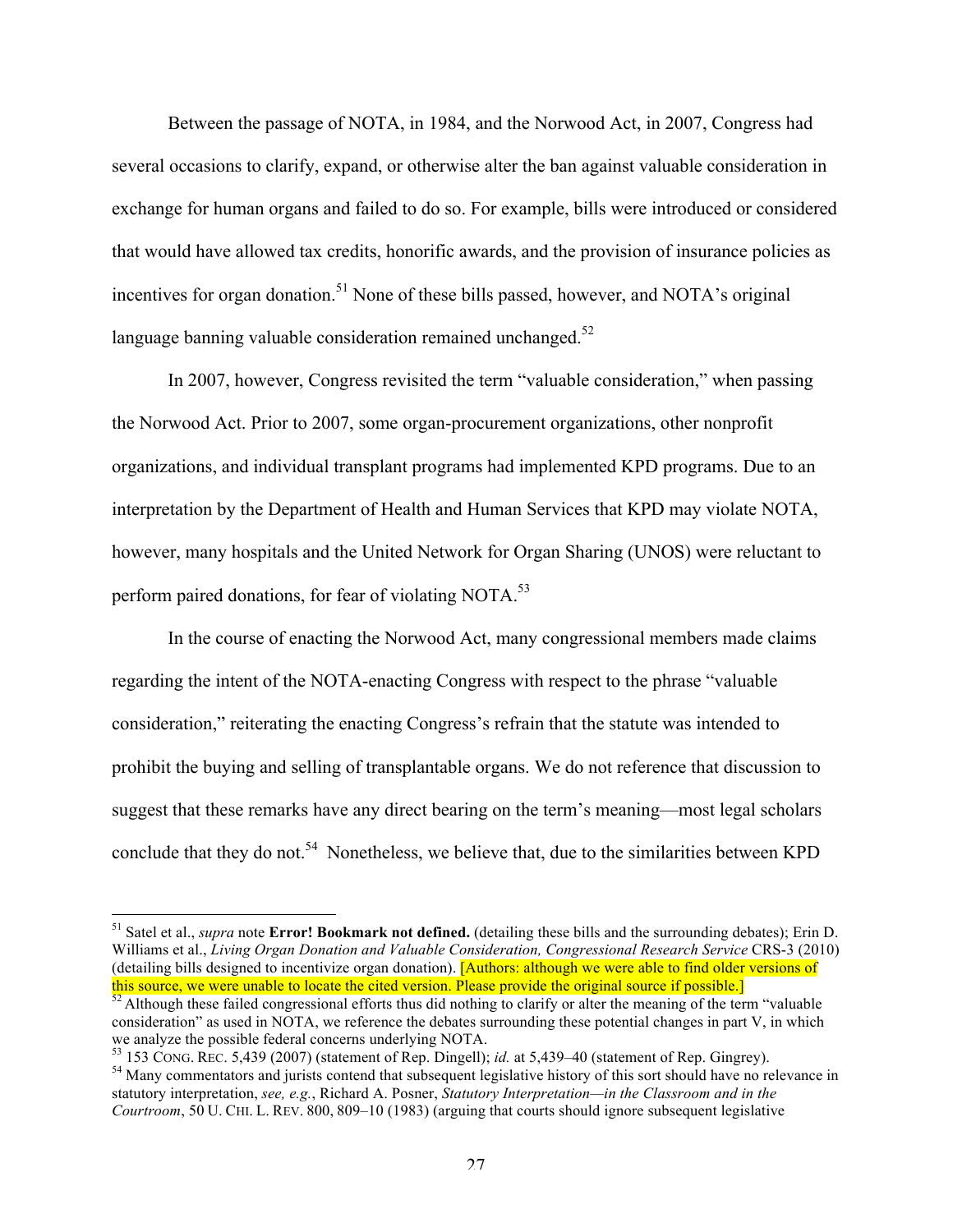Between the passage of NOTA, in 1984, and the Norwood Act, in 2007, Congress had several occasions to clarify, expand, or otherwise alter the ban against valuable consideration in exchange for human organs and failed to do so. For example, bills were introduced or considered that would have allowed tax credits, honorific awards, and the provision of insurance policies as incentives for organ donation.<sup>51</sup> None of these bills passed, however, and NOTA's original language banning valuable consideration remained unchanged.<sup>52</sup>

In 2007, however, Congress revisited the term "valuable consideration," when passing the Norwood Act. Prior to 2007, some organ-procurement organizations, other nonprofit organizations, and individual transplant programs had implemented KPD programs. Due to an interpretation by the Department of Health and Human Services that KPD may violate NOTA, however, many hospitals and the United Network for Organ Sharing (UNOS) were reluctant to perform paired donations, for fear of violating NOTA.<sup>53</sup>

In the course of enacting the Norwood Act, many congressional members made claims regarding the intent of the NOTA-enacting Congress with respect to the phrase "valuable consideration," reiterating the enacting Congress's refrain that the statute was intended to prohibit the buying and selling of transplantable organs. We do not reference that discussion to suggest that these remarks have any direct bearing on the term's meaning—most legal scholars conclude that they do not.<sup>54</sup> Nonetheless, we believe that, due to the similarities between KPD

 <sup>51</sup> Satel et al., *supra* note **Error! Bookmark not defined.** (detailing these bills and the surrounding debates); Erin D. Williams et al., *Living Organ Donation and Valuable Consideration, Congressional Research Service* CRS-3 (2010) (detailing bills designed to incentivize organ donation). [Authors: although we were able to find older versions of this source, we were unable to locate the cited version. Please provide the original source if possible.]

 $52$  Although these failed congressional efforts thus did nothing to clarify or alter the meaning of the term "valuable" consideration" as used in NOTA, we reference the debates surrounding these potential changes in part V, in which we analyze the possible federal concerns underlying NOTA.<br>
<sup>53</sup> 153 CONG. REC. 5,439 (2007) (statement of Rep. Dingell); *id.* at 5,439–40 (statement of Rep. Gingrey).

<sup>&</sup>lt;sup>54</sup> Many commentators and jurists contend that subsequent legislative history of this sort should have no relevance in statutory interpretation, *see, e.g.*, Richard A. Posner, *Statutory Interpretation—in the Classroom and in the Courtroom*, 50 U. CHI. L. REV. 800, 809–10 (1983) (arguing that courts should ignore subsequent legislative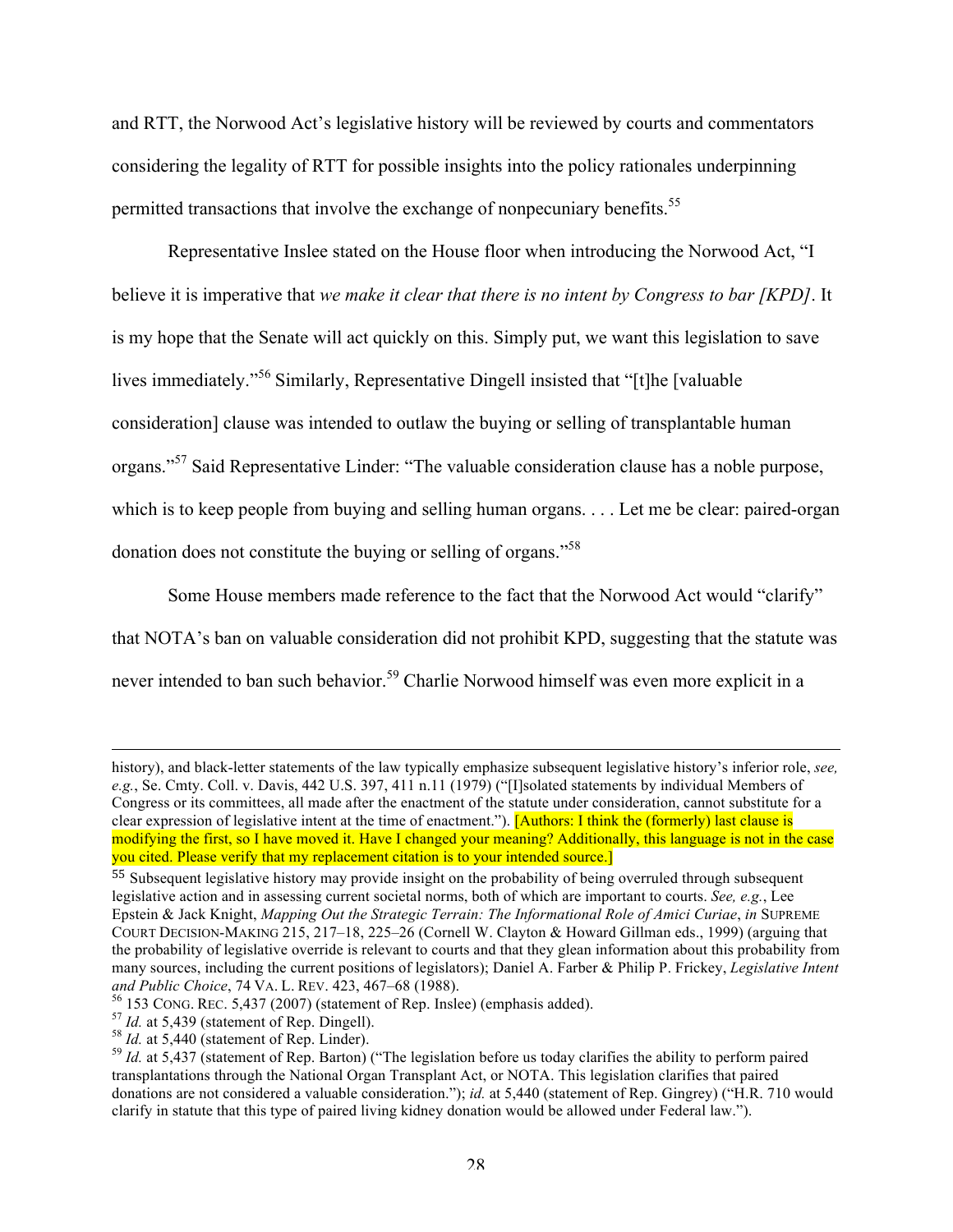and RTT, the Norwood Act's legislative history will be reviewed by courts and commentators considering the legality of RTT for possible insights into the policy rationales underpinning permitted transactions that involve the exchange of nonpecuniary benefits.<sup>55</sup>

Representative Inslee stated on the House floor when introducing the Norwood Act, "I believe it is imperative that *we make it clear that there is no intent by Congress to bar [KPD]*. It is my hope that the Senate will act quickly on this. Simply put, we want this legislation to save lives immediately."<sup>56</sup> Similarly, Representative Dingell insisted that "[t]he [valuable consideration] clause was intended to outlaw the buying or selling of transplantable human organs."<sup>57</sup> Said Representative Linder: "The valuable consideration clause has a noble purpose, which is to keep people from buying and selling human organs. . . . Let me be clear: paired-organ donation does not constitute the buying or selling of organs."58

Some House members made reference to the fact that the Norwood Act would "clarify" that NOTA's ban on valuable consideration did not prohibit KPD, suggesting that the statute was

never intended to ban such behavior.<sup>59</sup> Charlie Norwood himself was even more explicit in a

<u> Alexandro de la contrada de la contrada de la contrada de la contrada de la contrada de la contrada de la co</u>

history), and black-letter statements of the law typically emphasize subsequent legislative history's inferior role, *see, e.g.*, Se. Cmty. Coll. v. Davis, 442 U.S. 397, 411 n.11 (1979) ("[I]solated statements by individual Members of Congress or its committees, all made after the enactment of the statute under consideration, cannot substitute for a clear expression of legislative intent at the time of enactment."). [Authors: I think the (formerly) last clause is modifying the first, so I have moved it. Have I changed your meaning? Additionally, this language is not in the case you cited. Please verify that my replacement citation is to your intended source.]

<sup>55</sup> Subsequent legislative history may provide insight on the probability of being overruled through subsequent legislative action and in assessing current societal norms, both of which are important to courts. *See, e.g.*, Lee Epstein & Jack Knight, *Mapping Out the Strategic Terrain: The Informational Role of Amici Curiae*, *in* SUPREME COURT DECISION-MAKING 215, 217–18, 225–26 (Cornell W. Clayton & Howard Gillman eds., 1999) (arguing that the probability of legislative override is relevant to courts and that they glean information about this probability from many sources, including the current positions of legislators); Daniel A. Farber & Philip P. Frickey, *Legislative Intent* 

<sup>&</sup>lt;sup>56</sup> 153 CONG. REC. 5,437 (2007) (statement of Rep. Inslee) (emphasis added).<br><sup>57</sup> *Id.* at 5,439 (statement of Rep. Dingell).<br><sup>58</sup> *Id.* at 5,440 (statement of Rep. Linder).<br><sup>59</sup> *Id.* at 5,437 (statement of Rep. Barton) transplantations through the National Organ Transplant Act, or NOTA. This legislation clarifies that paired donations are not considered a valuable consideration."); *id.* at 5,440 (statement of Rep. Gingrey) ("H.R. 710 would clarify in statute that this type of paired living kidney donation would be allowed under Federal law.").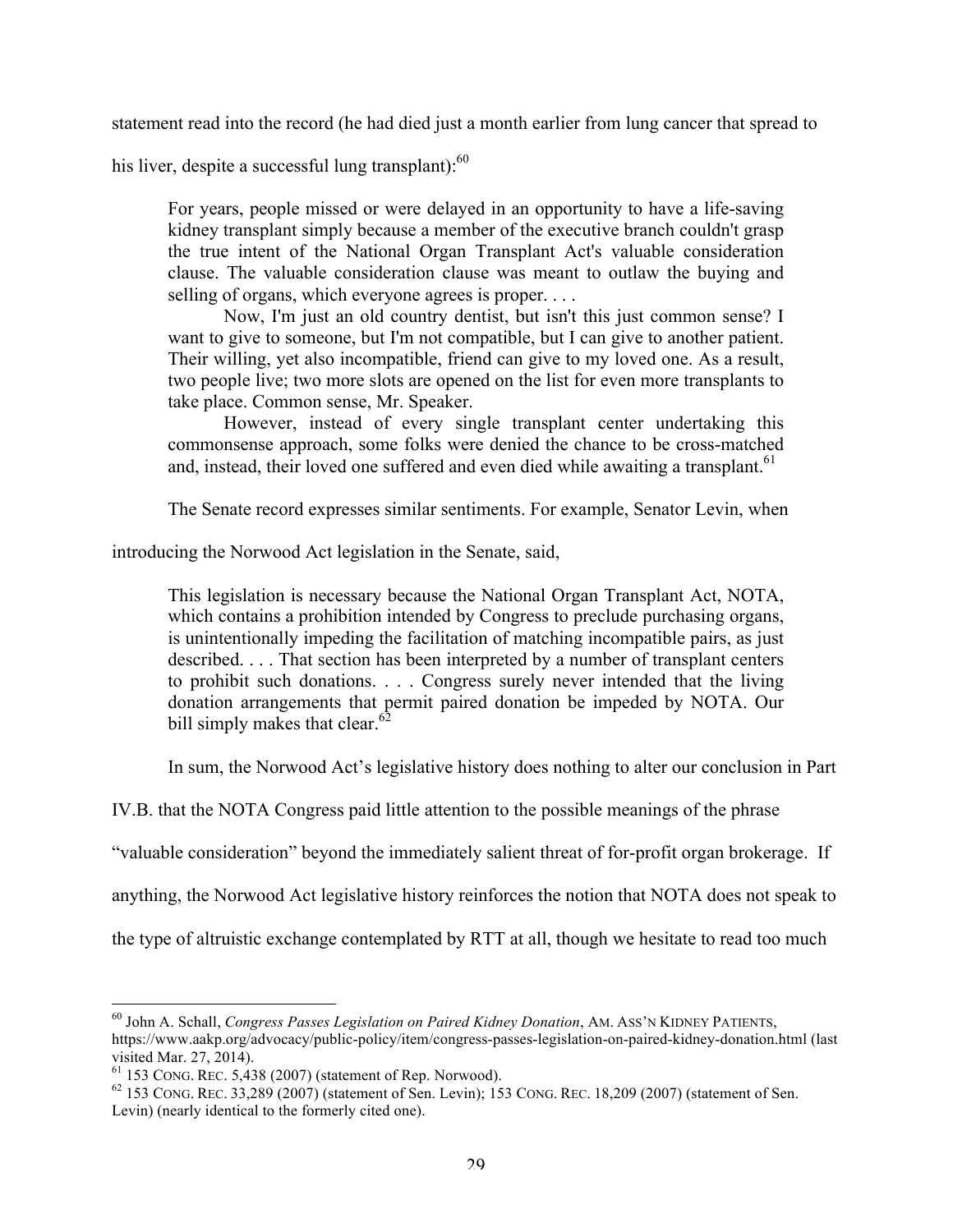statement read into the record (he had died just a month earlier from lung cancer that spread to

his liver, despite a successful lung transplant): $60$ 

For years, people missed or were delayed in an opportunity to have a life-saving kidney transplant simply because a member of the executive branch couldn't grasp the true intent of the National Organ Transplant Act's valuable consideration clause. The valuable consideration clause was meant to outlaw the buying and selling of organs, which everyone agrees is proper. . . .

Now, I'm just an old country dentist, but isn't this just common sense? I want to give to someone, but I'm not compatible, but I can give to another patient. Their willing, yet also incompatible, friend can give to my loved one. As a result, two people live; two more slots are opened on the list for even more transplants to take place. Common sense, Mr. Speaker.

However, instead of every single transplant center undertaking this commonsense approach, some folks were denied the chance to be cross-matched and, instead, their loved one suffered and even died while awaiting a transplant.<sup>61</sup>

The Senate record expresses similar sentiments. For example, Senator Levin, when

introducing the Norwood Act legislation in the Senate, said,

This legislation is necessary because the National Organ Transplant Act, NOTA, which contains a prohibition intended by Congress to preclude purchasing organs, is unintentionally impeding the facilitation of matching incompatible pairs, as just described. . . . That section has been interpreted by a number of transplant centers to prohibit such donations. . . . Congress surely never intended that the living donation arrangements that permit paired donation be impeded by NOTA. Our bill simply makes that clear. $62$ 

In sum, the Norwood Act's legislative history does nothing to alter our conclusion in Part

IV.B. that the NOTA Congress paid little attention to the possible meanings of the phrase

"valuable consideration" beyond the immediately salient threat of for-profit organ brokerage. If

anything, the Norwood Act legislative history reinforces the notion that NOTA does not speak to

the type of altruistic exchange contemplated by RTT at all, though we hesitate to read too much

 <sup>60</sup> John A. Schall, *Congress Passes Legislation on Paired Kidney Donation*, AM. ASS'N KIDNEY PATIENTS, https://www.aakp.org/advocacy/public-policy/item/congress-passes-legislation-on-paired-kidney-donation.html (last visited Mar. 27, 2014).<br><sup>61</sup> 153 CONG. REC. 5,438 (2007) (statement of Rep. Norwood).<br><sup>62</sup> 153 CONG. REC. 33,289 (2007) (statement of Sen. Levin); 153 CONG. REC. 18,209 (2007) (statement of Sen.

Levin) (nearly identical to the formerly cited one).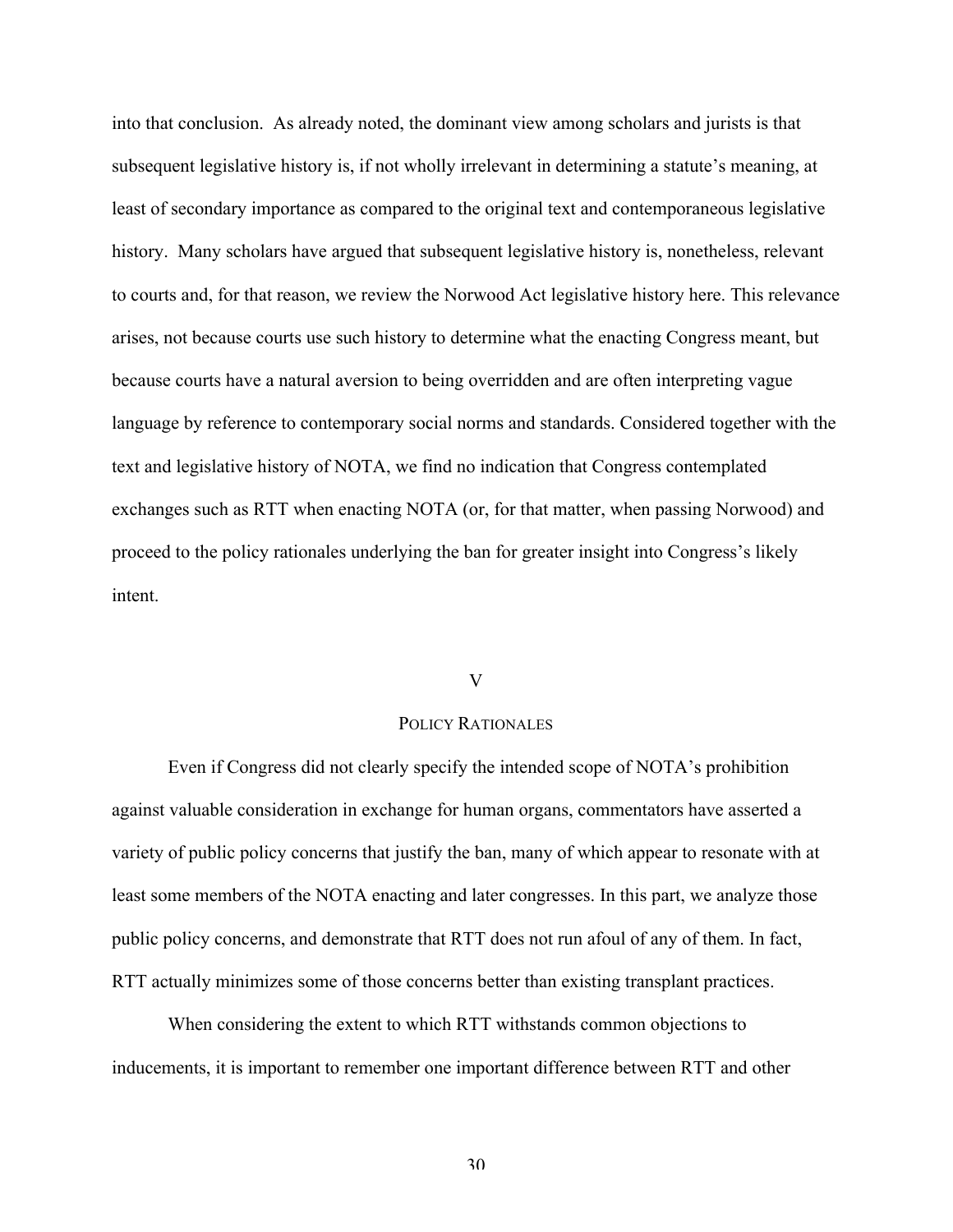into that conclusion. As already noted, the dominant view among scholars and jurists is that subsequent legislative history is, if not wholly irrelevant in determining a statute's meaning, at least of secondary importance as compared to the original text and contemporaneous legislative history. Many scholars have argued that subsequent legislative history is, nonetheless, relevant to courts and, for that reason, we review the Norwood Act legislative history here. This relevance arises, not because courts use such history to determine what the enacting Congress meant, but because courts have a natural aversion to being overridden and are often interpreting vague language by reference to contemporary social norms and standards. Considered together with the text and legislative history of NOTA, we find no indication that Congress contemplated exchanges such as RTT when enacting NOTA (or, for that matter, when passing Norwood) and proceed to the policy rationales underlying the ban for greater insight into Congress's likely intent.

# V

#### POLICY RATIONALES

Even if Congress did not clearly specify the intended scope of NOTA's prohibition against valuable consideration in exchange for human organs, commentators have asserted a variety of public policy concerns that justify the ban, many of which appear to resonate with at least some members of the NOTA enacting and later congresses. In this part, we analyze those public policy concerns, and demonstrate that RTT does not run afoul of any of them. In fact, RTT actually minimizes some of those concerns better than existing transplant practices.

When considering the extent to which RTT withstands common objections to inducements, it is important to remember one important difference between RTT and other

30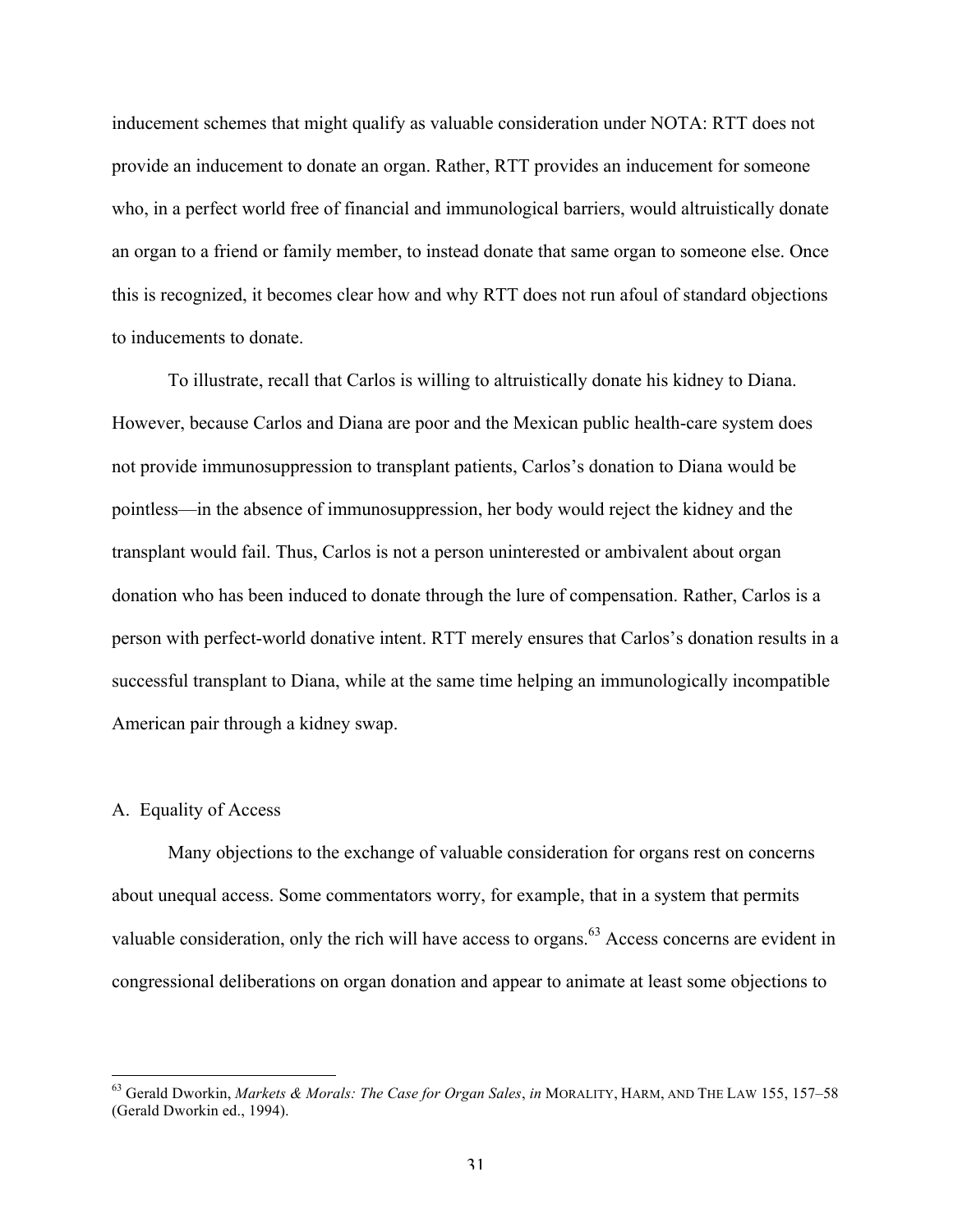inducement schemes that might qualify as valuable consideration under NOTA: RTT does not provide an inducement to donate an organ. Rather, RTT provides an inducement for someone who, in a perfect world free of financial and immunological barriers, would altruistically donate an organ to a friend or family member, to instead donate that same organ to someone else. Once this is recognized, it becomes clear how and why RTT does not run afoul of standard objections to inducements to donate.

To illustrate, recall that Carlos is willing to altruistically donate his kidney to Diana. However, because Carlos and Diana are poor and the Mexican public health-care system does not provide immunosuppression to transplant patients, Carlos's donation to Diana would be pointless—in the absence of immunosuppression, her body would reject the kidney and the transplant would fail. Thus, Carlos is not a person uninterested or ambivalent about organ donation who has been induced to donate through the lure of compensation. Rather, Carlos is a person with perfect-world donative intent. RTT merely ensures that Carlos's donation results in a successful transplant to Diana, while at the same time helping an immunologically incompatible American pair through a kidney swap.

# A. Equality of Access

Many objections to the exchange of valuable consideration for organs rest on concerns about unequal access. Some commentators worry, for example, that in a system that permits valuable consideration, only the rich will have access to organs.<sup>63</sup> Access concerns are evident in congressional deliberations on organ donation and appear to animate at least some objections to

 <sup>63</sup> Gerald Dworkin, *Markets & Morals: The Case for Organ Sales*, *in* MORALITY, HARM, AND THE LAW 155, 157–58 (Gerald Dworkin ed., 1994).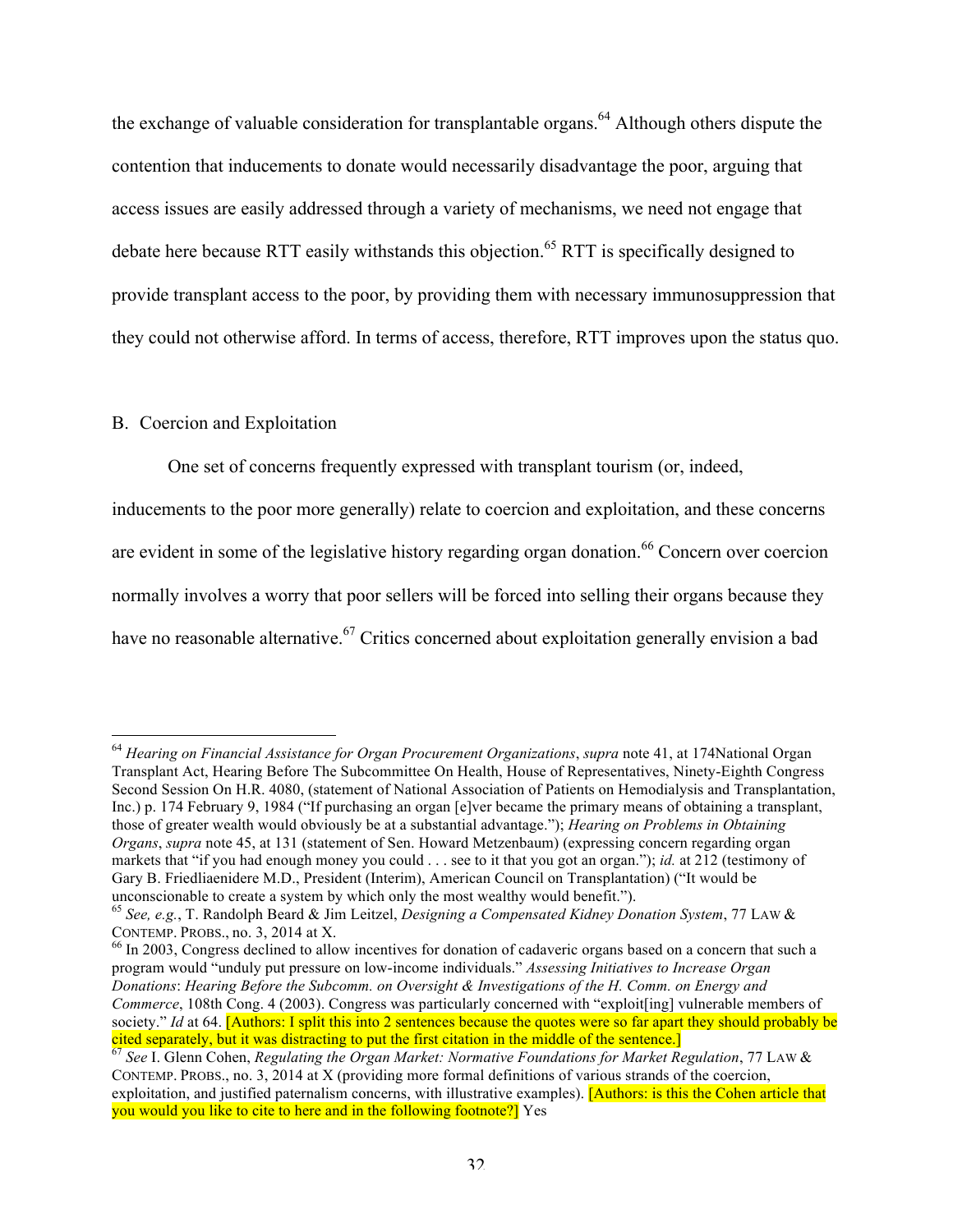the exchange of valuable consideration for transplantable organs.<sup>64</sup> Although others dispute the contention that inducements to donate would necessarily disadvantage the poor, arguing that access issues are easily addressed through a variety of mechanisms, we need not engage that debate here because RTT easily withstands this objection.<sup>65</sup> RTT is specifically designed to provide transplant access to the poor, by providing them with necessary immunosuppression that they could not otherwise afford. In terms of access, therefore, RTT improves upon the status quo.

# B. Coercion and Exploitation

One set of concerns frequently expressed with transplant tourism (or, indeed,

inducements to the poor more generally) relate to coercion and exploitation, and these concerns are evident in some of the legislative history regarding organ donation.<sup>66</sup> Concern over coercion normally involves a worry that poor sellers will be forced into selling their organs because they have no reasonable alternative.<sup>67</sup> Critics concerned about exploitation generally envision a bad

 <sup>64</sup> *Hearing on Financial Assistance for Organ Procurement Organizations*, *supra* note 41, at 174National Organ Transplant Act, Hearing Before The Subcommittee On Health, House of Representatives, Ninety-Eighth Congress Second Session On H.R. 4080, (statement of National Association of Patients on Hemodialysis and Transplantation, Inc.) p. 174 February 9, 1984 ("If purchasing an organ [e]ver became the primary means of obtaining a transplant, those of greater wealth would obviously be at a substantial advantage."); *Hearing on Problems in Obtaining Organs*, *supra* note 45, at 131 (statement of Sen. Howard Metzenbaum) (expressing concern regarding organ markets that "if you had enough money you could . . . see to it that you got an organ."); *id.* at 212 (testimony of Gary B. Friedliaenidere M.D., President (Interim), American Council on Transplantation) ("It would be

unconscionable to create a system by which only the most wealthy would benefit."). 65 *See, e.g.*, T. Randolph Beard & Jim Leitzel, *Designing a Compensated Kidney Donation System*, 77 LAW & CONTEMP. PROBS., no. 3, 2014 at X.<br><sup>66</sup> In 2003, Congress declined to allow incentives for donation of cadaveric organs based on a concern that such a

program would "unduly put pressure on low-income individuals." *Assessing Initiatives to Increase Organ Donations*: *Hearing Before the Subcomm. on Oversight & Investigations of the H. Comm. on Energy and Commerce*, 108th Cong. 4 (2003). Congress was particularly concerned with "exploit[ing] vulnerable members of society." *Id* at 64. **[Authors: I split this into 2 sentences because the quotes were so far apart they should probably be** cited separately, but it was distracting to put the first citation in the middle of the sentence.] <sup>67</sup> *See* I. Glenn Cohen, *Regulating the Organ Market: Normative Foundations for Market Regulation*, 77 LAW &

CONTEMP. PROBS., no. 3, 2014 at X (providing more formal definitions of various strands of the coercion, exploitation, and justified paternalism concerns, with illustrative examples). [Authors: is this the Cohen article that you would you like to cite to here and in the following footnote?] Yes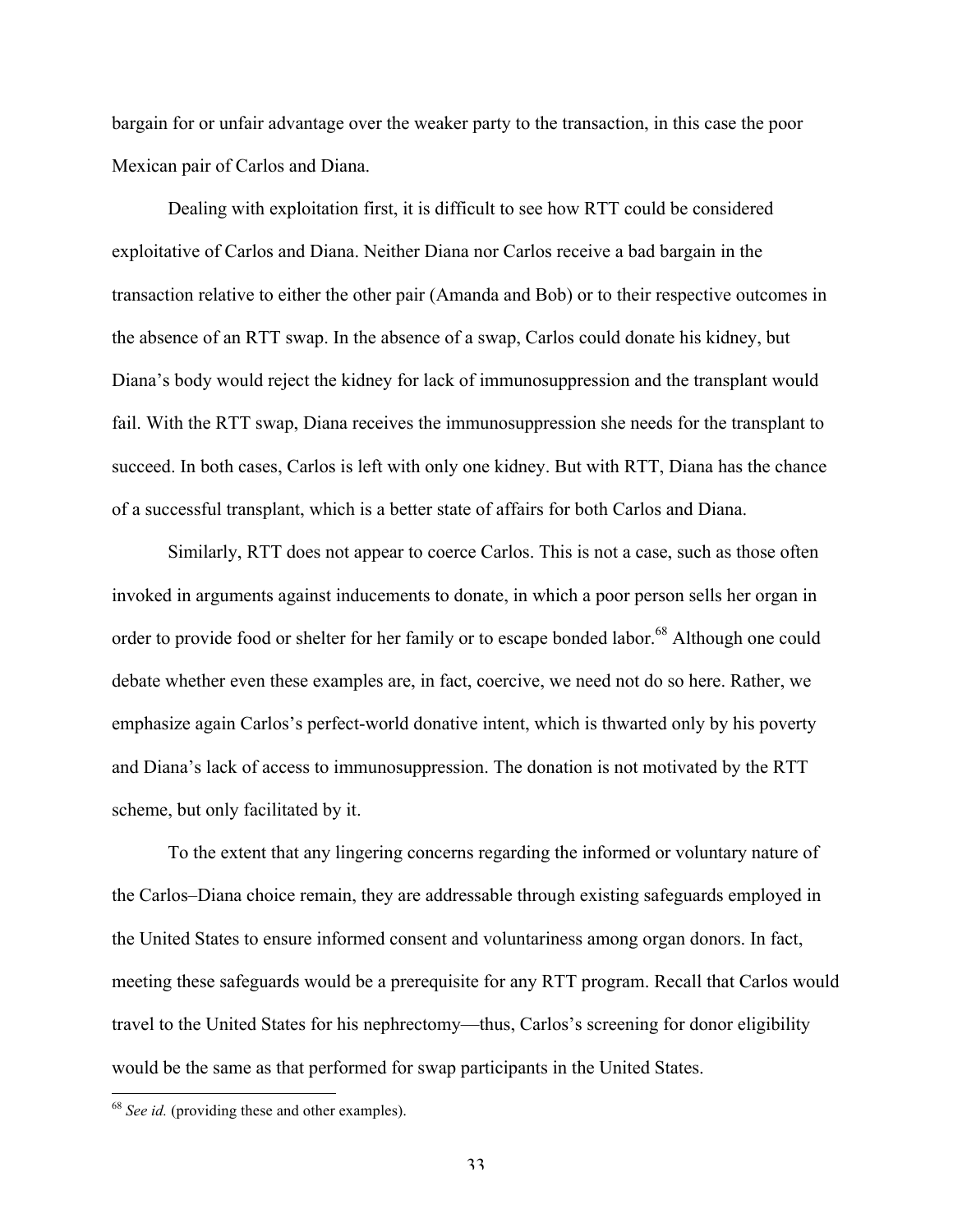bargain for or unfair advantage over the weaker party to the transaction, in this case the poor Mexican pair of Carlos and Diana.

Dealing with exploitation first, it is difficult to see how RTT could be considered exploitative of Carlos and Diana. Neither Diana nor Carlos receive a bad bargain in the transaction relative to either the other pair (Amanda and Bob) or to their respective outcomes in the absence of an RTT swap. In the absence of a swap, Carlos could donate his kidney, but Diana's body would reject the kidney for lack of immunosuppression and the transplant would fail. With the RTT swap, Diana receives the immunosuppression she needs for the transplant to succeed. In both cases, Carlos is left with only one kidney. But with RTT, Diana has the chance of a successful transplant, which is a better state of affairs for both Carlos and Diana.

Similarly, RTT does not appear to coerce Carlos. This is not a case, such as those often invoked in arguments against inducements to donate, in which a poor person sells her organ in order to provide food or shelter for her family or to escape bonded labor.<sup>68</sup> Although one could debate whether even these examples are, in fact, coercive, we need not do so here. Rather, we emphasize again Carlos's perfect-world donative intent, which is thwarted only by his poverty and Diana's lack of access to immunosuppression. The donation is not motivated by the RTT scheme, but only facilitated by it.

To the extent that any lingering concerns regarding the informed or voluntary nature of the Carlos–Diana choice remain, they are addressable through existing safeguards employed in the United States to ensure informed consent and voluntariness among organ donors. In fact, meeting these safeguards would be a prerequisite for any RTT program. Recall that Carlos would travel to the United States for his nephrectomy—thus, Carlos's screening for donor eligibility would be the same as that performed for swap participants in the United States.

 <sup>68</sup> *See id.* (providing these and other examples).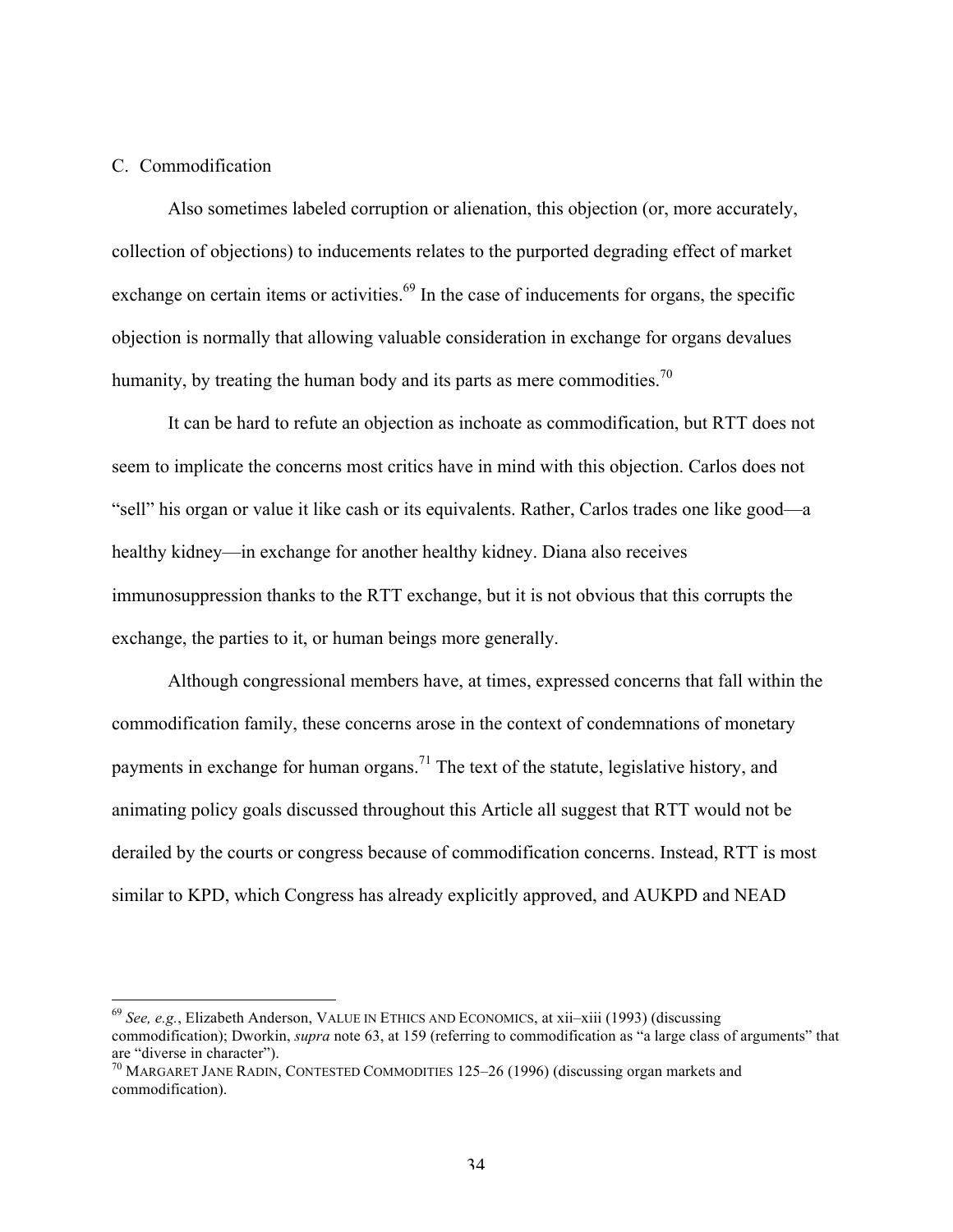# C. Commodification

Also sometimes labeled corruption or alienation, this objection (or, more accurately, collection of objections) to inducements relates to the purported degrading effect of market exchange on certain items or activities.<sup>69</sup> In the case of inducements for organs, the specific objection is normally that allowing valuable consideration in exchange for organs devalues humanity, by treating the human body and its parts as mere commodities.<sup>70</sup>

It can be hard to refute an objection as inchoate as commodification, but RTT does not seem to implicate the concerns most critics have in mind with this objection. Carlos does not "sell" his organ or value it like cash or its equivalents. Rather, Carlos trades one like good—a healthy kidney—in exchange for another healthy kidney. Diana also receives immunosuppression thanks to the RTT exchange, but it is not obvious that this corrupts the exchange, the parties to it, or human beings more generally.

Although congressional members have, at times, expressed concerns that fall within the commodification family, these concerns arose in the context of condemnations of monetary payments in exchange for human organs.<sup>71</sup> The text of the statute, legislative history, and animating policy goals discussed throughout this Article all suggest that RTT would not be derailed by the courts or congress because of commodification concerns. Instead, RTT is most similar to KPD, which Congress has already explicitly approved, and AUKPD and NEAD

 <sup>69</sup> *See, e.g.*, Elizabeth Anderson, VALUE IN ETHICS AND ECONOMICS, at xii–xiii (1993) (discussing commodification); Dworkin, *supra* note 63, at 159 (referring to commodification as "a large class of arguments" that are "diverse in character").

 $\frac{70}{10}$  MARGARET JANE RADIN, CONTESTED COMMODITIES 125–26 (1996) (discussing organ markets and commodification).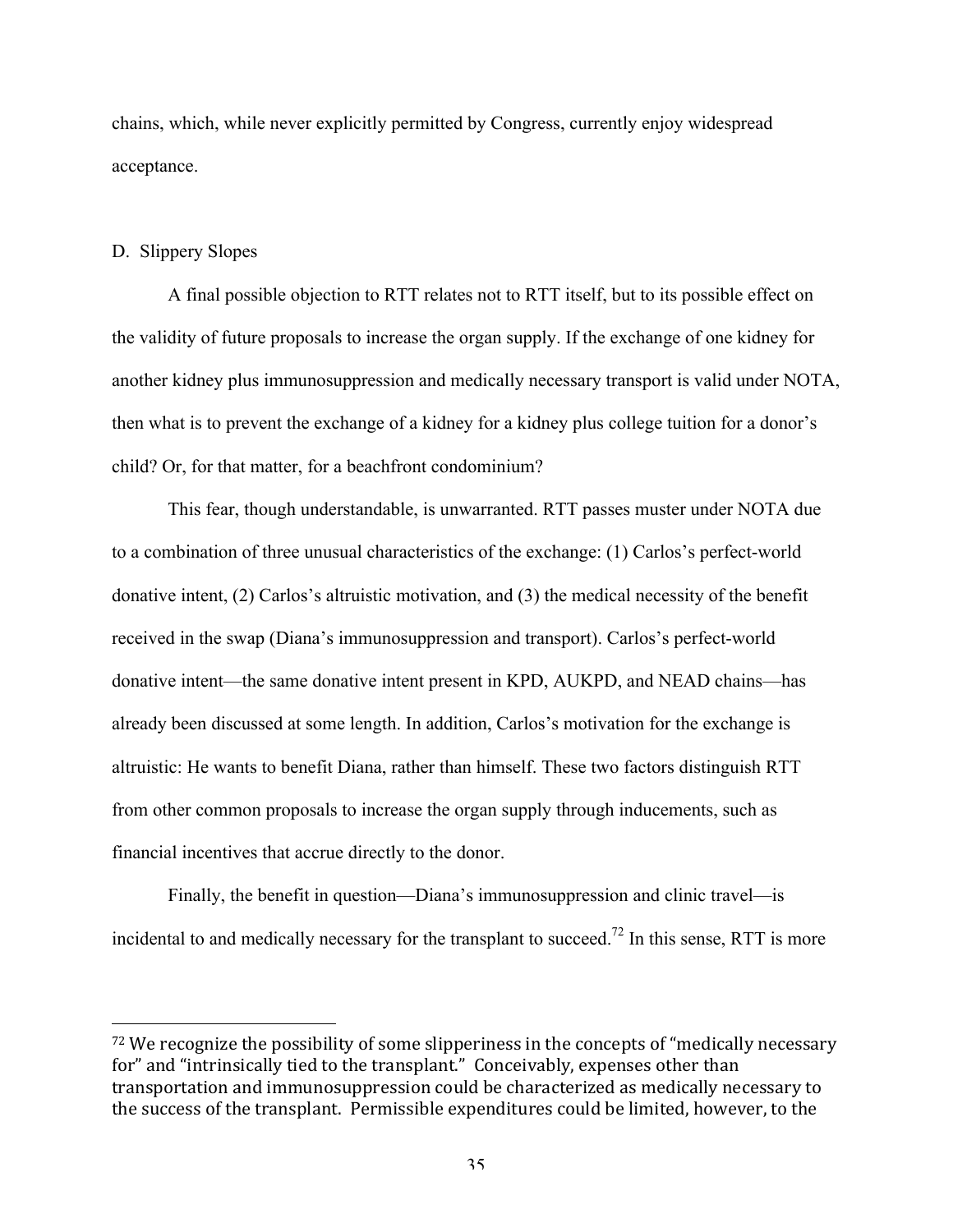chains, which, while never explicitly permitted by Congress, currently enjoy widespread acceptance.

### D. Slippery Slopes

 

A final possible objection to RTT relates not to RTT itself, but to its possible effect on the validity of future proposals to increase the organ supply. If the exchange of one kidney for another kidney plus immunosuppression and medically necessary transport is valid under NOTA, then what is to prevent the exchange of a kidney for a kidney plus college tuition for a donor's child? Or, for that matter, for a beachfront condominium?

This fear, though understandable, is unwarranted. RTT passes muster under NOTA due to a combination of three unusual characteristics of the exchange: (1) Carlos's perfect-world donative intent, (2) Carlos's altruistic motivation, and (3) the medical necessity of the benefit received in the swap (Diana's immunosuppression and transport). Carlos's perfect-world donative intent—the same donative intent present in KPD, AUKPD, and NEAD chains—has already been discussed at some length. In addition, Carlos's motivation for the exchange is altruistic: He wants to benefit Diana, rather than himself. These two factors distinguish RTT from other common proposals to increase the organ supply through inducements, such as financial incentives that accrue directly to the donor.

Finally, the benefit in question—Diana's immunosuppression and clinic travel—is incidental to and medically necessary for the transplant to succeed.<sup>72</sup> In this sense, RTT is more

 $72$  We recognize the possibility of some slipperiness in the concepts of "medically necessary for" and "intrinsically tied to the transplant." Conceivably, expenses other than transportation and immunosuppression could be characterized as medically necessary to the success of the transplant. Permissible expenditures could be limited, however, to the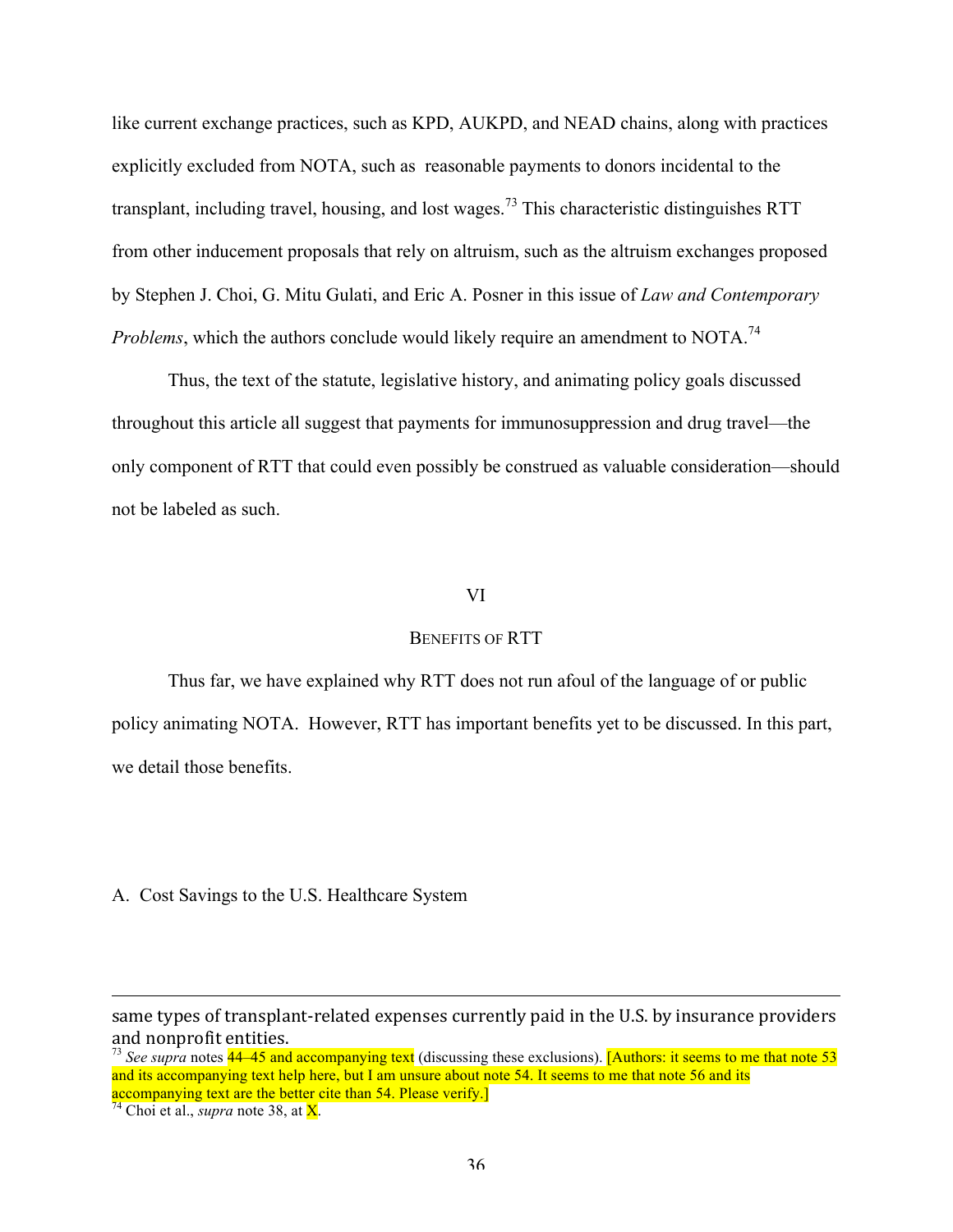like current exchange practices, such as KPD, AUKPD, and NEAD chains, along with practices explicitly excluded from NOTA, such as reasonable payments to donors incidental to the transplant, including travel, housing, and lost wages.<sup>73</sup> This characteristic distinguishes RTT from other inducement proposals that rely on altruism, such as the altruism exchanges proposed by Stephen J. Choi, G. Mitu Gulati, and Eric A. Posner in this issue of *Law and Contemporary Problems*, which the authors conclude would likely require an amendment to NOTA.<sup>74</sup>

Thus, the text of the statute, legislative history, and animating policy goals discussed throughout this article all suggest that payments for immunosuppression and drug travel—the only component of RTT that could even possibly be construed as valuable consideration—should not be labeled as such.

### VI

#### BENEFITS OF RTT

Thus far, we have explained why RTT does not run afoul of the language of or public policy animating NOTA. However, RTT has important benefits yet to be discussed. In this part, we detail those benefits.

A. Cost Savings to the U.S. Healthcare System

<u> 1989 - Andrea Santa Alemania, amerikana amerikana amerikana amerikana amerikana amerikana amerikana amerikana</u>

same types of transplant-related expenses currently paid in the U.S. by insurance providers and nonprofit entities.

<sup>73</sup> *See supra* notes 44–45 and accompanying text (discussing these exclusions). [Authors: it seems to me that note 53 and its accompanying text help here, but I am unsure about note 54. It seems to me that note 56 and its accompanying text are the better cite than 54. Please verify.] <sup>74</sup> Choi et al., *supra* note 38, at X.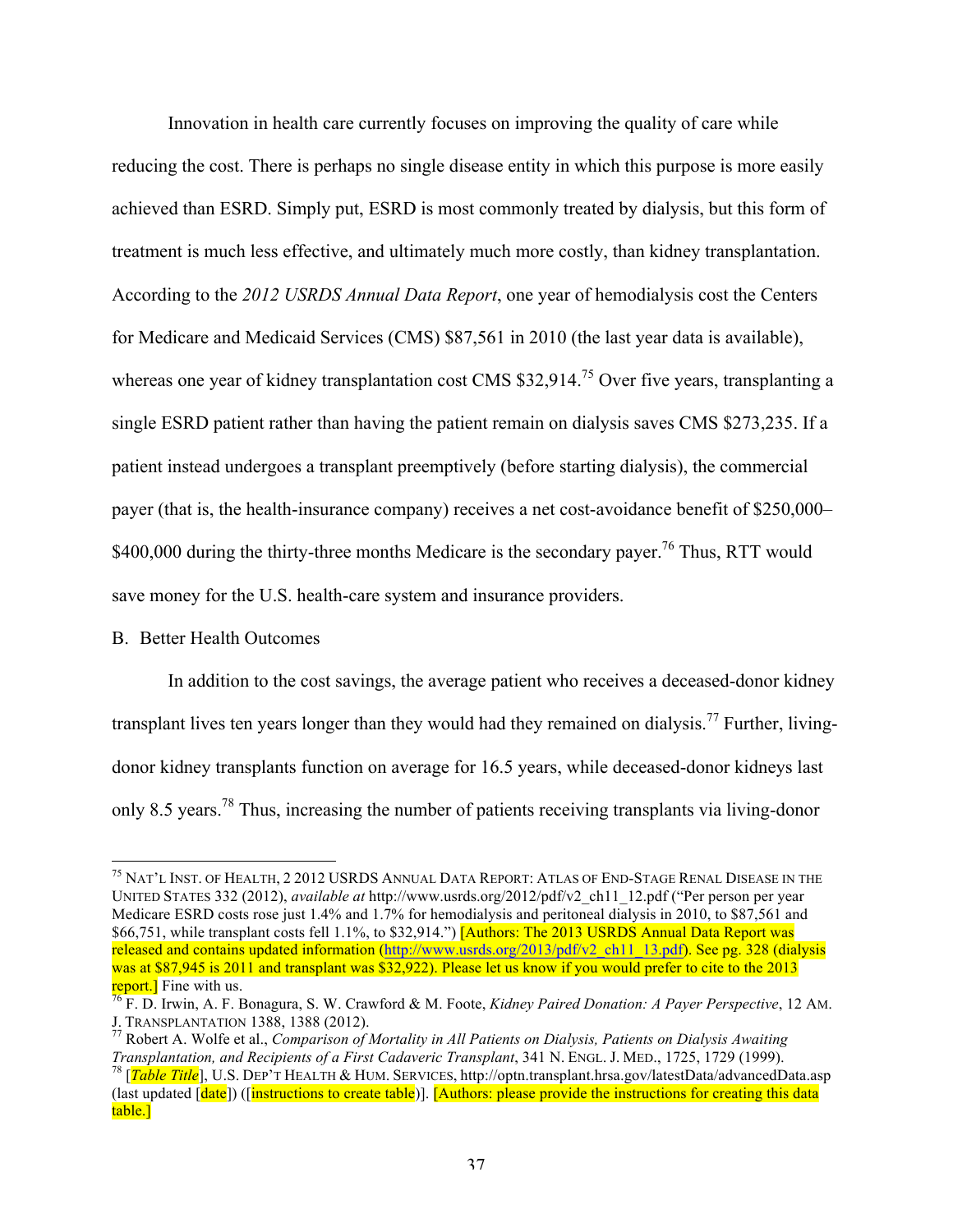Innovation in health care currently focuses on improving the quality of care while reducing the cost. There is perhaps no single disease entity in which this purpose is more easily achieved than ESRD. Simply put, ESRD is most commonly treated by dialysis, but this form of treatment is much less effective, and ultimately much more costly, than kidney transplantation. According to the *2012 USRDS Annual Data Report*, one year of hemodialysis cost the Centers for Medicare and Medicaid Services (CMS) \$87,561 in 2010 (the last year data is available), whereas one year of kidney transplantation cost CMS \$32,914.<sup>75</sup> Over five years, transplanting a single ESRD patient rather than having the patient remain on dialysis saves CMS \$273,235. If a patient instead undergoes a transplant preemptively (before starting dialysis), the commercial payer (that is, the health-insurance company) receives a net cost-avoidance benefit of \$250,000– \$400,000 during the thirty-three months Medicare is the secondary payer.<sup>76</sup> Thus, RTT would save money for the U.S. health-care system and insurance providers.

## B. Better Health Outcomes

In addition to the cost savings, the average patient who receives a deceased-donor kidney transplant lives ten years longer than they would had they remained on dialysis.<sup>77</sup> Further, livingdonor kidney transplants function on average for 16.5 years, while deceased-donor kidneys last only 8.5 years.<sup>78</sup> Thus, increasing the number of patients receiving transplants via living-donor

 <sup>75</sup> NAT'L INST. OF HEALTH, <sup>2</sup> <sup>2012</sup> USRDS ANNUAL DATA REPORT: ATLAS OF END-STAGE RENAL DISEASE IN THE UNITED STATES 332 (2012), *available at* http://www.usrds.org/2012/pdf/v2\_ch11\_12.pdf ("Per person per year Medicare ESRD costs rose just 1.4% and 1.7% for hemodialysis and peritoneal dialysis in 2010, to \$87,561 and \$66,751, while transplant costs fell 1.1%, to \$32,914.") [Authors: The 2013 USRDS Annual Data Report was released and contains updated information (http://www.usrds.org/2013/pdf/v2\_ch11\_13.pdf). See pg. 328 (dialysis was at \$87,945 is 2011 and transplant was \$32,922). Please let us know if you would prefer to cite to the 2013

report.] Fine with us.<br><sup>76</sup> F. D. Irwin, A. F. Bonagura, S. W. Crawford & M. Foote, *Kidney Paired Donation: A Payer Perspective*, 12 AM.<br>J. TRANSPLANTATION 1388, 1388 (2012).

<sup>&</sup>lt;sup>77</sup> Robert A. Wolfe et al., *Comparison of Mortality in All Patients on Dialysis, Patients on Dialysis Awaiting Transplantation, and Recipients of a First Cadaveric Transplant, 341 N. ENGL. J. MED., 1725, 1729 (1999).* 

<sup>&</sup>lt;sup>78</sup> [Table Title], U.S. DEP<sup>7</sup>T HEALTH & HUM. SERVICES, http://optn.transplant.hrsa.gov/latestData/advancedData.asp (last updated [date]) ([instructions to create table)]. [Authors: please provide the instructions for creating this data table.]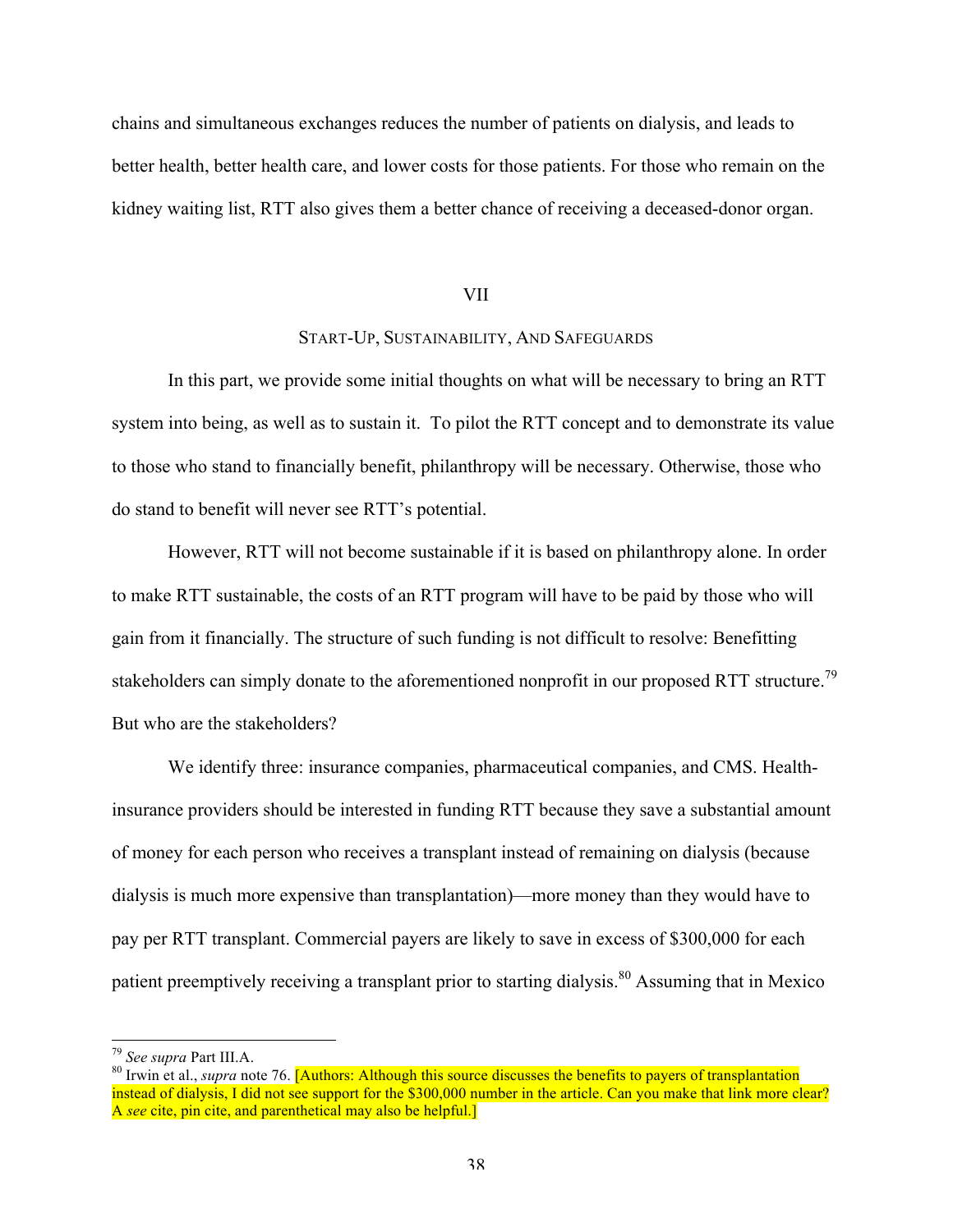chains and simultaneous exchanges reduces the number of patients on dialysis, and leads to better health, better health care, and lower costs for those patients. For those who remain on the kidney waiting list, RTT also gives them a better chance of receiving a deceased-donor organ.

#### VII

## START-UP, SUSTAINABILITY, AND SAFEGUARDS

In this part, we provide some initial thoughts on what will be necessary to bring an RTT system into being, as well as to sustain it. To pilot the RTT concept and to demonstrate its value to those who stand to financially benefit, philanthropy will be necessary. Otherwise, those who do stand to benefit will never see RTT's potential.

However, RTT will not become sustainable if it is based on philanthropy alone. In order to make RTT sustainable, the costs of an RTT program will have to be paid by those who will gain from it financially. The structure of such funding is not difficult to resolve: Benefitting stakeholders can simply donate to the aforementioned nonprofit in our proposed RTT structure.<sup>79</sup> But who are the stakeholders?

We identify three: insurance companies, pharmaceutical companies, and CMS. Healthinsurance providers should be interested in funding RTT because they save a substantial amount of money for each person who receives a transplant instead of remaining on dialysis (because dialysis is much more expensive than transplantation)—more money than they would have to pay per RTT transplant. Commercial payers are likely to save in excess of \$300,000 for each patient preemptively receiving a transplant prior to starting dialysis.<sup>80</sup> Assuming that in Mexico

<sup>&</sup>lt;sup>79</sup> *See supra* Part III.A.<br><sup>80</sup> Irwin et al., *supra* note 76. **[Authors: Although this source discusses the benefits to payers of transplantation** instead of dialysis, I did not see support for the \$300,000 number in the article. Can you make that link more clear? A *see* cite, pin cite, and parenthetical may also be helpful.]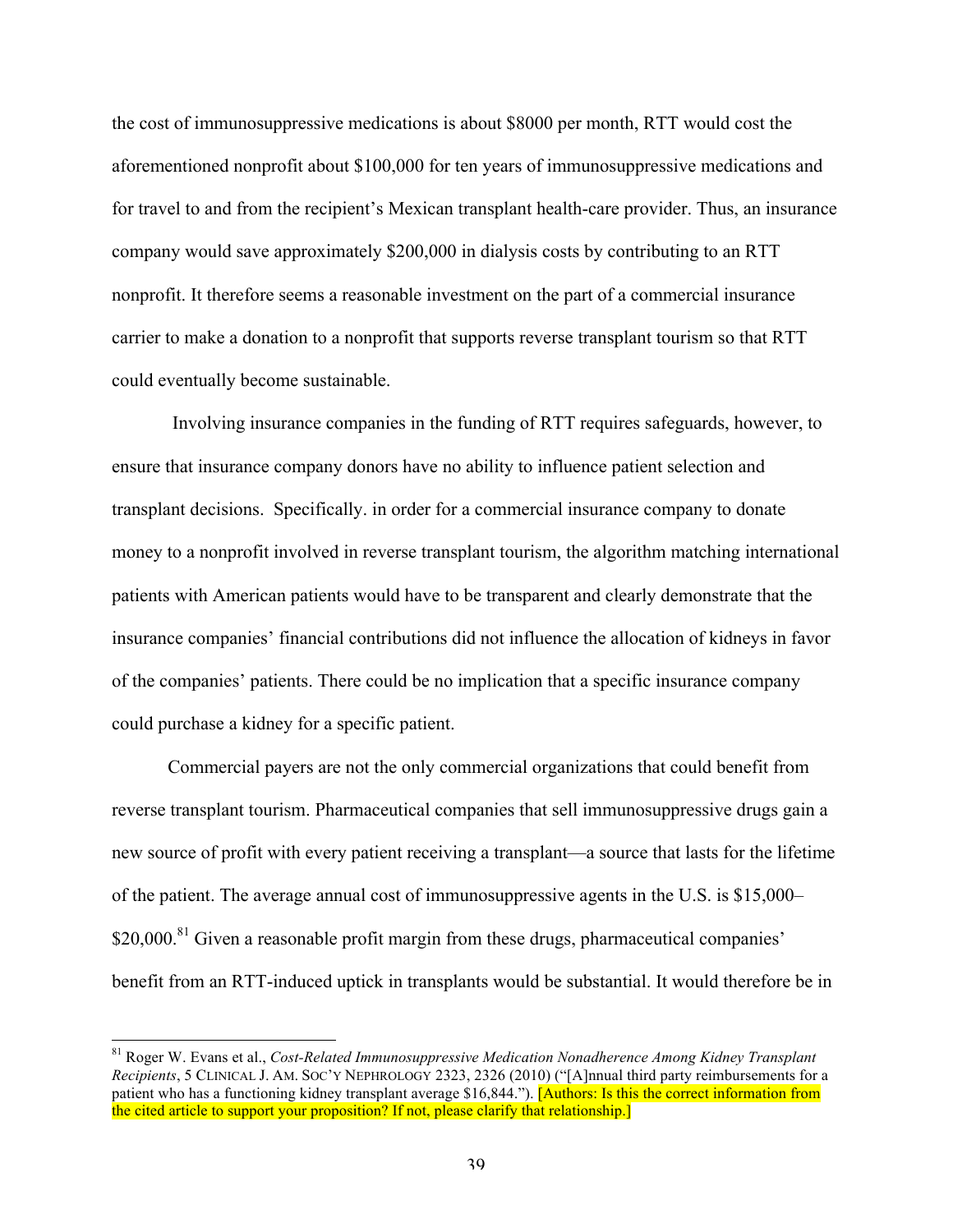the cost of immunosuppressive medications is about \$8000 per month, RTT would cost the aforementioned nonprofit about \$100,000 for ten years of immunosuppressive medications and for travel to and from the recipient's Mexican transplant health-care provider. Thus, an insurance company would save approximately \$200,000 in dialysis costs by contributing to an RTT nonprofit. It therefore seems a reasonable investment on the part of a commercial insurance carrier to make a donation to a nonprofit that supports reverse transplant tourism so that RTT could eventually become sustainable.

Involving insurance companies in the funding of RTT requires safeguards, however, to ensure that insurance company donors have no ability to influence patient selection and transplant decisions. Specifically. in order for a commercial insurance company to donate money to a nonprofit involved in reverse transplant tourism, the algorithm matching international patients with American patients would have to be transparent and clearly demonstrate that the insurance companies' financial contributions did not influence the allocation of kidneys in favor of the companies' patients. There could be no implication that a specific insurance company could purchase a kidney for a specific patient.

Commercial payers are not the only commercial organizations that could benefit from reverse transplant tourism. Pharmaceutical companies that sell immunosuppressive drugs gain a new source of profit with every patient receiving a transplant—a source that lasts for the lifetime of the patient. The average annual cost of immunosuppressive agents in the U.S. is \$15,000–  $$20,000$ <sup>81</sup> Given a reasonable profit margin from these drugs, pharmaceutical companies' benefit from an RTT-induced uptick in transplants would be substantial. It would therefore be in

 <sup>81</sup> Roger W. Evans et al., *Cost-Related Immunosuppressive Medication Nonadherence Among Kidney Transplant Recipients*, 5 CLINICAL J. AM. SOC'Y NEPHROLOGY 2323, 2326 (2010) ("[A]nnual third party reimbursements for a patient who has a functioning kidney transplant average \$16,844."). [Authors: Is this the correct information from the cited article to support your proposition? If not, please clarify that relationship.]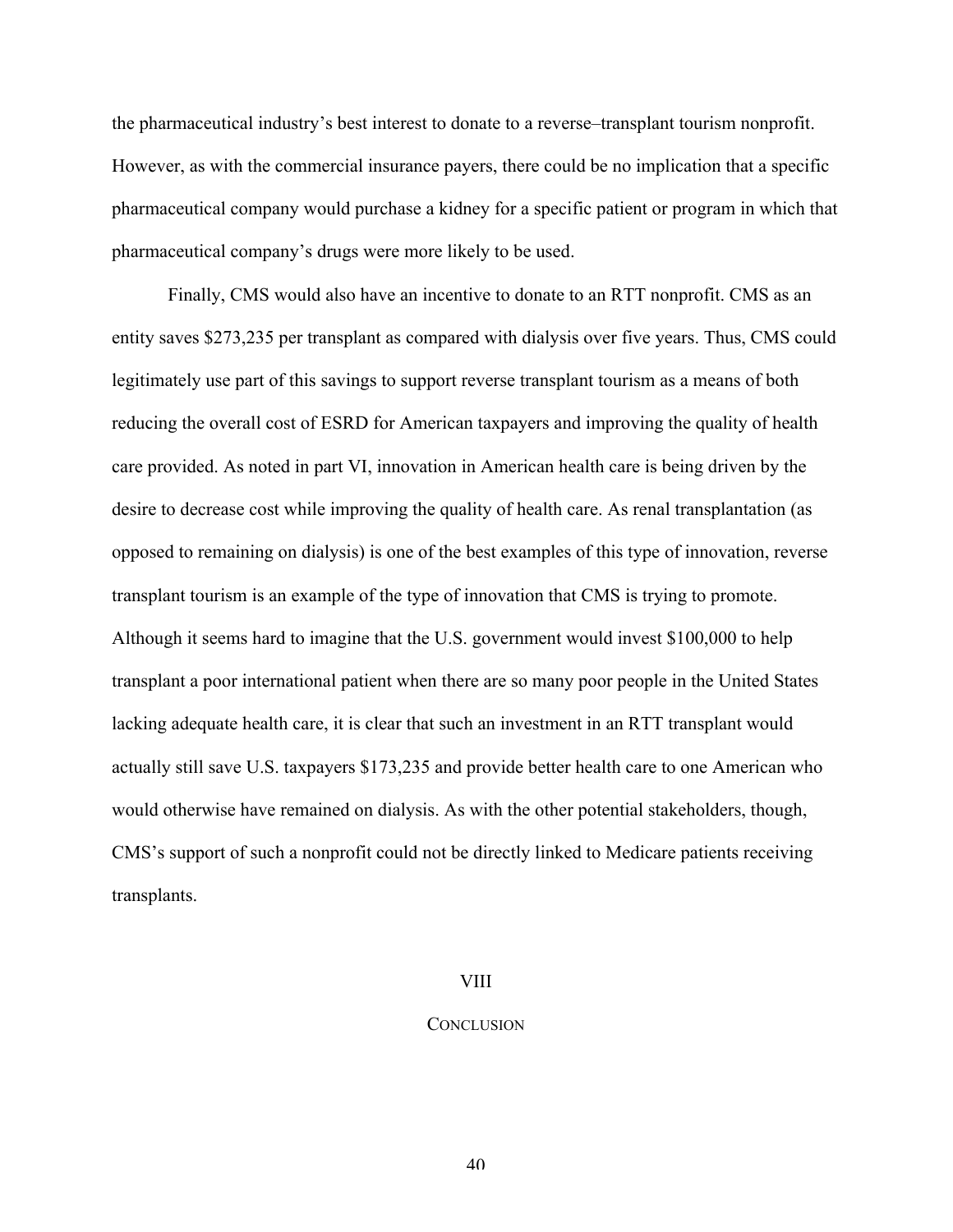the pharmaceutical industry's best interest to donate to a reverse–transplant tourism nonprofit. However, as with the commercial insurance payers, there could be no implication that a specific pharmaceutical company would purchase a kidney for a specific patient or program in which that pharmaceutical company's drugs were more likely to be used.

Finally, CMS would also have an incentive to donate to an RTT nonprofit. CMS as an entity saves \$273,235 per transplant as compared with dialysis over five years. Thus, CMS could legitimately use part of this savings to support reverse transplant tourism as a means of both reducing the overall cost of ESRD for American taxpayers and improving the quality of health care provided. As noted in part VI, innovation in American health care is being driven by the desire to decrease cost while improving the quality of health care. As renal transplantation (as opposed to remaining on dialysis) is one of the best examples of this type of innovation, reverse transplant tourism is an example of the type of innovation that CMS is trying to promote. Although it seems hard to imagine that the U.S. government would invest \$100,000 to help transplant a poor international patient when there are so many poor people in the United States lacking adequate health care, it is clear that such an investment in an RTT transplant would actually still save U.S. taxpayers \$173,235 and provide better health care to one American who would otherwise have remained on dialysis. As with the other potential stakeholders, though, CMS's support of such a nonprofit could not be directly linked to Medicare patients receiving transplants.

#### VIII

#### **CONCLUSION**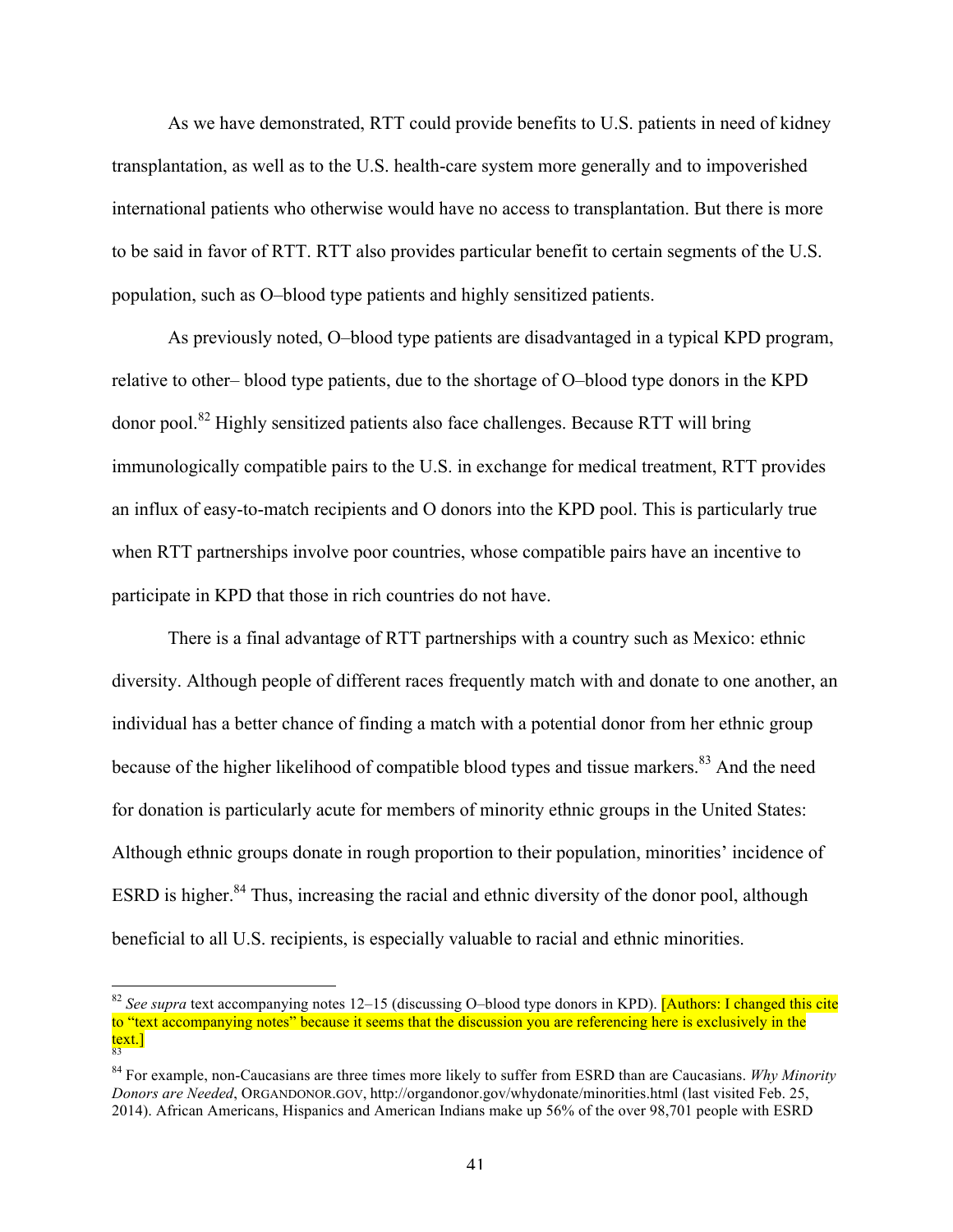As we have demonstrated, RTT could provide benefits to U.S. patients in need of kidney transplantation, as well as to the U.S. health-care system more generally and to impoverished international patients who otherwise would have no access to transplantation. But there is more to be said in favor of RTT. RTT also provides particular benefit to certain segments of the U.S. population, such as O–blood type patients and highly sensitized patients.

As previously noted, O–blood type patients are disadvantaged in a typical KPD program, relative to other– blood type patients, due to the shortage of O–blood type donors in the KPD donor pool.<sup>82</sup> Highly sensitized patients also face challenges. Because RTT will bring immunologically compatible pairs to the U.S. in exchange for medical treatment, RTT provides an influx of easy-to-match recipients and O donors into the KPD pool. This is particularly true when RTT partnerships involve poor countries, whose compatible pairs have an incentive to participate in KPD that those in rich countries do not have.

There is a final advantage of RTT partnerships with a country such as Mexico: ethnic diversity. Although people of different races frequently match with and donate to one another, an individual has a better chance of finding a match with a potential donor from her ethnic group because of the higher likelihood of compatible blood types and tissue markers.<sup>83</sup> And the need for donation is particularly acute for members of minority ethnic groups in the United States: Although ethnic groups donate in rough proportion to their population, minorities' incidence of ESRD is higher.<sup>84</sup> Thus, increasing the racial and ethnic diversity of the donor pool, although beneficial to all U.S. recipients, is especially valuable to racial and ethnic minorities.

<sup>&</sup>lt;sup>82</sup> See supra text accompanying notes 12–15 (discussing O–blood type donors in KPD). [Authors: I changed this cite to "text accompanying notes" because it seems that the discussion you are referencing here is exclusively in the <mark>text.]</mark><br>83

<sup>84</sup> For example, non-Caucasians are three times more likely to suffer from ESRD than are Caucasians. *Why Minority Donors are Needed*, ORGANDONOR.GOV, http://organdonor.gov/whydonate/minorities.html (last visited Feb. 25, 2014). African Americans, Hispanics and American Indians make up 56% of the over 98,701 people with ESRD